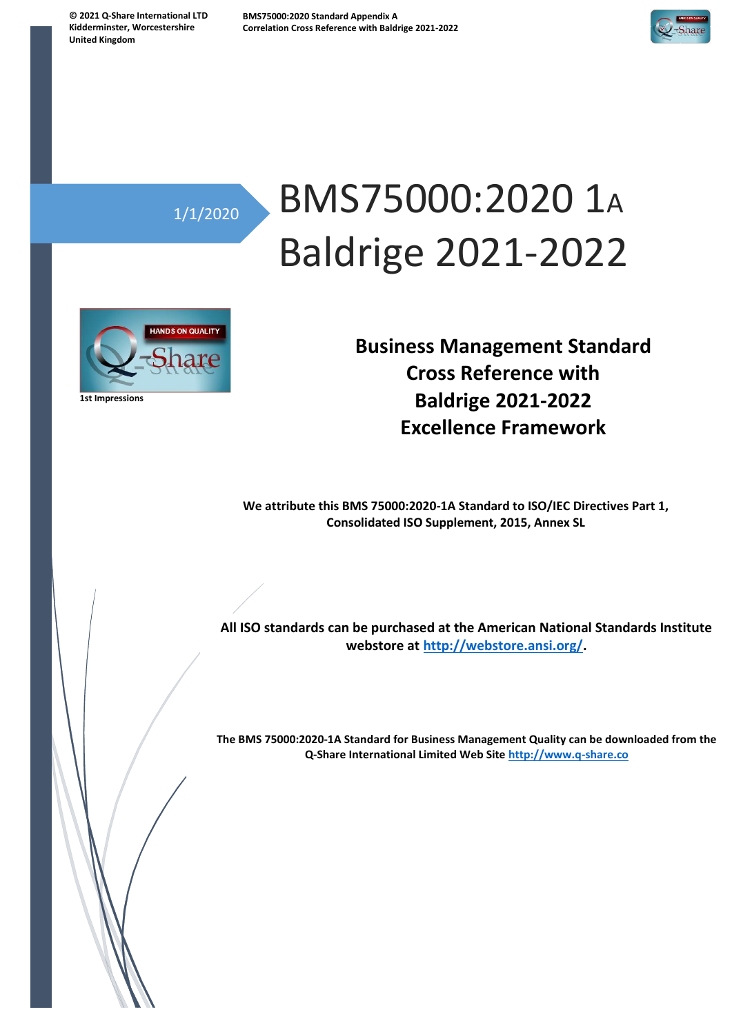**© 2021 Q-Share International LTD Kidderminster, Worcestershire United Kingdom**



## 1/1/2020

# BMS75000:2020 1<sup>A</sup> Baldrige 2021-2022



**1st Impressions**

**Business Management Standard Cross Reference with Baldrige 2021-2022 Excellence Framework**

**We attribute this BMS 75000:2020-1A Standard to ISO/IEC Directives Part 1, Consolidated ISO Supplement, 2015, Annex SL**

**All ISO standards can be purchased at the American National Standards Institute webstore at [http://webstore.ansi.org/.](http://webstore.ansi.org/)**

**The BMS 75000:2020-1A Standard for Business Management Quality can be downloaded from the Q-Share International Limited Web Site [http://www.q-share.co](http://www.q-share.co/)**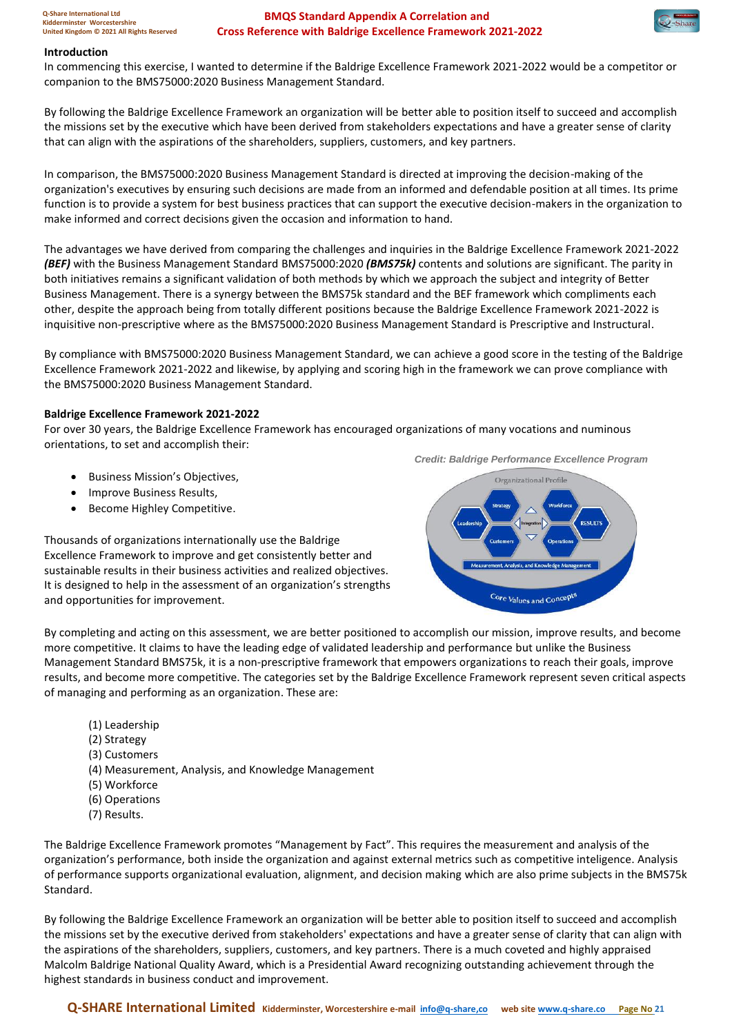### **Introduction**

In commencing this exercise, I wanted to determine if the Baldrige Excellence Framework 2021-2022 would be a competitor or companion to the BMS75000:2020 Business Management Standard.

By following the Baldrige Excellence Framework an organization will be better able to position itself to succeed and accomplish the missions set by the executive which have been derived from stakeholders expectations and have a greater sense of clarity that can align with the aspirations of the shareholders, suppliers, customers, and key partners.

In comparison, the BMS75000:2020 Business Management Standard is directed at improving the decision-making of the organization's executives by ensuring such decisions are made from an informed and defendable position at all times. Its prime function is to provide a system for best business practices that can support the executive decision-makers in the organization to make informed and correct decisions given the occasion and information to hand.

The advantages we have derived from comparing the challenges and inquiries in the Baldrige Excellence Framework 2021-2022 *(BEF)* with the Business Management Standard BMS75000:2020 *(BMS75k)* contents and solutions are significant. The parity in both initiatives remains a significant validation of both methods by which we approach the subject and integrity of Better Business Management. There is a synergy between the BMS75k standard and the BEF framework which compliments each other, despite the approach being from totally different positions because the Baldrige Excellence Framework 2021-2022 is inquisitive non-prescriptive where as the BMS75000:2020 Business Management Standard is Prescriptive and Instructural.

By compliance with BMS75000:2020 Business Management Standard, we can achieve a good score in the testing of the Baldrige Excellence Framework 2021-2022 and likewise, by applying and scoring high in the framework we can prove compliance with the BMS75000:2020 Business Management Standard.

### **Baldrige Excellence Framework 2021-2022**

For over 30 years, the Baldrige Excellence Framework has encouraged organizations of many vocations and numinous orientations, to set and accomplish their:

- Business Mission's Objectives,
- Improve Business Results,
- Become Highley Competitive.

Thousands of organizations internationally use the Baldrige Excellence Framework to improve and get consistently better and sustainable results in their business activities and realized objectives. It is designed to help in the assessment of an organization's strengths and opportunities for improvement.

*Credit: Baldrige Performance Excellence Program*



By completing and acting on this assessment, we are better positioned to accomplish our mission, improve results, and become more competitive. It claims to have the leading edge of validated leadership and performance but unlike the Business Management Standard BMS75k, it is a non-prescriptive framework that empowers organizations to reach their goals, improve results, and become more competitive. The categories set by the Baldrige Excellence Framework represent seven critical aspects of managing and performing as an organization. These are:

- (1) Leadership
- (2) Strategy
- (3) Customers
- (4) Measurement, Analysis, and Knowledge Management
- (5) Workforce
- (6) Operations
- (7) Results.

The Baldrige Excellence Framework promotes "Management by Fact". This requires the measurement and analysis of the organization's performance, both inside the organization and against external metrics such as competitive inteligence. Analysis of performance supports organizational evaluation, alignment, and decision making which are also prime subjects in the BMS75k Standard.

By following the Baldrige Excellence Framework an organization will be better able to position itself to succeed and accomplish the missions set by the executive derived from stakeholders' expectations and have a greater sense of clarity that can align with the aspirations of the shareholders, suppliers, customers, and key partners. There is a much coveted and highly appraised Malcolm Baldrige National Quality Award, which is a Presidential Award recognizing outstanding achievement through the highest standards in business conduct and improvement.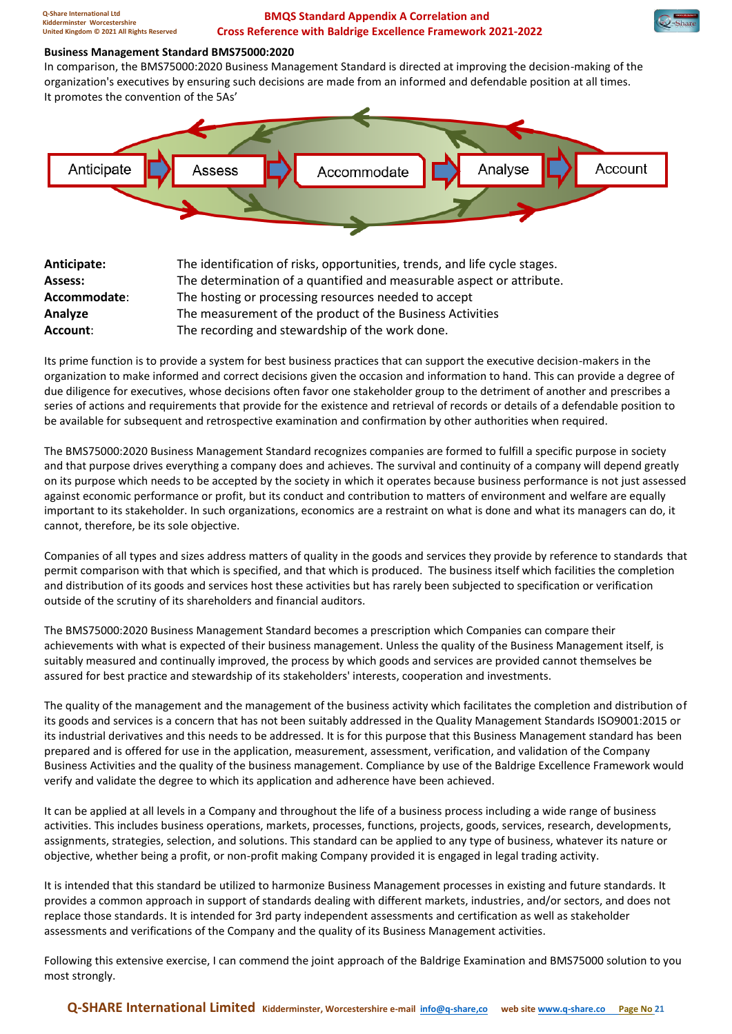### **Business Management Standard BMS75000:2020**

In comparison, the BMS75000:2020 Business Management Standard is directed at improving the decision-making of the organization's executives by ensuring such decisions are made from an informed and defendable position at all times. It promotes the convention of the 5As'



| Anticipate:  | The identification of risks, opportunities, trends, and life cycle stages. |
|--------------|----------------------------------------------------------------------------|
| Assess:      | The determination of a quantified and measurable aspect or attribute.      |
| Accommodate: | The hosting or processing resources needed to accept                       |
| Analyze      | The measurement of the product of the Business Activities                  |
| Account:     | The recording and stewardship of the work done.                            |

Its prime function is to provide a system for best business practices that can support the executive decision-makers in the organization to make informed and correct decisions given the occasion and information to hand. This can provide a degree of due diligence for executives, whose decisions often favor one stakeholder group to the detriment of another and prescribes a series of actions and requirements that provide for the existence and retrieval of records or details of a defendable position to be available for subsequent and retrospective examination and confirmation by other authorities when required.

The BMS75000:2020 Business Management Standard recognizes companies are formed to fulfill a specific purpose in society and that purpose drives everything a company does and achieves. The survival and continuity of a company will depend greatly on its purpose which needs to be accepted by the society in which it operates because business performance is not just assessed against economic performance or profit, but its conduct and contribution to matters of environment and welfare are equally important to its stakeholder. In such organizations, economics are a restraint on what is done and what its managers can do, it cannot, therefore, be its sole objective.

Companies of all types and sizes address matters of quality in the goods and services they provide by reference to standards that permit comparison with that which is specified, and that which is produced. The business itself which facilities the completion and distribution of its goods and services host these activities but has rarely been subjected to specification or verification outside of the scrutiny of its shareholders and financial auditors.

The BMS75000:2020 Business Management Standard becomes a prescription which Companies can compare their achievements with what is expected of their business management. Unless the quality of the Business Management itself, is suitably measured and continually improved, the process by which goods and services are provided cannot themselves be assured for best practice and stewardship of its stakeholders' interests, cooperation and investments.

The quality of the management and the management of the business activity which facilitates the completion and distribution of its goods and services is a concern that has not been suitably addressed in the Quality Management Standards ISO9001:2015 or its industrial derivatives and this needs to be addressed. It is for this purpose that this Business Management standard has been prepared and is offered for use in the application, measurement, assessment, verification, and validation of the Company Business Activities and the quality of the business management. Compliance by use of the Baldrige Excellence Framework would verify and validate the degree to which its application and adherence have been achieved.

It can be applied at all levels in a Company and throughout the life of a business process including a wide range of business activities. This includes business operations, markets, processes, functions, projects, goods, services, research, developments, assignments, strategies, selection, and solutions. This standard can be applied to any type of business, whatever its nature or objective, whether being a profit, or non-profit making Company provided it is engaged in legal trading activity.

It is intended that this standard be utilized to harmonize Business Management processes in existing and future standards. It provides a common approach in support of standards dealing with different markets, industries, and/or sectors, and does not replace those standards. It is intended for 3rd party independent assessments and certification as well as stakeholder assessments and verifications of the Company and the quality of its Business Management activities.

Following this extensive exercise, I can commend the joint approach of the Baldrige Examination and BMS75000 solution to you most strongly.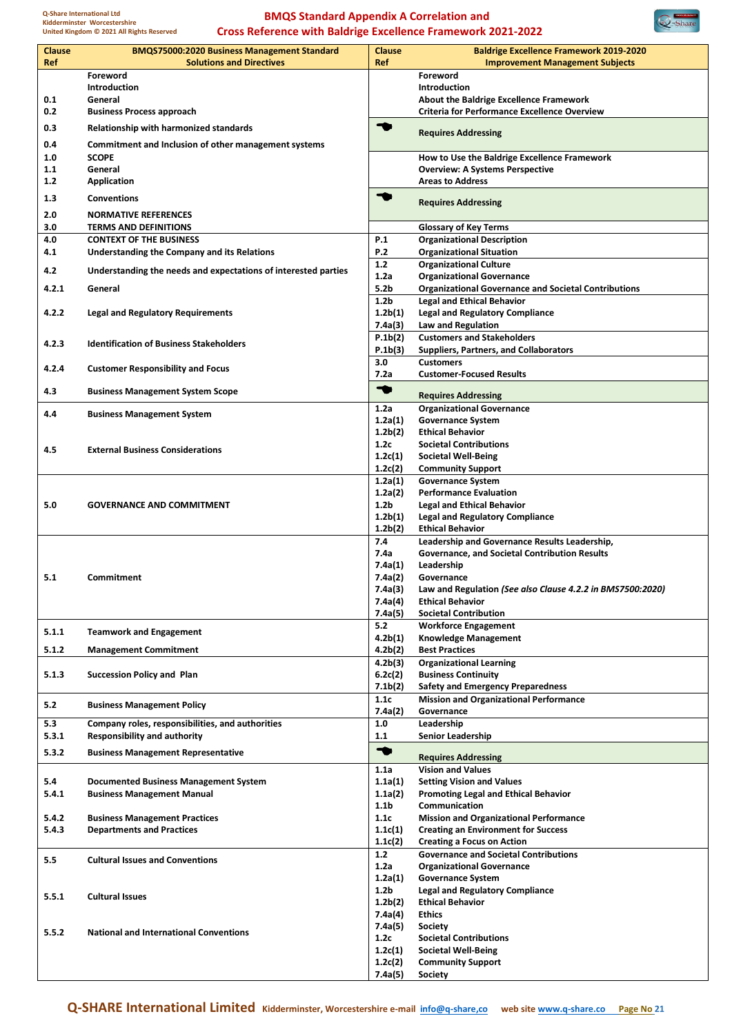

| <b>Clause</b><br>Ref | <b>BMQS75000:2020 Business Management Standard</b><br><b>Solutions and Directives</b> | <b>Clause</b><br>Ref            | <b>Baldrige Excellence Framework 2019-2020</b><br><b>Improvement Management Subjects</b>       |
|----------------------|---------------------------------------------------------------------------------------|---------------------------------|------------------------------------------------------------------------------------------------|
|                      | Foreword                                                                              |                                 | Foreword                                                                                       |
|                      | Introduction                                                                          |                                 | Introduction                                                                                   |
| 0.1<br>0.2           | General<br><b>Business Process approach</b>                                           |                                 | About the Baldrige Excellence Framework<br><b>Criteria for Performance Excellence Overview</b> |
| 0.3                  | Relationship with harmonized standards                                                | ร                               |                                                                                                |
| 0.4                  | Commitment and Inclusion of other management systems                                  |                                 | <b>Requires Addressing</b>                                                                     |
| 1.0                  | <b>SCOPE</b>                                                                          |                                 | How to Use the Baldrige Excellence Framework                                                   |
| 1.1                  | General                                                                               |                                 | <b>Overview: A Systems Perspective</b>                                                         |
| 1.2                  | <b>Application</b>                                                                    |                                 | <b>Areas to Address</b>                                                                        |
| 1.3                  | <b>Conventions</b>                                                                    | ร                               |                                                                                                |
| 2.0                  | <b>NORMATIVE REFERENCES</b>                                                           |                                 | <b>Requires Addressing</b>                                                                     |
| 3.0                  | <b>TERMS AND DEFINITIONS</b>                                                          |                                 | <b>Glossary of Key Terms</b>                                                                   |
| 4.0                  | <b>CONTEXT OF THE BUSINESS</b>                                                        | P.1                             | <b>Organizational Description</b>                                                              |
| 4.1                  | Understanding the Company and its Relations                                           | P.2<br>1.2                      | <b>Organizational Situation</b><br><b>Organizational Culture</b>                               |
| 4.2                  | Understanding the needs and expectations of interested parties                        | 1.2a                            | <b>Organizational Governance</b>                                                               |
| 4.2.1                | General                                                                               | 5.2 <sub>b</sub>                | <b>Organizational Governance and Societal Contributions</b>                                    |
|                      |                                                                                       | 1.2 <sub>b</sub>                | <b>Legal and Ethical Behavior</b>                                                              |
| 4.2.2                | <b>Legal and Regulatory Requirements</b>                                              | 1.2 <sub>b</sub> (1)            | <b>Legal and Regulatory Compliance</b>                                                         |
|                      |                                                                                       | 7.4a(3)                         | Law and Regulation                                                                             |
| 4.2.3                | <b>Identification of Business Stakeholders</b>                                        | P.1b(2)                         | <b>Customers and Stakeholders</b>                                                              |
|                      |                                                                                       | P.1b(3)                         | <b>Suppliers, Partners, and Collaborators</b>                                                  |
| 4.2.4                | <b>Customer Responsibility and Focus</b>                                              | 3.0                             | <b>Customers</b>                                                                               |
|                      |                                                                                       | 7.2a                            | <b>Customer-Focused Results</b>                                                                |
| 4.3                  | <b>Business Management System Scope</b>                                               | ◥                               | <b>Requires Addressing</b>                                                                     |
| 4.4                  |                                                                                       | 1.2a                            | <b>Organizational Governance</b>                                                               |
|                      | <b>Business Management System</b>                                                     | 1.2a(1)                         | <b>Governance System</b>                                                                       |
|                      |                                                                                       | 1.2 <sub>b</sub> (2)            | <b>Ethical Behavior</b>                                                                        |
| 4.5                  | <b>External Business Considerations</b>                                               | 1.2c                            | <b>Societal Contributions</b>                                                                  |
|                      |                                                                                       | 1.2c(1)                         | <b>Societal Well-Being</b>                                                                     |
|                      |                                                                                       | 1.2c(2)<br>1.2a(1)              | <b>Community Support</b><br><b>Governance System</b>                                           |
|                      |                                                                                       | 1.2a(2)                         | <b>Performance Evaluation</b>                                                                  |
| 5.0                  | <b>GOVERNANCE AND COMMITMENT</b>                                                      | 1.2 <sub>b</sub>                | <b>Legal and Ethical Behavior</b>                                                              |
|                      |                                                                                       | 1.2b(1)                         | <b>Legal and Regulatory Compliance</b>                                                         |
|                      |                                                                                       | 1.2 <sub>b</sub> (2)            | <b>Ethical Behavior</b>                                                                        |
|                      |                                                                                       | 7.4                             | Leadership and Governance Results Leadership,                                                  |
|                      |                                                                                       | 7.4a                            | Governance, and Societal Contribution Results                                                  |
| 5.1                  | <b>Commitment</b>                                                                     | 7.4a(1)<br>7.4a(2)              | Leadership<br>Governance                                                                       |
|                      |                                                                                       | 7.4a(3)                         | Law and Regulation (See also Clause 4.2.2 in BMS7500:2020)                                     |
|                      |                                                                                       | 7.4a(4)                         | <b>Ethical Behavior</b>                                                                        |
|                      |                                                                                       | 7.4a(5)                         | <b>Societal Contribution</b>                                                                   |
| 5.1.1                | <b>Teamwork and Engagement</b>                                                        | 5.2                             | <b>Workforce Engagement</b>                                                                    |
|                      |                                                                                       | 4.2 <sub>b</sub> (1)            | <b>Knowledge Management</b>                                                                    |
| 5.1.2                | <b>Management Commitment</b>                                                          | 4.2 <sub>b</sub> (2)            | <b>Best Practices</b>                                                                          |
|                      | <b>Succession Policy and Plan</b>                                                     | 4.2 <sub>b</sub> (3)            | <b>Organizational Learning</b>                                                                 |
| 5.1.3                |                                                                                       | 6.2c(2)<br>7.1 <sub>b</sub> (2) | <b>Business Continuity</b><br><b>Safety and Emergency Preparedness</b>                         |
|                      |                                                                                       | 1.1c                            | <b>Mission and Organizational Performance</b>                                                  |
| 5.2                  | <b>Business Management Policy</b>                                                     | 7.4a(2)                         | Governance                                                                                     |
| 5.3                  | Company roles, responsibilities, and authorities                                      | 1.0                             | Leadership                                                                                     |
| 5.3.1                | <b>Responsibility and authority</b>                                                   | 1.1                             | <b>Senior Leadership</b>                                                                       |
| 5.3.2                | <b>Business Management Representative</b>                                             | $\bullet$                       | <b>Requires Addressing</b>                                                                     |
|                      |                                                                                       | 1.1a                            | <b>Vision and Values</b>                                                                       |
| 5.4                  | <b>Documented Business Management System</b>                                          | 1.1a(1)                         | <b>Setting Vision and Values</b>                                                               |
| 5.4.1                | <b>Business Management Manual</b>                                                     | 1.1a(2)                         | <b>Promoting Legal and Ethical Behavior</b>                                                    |
|                      |                                                                                       | 1.1b                            | Communication                                                                                  |
| 5.4.2                | <b>Business Management Practices</b>                                                  | 1.1c                            | <b>Mission and Organizational Performance</b>                                                  |
| 5.4.3                | <b>Departments and Practices</b>                                                      | 1.1c(1)<br>1.1c(2)              | <b>Creating an Environment for Success</b><br><b>Creating a Focus on Action</b>                |
|                      |                                                                                       | 1.2                             | <b>Governance and Societal Contributions</b>                                                   |
| 5.5                  | <b>Cultural Issues and Conventions</b>                                                | 1.2a                            | <b>Organizational Governance</b>                                                               |
|                      |                                                                                       | 1.2a(1)                         | <b>Governance System</b>                                                                       |
| 5.5.1                | <b>Cultural Issues</b>                                                                | 1.2 <sub>b</sub>                | <b>Legal and Regulatory Compliance</b>                                                         |
|                      |                                                                                       | 1.2 <sub>b</sub> (2)            | <b>Ethical Behavior</b>                                                                        |
|                      |                                                                                       | 7.4a(4)                         | <b>Ethics</b>                                                                                  |
| 5.5.2                | <b>National and International Conventions</b>                                         | 7.4a(5)                         | Society<br><b>Societal Contributions</b>                                                       |
|                      |                                                                                       | 1.2c<br>1.2c(1)                 | <b>Societal Well-Being</b>                                                                     |
|                      |                                                                                       | 1.2c(2)                         | <b>Community Support</b>                                                                       |
|                      |                                                                                       | 7.4a(5)                         | Society                                                                                        |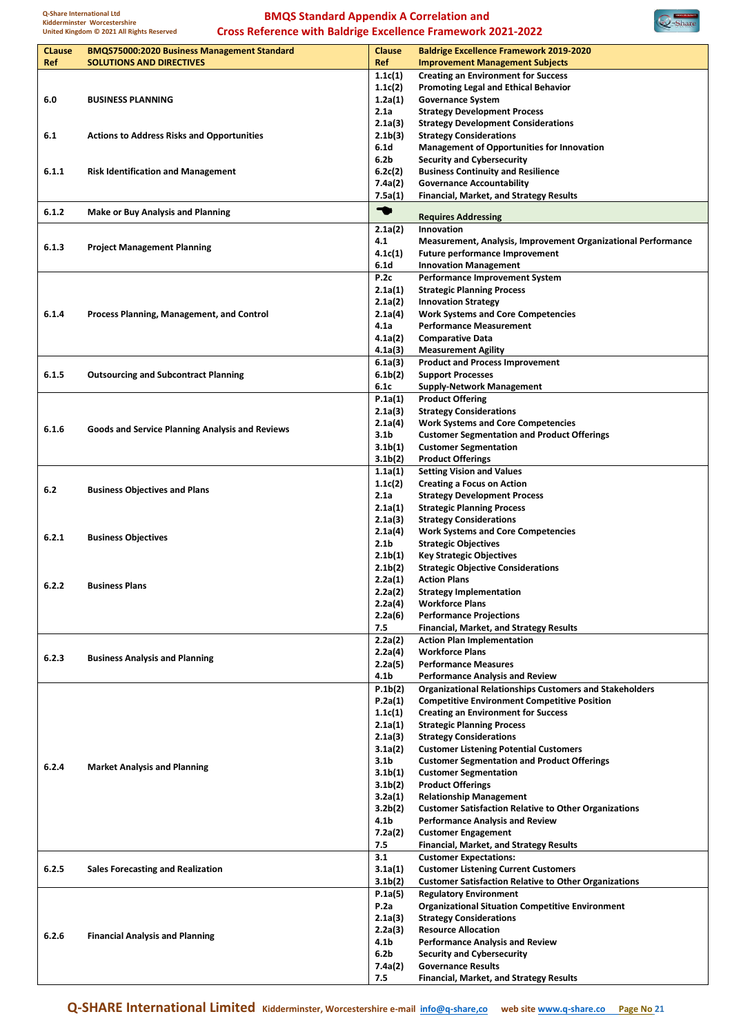

| <b>CLause</b> | <b>BMQS75000:2020 Business Management Standard</b>     | <b>Clause</b>               | <b>Baldrige Excellence Framework 2019-2020</b>                                  |
|---------------|--------------------------------------------------------|-----------------------------|---------------------------------------------------------------------------------|
| Ref           | <b>SOLUTIONS AND DIRECTIVES</b>                        | Ref                         | <b>Improvement Management Subjects</b>                                          |
|               |                                                        | 1.1c(1)                     | <b>Creating an Environment for Success</b>                                      |
|               |                                                        | 1.1c(2)                     | <b>Promoting Legal and Ethical Behavior</b>                                     |
| 6.0           | <b>BUSINESS PLANNING</b>                               | 1.2a(1)                     | <b>Governance System</b>                                                        |
|               |                                                        | 2.1a                        | <b>Strategy Development Process</b>                                             |
|               |                                                        | 2.1a(3)                     | <b>Strategy Development Considerations</b>                                      |
| 6.1           | <b>Actions to Address Risks and Opportunities</b>      | 2.1 <sub>b</sub> (3)        | <b>Strategy Considerations</b>                                                  |
|               |                                                        | 6.1d                        | <b>Management of Opportunities for Innovation</b>                               |
|               |                                                        | 6.2 <sub>b</sub>            | <b>Security and Cybersecurity</b>                                               |
| 6.1.1         | <b>Risk Identification and Management</b>              | 6.2c(2)                     | <b>Business Continuity and Resilience</b>                                       |
|               |                                                        | 7.4a(2)                     | <b>Governance Accountability</b>                                                |
|               |                                                        | 7.5a(1)                     | <b>Financial, Market, and Strategy Results</b>                                  |
| 6.1.2         | <b>Make or Buy Analysis and Planning</b>               | ◆                           | <b>Requires Addressing</b>                                                      |
|               |                                                        | 2.1a(2)                     | Innovation                                                                      |
|               |                                                        | 4.1                         | <b>Measurement, Analysis, Improvement Organizational Performance</b>            |
| 6.1.3         | <b>Project Management Planning</b>                     | 4.1c(1)                     | <b>Future performance Improvement</b>                                           |
|               |                                                        | 6.1 <sub>d</sub>            | <b>Innovation Management</b>                                                    |
|               |                                                        | P.2c                        | <b>Performance Improvement System</b>                                           |
|               |                                                        | 2.1a(1)                     | <b>Strategic Planning Process</b>                                               |
|               |                                                        | 2.1a(2)                     | <b>Innovation Strategy</b>                                                      |
| 6.1.4         | Process Planning, Management, and Control              | 2.1a(4)                     | <b>Work Systems and Core Competencies</b>                                       |
|               |                                                        | 4.1a                        | <b>Performance Measurement</b>                                                  |
|               |                                                        | 4.1a(2)                     | <b>Comparative Data</b>                                                         |
|               |                                                        | 4.1a(3)                     | <b>Measurement Agility</b>                                                      |
|               |                                                        | 6.1a(3)                     | <b>Product and Process Improvement</b>                                          |
| 6.1.5         | <b>Outsourcing and Subcontract Planning</b>            | 6.1 <sub>b</sub> (2)        | <b>Support Processes</b>                                                        |
|               |                                                        | 6.1c                        | <b>Supply-Network Management</b>                                                |
|               |                                                        | P.1a(1)                     | <b>Product Offering</b>                                                         |
|               |                                                        | 2.1a(3)                     | <b>Strategy Considerations</b>                                                  |
| 6.1.6         | <b>Goods and Service Planning Analysis and Reviews</b> | 2.1a(4)                     | <b>Work Systems and Core Competencies</b>                                       |
|               |                                                        | 3.1 <sub>b</sub>            | <b>Customer Segmentation and Product Offerings</b>                              |
|               |                                                        | 3.1 <sub>b</sub> (1)        | <b>Customer Segmentation</b>                                                    |
|               |                                                        | 3.1 <sub>b</sub> (2)        | <b>Product Offerings</b>                                                        |
|               |                                                        | 1.1a(1)                     | <b>Setting Vision and Values</b>                                                |
| 6.2           | <b>Business Objectives and Plans</b>                   | 1.1c(2)                     | <b>Creating a Focus on Action</b>                                               |
|               |                                                        | 2.1a                        | <b>Strategy Development Process</b>                                             |
|               |                                                        | 2.1a(1)                     | <b>Strategic Planning Process</b>                                               |
|               |                                                        | 2.1a(3)                     | <b>Strategy Considerations</b>                                                  |
| 6.2.1         | <b>Business Objectives</b>                             | 2.1a(4)<br>2.1 <sub>b</sub> | <b>Work Systems and Core Competencies</b><br><b>Strategic Objectives</b>        |
|               |                                                        | 2.1 <sub>b</sub> (1)        | <b>Key Strategic Objectives</b>                                                 |
|               |                                                        | 2.1 <sub>b</sub> (2)        | <b>Strategic Objective Considerations</b>                                       |
|               |                                                        | 2.2a(1)                     | <b>Action Plans</b>                                                             |
| 6.2.2         | <b>Business Plans</b>                                  | 2.2a(2)                     | <b>Strategy Implementation</b>                                                  |
|               |                                                        | 2.2a(4)                     | <b>Workforce Plans</b>                                                          |
|               |                                                        | 2.2a(6)                     | <b>Performance Projections</b>                                                  |
|               |                                                        | 7.5                         | <b>Financial, Market, and Strategy Results</b>                                  |
|               |                                                        | 2.2a(2)                     | <b>Action Plan Implementation</b>                                               |
| 6.2.3         | <b>Business Analysis and Planning</b>                  | 2.2a(4)                     | <b>Workforce Plans</b>                                                          |
|               |                                                        | 2.2a(5)                     | <b>Performance Measures</b>                                                     |
|               |                                                        | 4.1b                        | <b>Performance Analysis and Review</b>                                          |
|               |                                                        | P.1b(2)                     | <b>Organizational Relationships Customers and Stakeholders</b>                  |
|               |                                                        | P.2a(1)                     | <b>Competitive Environment Competitive Position</b>                             |
|               |                                                        | 1.1c(1)                     | <b>Creating an Environment for Success</b>                                      |
|               |                                                        | 2.1a(1)                     | <b>Strategic Planning Process</b>                                               |
|               |                                                        | 2.1a(3)                     | <b>Strategy Considerations</b><br><b>Customer Listening Potential Customers</b> |
|               |                                                        | 3.1a(2)<br>3.1 <sub>b</sub> | <b>Customer Segmentation and Product Offerings</b>                              |
| 6.2.4         | <b>Market Analysis and Planning</b>                    | 3.1 <sub>b</sub> (1)        | <b>Customer Segmentation</b>                                                    |
|               |                                                        | 3.1 <sub>b</sub> (2)        | <b>Product Offerings</b>                                                        |
|               |                                                        | 3.2a(1)                     | <b>Relationship Management</b>                                                  |
|               |                                                        | 3.2 <sub>b</sub> (2)        | <b>Customer Satisfaction Relative to Other Organizations</b>                    |
|               |                                                        | 4.1b                        | <b>Performance Analysis and Review</b>                                          |
|               |                                                        | 7.2a(2)                     | <b>Customer Engagement</b>                                                      |
|               |                                                        | 7.5                         | <b>Financial, Market, and Strategy Results</b>                                  |
|               |                                                        | 3.1                         | <b>Customer Expectations:</b>                                                   |
| 6.2.5         | <b>Sales Forecasting and Realization</b>               | 3.1a(1)                     | <b>Customer Listening Current Customers</b>                                     |
|               |                                                        | 3.1 <sub>b</sub> (2)        | <b>Customer Satisfaction Relative to Other Organizations</b>                    |
|               |                                                        | P.1a(5)                     | <b>Regulatory Environment</b>                                                   |
|               |                                                        | P.2a                        | <b>Organizational Situation Competitive Environment</b>                         |
|               |                                                        | 2.1a(3)                     | <b>Strategy Considerations</b>                                                  |
| 6.2.6         | <b>Financial Analysis and Planning</b>                 | 2.2a(3)                     | <b>Resource Allocation</b>                                                      |
|               |                                                        | 4.1b                        | <b>Performance Analysis and Review</b>                                          |
|               |                                                        | 6.2 <sub>b</sub>            | <b>Security and Cybersecurity</b>                                               |
|               |                                                        | 7.4a(2)                     | <b>Governance Results</b>                                                       |
|               |                                                        | 7.5                         | <b>Financial, Market, and Strategy Results</b>                                  |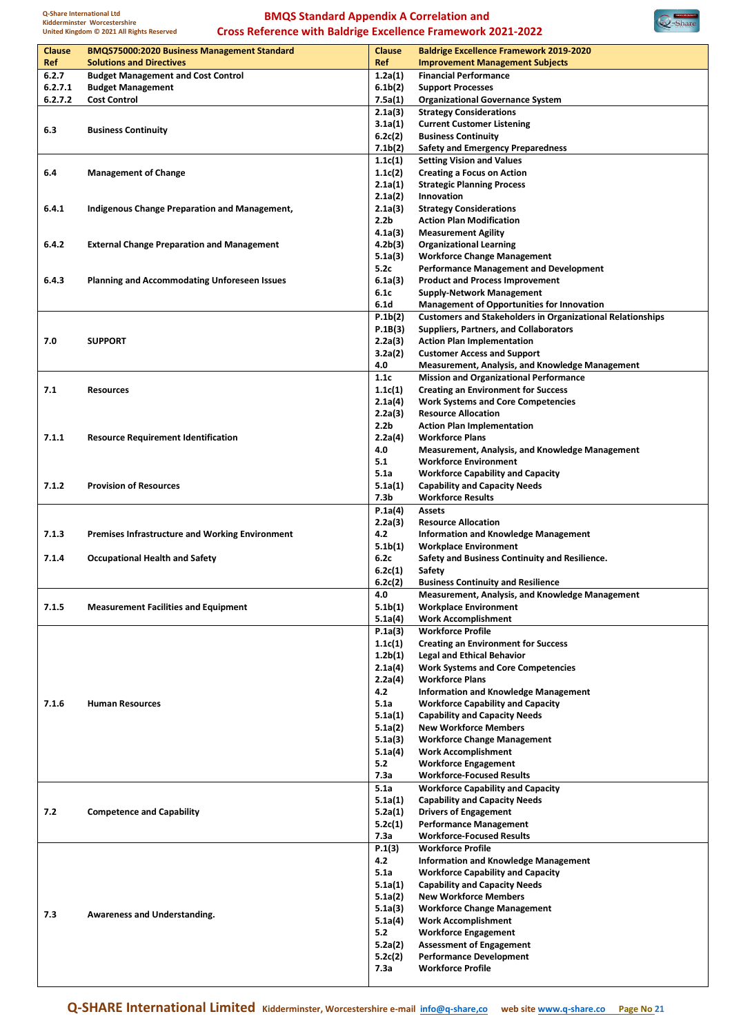**Q-Share International Ltd Kidderminster Worcestershire United Kingdom © 2021 All Rights Reserved**

#### **BMQS Standard Appendix A Correlation and Cross Reference with Baldrige Excellence Framework 2021-2022**



| <b>Clause</b><br>Ref | <b>BMQS75000:2020 Business Management Standard</b><br><b>Solutions and Directives</b> | <b>Clause</b><br>Ref            | <b>Baldrige Excellence Framework 2019-2020</b>                                                          |
|----------------------|---------------------------------------------------------------------------------------|---------------------------------|---------------------------------------------------------------------------------------------------------|
| 6.2.7                | <b>Budget Management and Cost Control</b>                                             | 1.2a(1)                         | <b>Improvement Management Subjects</b><br><b>Financial Performance</b>                                  |
| 6.2.7.1              | <b>Budget Management</b>                                                              | 6.1 <sub>b</sub> (2)            | <b>Support Processes</b>                                                                                |
| 6.2.7.2              | <b>Cost Control</b>                                                                   | 7.5a(1)                         | <b>Organizational Governance System</b>                                                                 |
|                      |                                                                                       | 2.1a(3)                         | <b>Strategy Considerations</b>                                                                          |
| 6.3                  | <b>Business Continuity</b>                                                            | 3.1a(1)                         | <b>Current Customer Listening</b>                                                                       |
|                      |                                                                                       | 6.2c(2)                         | <b>Business Continuity</b>                                                                              |
|                      |                                                                                       | 7.1 <sub>b</sub> (2)<br>1.1c(1) | <b>Safety and Emergency Preparedness</b><br><b>Setting Vision and Values</b>                            |
| 6.4                  | <b>Management of Change</b>                                                           | 1.1c(2)                         | <b>Creating a Focus on Action</b>                                                                       |
|                      |                                                                                       | 2.1a(1)                         | <b>Strategic Planning Process</b>                                                                       |
|                      |                                                                                       | 2.1a(2)                         | Innovation                                                                                              |
| 6.4.1                | Indigenous Change Preparation and Management,                                         | 2.1a(3)                         | <b>Strategy Considerations</b>                                                                          |
|                      |                                                                                       | 2.2 <sub>b</sub>                | <b>Action Plan Modification</b>                                                                         |
|                      |                                                                                       | 4.1a(3)                         | <b>Measurement Agility</b>                                                                              |
| 6.4.2                | <b>External Change Preparation and Management</b>                                     | 4.2 <sub>b</sub> (3)<br>5.1a(3) | <b>Organizational Learning</b><br><b>Workforce Change Management</b>                                    |
|                      |                                                                                       | 5.2c                            | <b>Performance Management and Development</b>                                                           |
| 6.4.3                | <b>Planning and Accommodating Unforeseen Issues</b>                                   | 6.1a(3)                         | <b>Product and Process Improvement</b>                                                                  |
|                      |                                                                                       | 6.1c                            | <b>Supply-Network Management</b>                                                                        |
|                      |                                                                                       | 6.1d                            | <b>Management of Opportunities for Innovation</b>                                                       |
|                      |                                                                                       | P.1b(2)                         | <b>Customers and Stakeholders in Organizational Relationships</b>                                       |
|                      |                                                                                       | P.1B(3)                         | <b>Suppliers, Partners, and Collaborators</b>                                                           |
| 7.0                  | <b>SUPPORT</b>                                                                        | 2.2a(3)                         | <b>Action Plan Implementation</b>                                                                       |
|                      |                                                                                       | 3.2a(2)                         | <b>Customer Access and Support</b>                                                                      |
|                      |                                                                                       | 4.0<br>1.1c                     | <b>Measurement, Analysis, and Knowledge Management</b><br><b>Mission and Organizational Performance</b> |
| 7.1                  | <b>Resources</b>                                                                      | 1.1c(1)                         | <b>Creating an Environment for Success</b>                                                              |
|                      |                                                                                       | 2.1a(4)                         | <b>Work Systems and Core Competencies</b>                                                               |
|                      |                                                                                       | 2.2a(3)                         | <b>Resource Allocation</b>                                                                              |
|                      |                                                                                       | 2.2 <sub>b</sub>                | <b>Action Plan Implementation</b>                                                                       |
| 7.1.1                | <b>Resource Requirement Identification</b>                                            | 2.2a(4)                         | <b>Workforce Plans</b>                                                                                  |
|                      |                                                                                       | 4.0                             | <b>Measurement, Analysis, and Knowledge Management</b>                                                  |
|                      |                                                                                       | 5.1                             | <b>Workforce Environment</b>                                                                            |
| 7.1.2                | <b>Provision of Resources</b>                                                         | 5.1a<br>5.1a(1)                 | <b>Workforce Capability and Capacity</b><br><b>Capability and Capacity Needs</b>                        |
|                      |                                                                                       | 7.3b                            | <b>Workforce Results</b>                                                                                |
|                      |                                                                                       | P.1a(4)                         | <b>Assets</b>                                                                                           |
|                      |                                                                                       | 2.2a(3)                         | <b>Resource Allocation</b>                                                                              |
| 7.1.3                | <b>Premises Infrastructure and Working Environment</b>                                | 4.2                             | <b>Information and Knowledge Management</b>                                                             |
|                      |                                                                                       | 5.1 <sub>b</sub> (1)            | <b>Workplace Environment</b>                                                                            |
| 7.1.4                | <b>Occupational Health and Safety</b>                                                 | 6.2c                            | Safety and Business Continuity and Resilience.                                                          |
|                      |                                                                                       | 6.2c(1)<br>6.2c(2)              | Safety<br><b>Business Continuity and Resilience</b>                                                     |
|                      |                                                                                       | 4.0                             | Measurement, Analysis, and Knowledge Management                                                         |
| 7.1.5                | <b>Measurement Facilities and Equipment</b>                                           | 5.1 <sub>b</sub> (1)            | <b>Workplace Environment</b>                                                                            |
|                      |                                                                                       | 5.1a(4)                         | <b>Work Accomplishment</b>                                                                              |
|                      |                                                                                       | P.1a(3)                         | <b>Workforce Profile</b>                                                                                |
|                      |                                                                                       | 1.1c(1)                         | <b>Creating an Environment for Success</b>                                                              |
|                      |                                                                                       | 1.2 <sub>b</sub> (1)            | <b>Legal and Ethical Behavior</b>                                                                       |
|                      |                                                                                       | 2.1a(4)<br>2.2a(4)              | <b>Work Systems and Core Competencies</b><br><b>Workforce Plans</b>                                     |
|                      |                                                                                       | 4.2                             | <b>Information and Knowledge Management</b>                                                             |
| 7.1.6                | <b>Human Resources</b>                                                                | 5.1a                            | <b>Workforce Capability and Capacity</b>                                                                |
|                      |                                                                                       | 5.1a(1)                         | <b>Capability and Capacity Needs</b>                                                                    |
|                      |                                                                                       | 5.1a(2)                         | <b>New Workforce Members</b>                                                                            |
|                      |                                                                                       | 5.1a(3)                         | <b>Workforce Change Management</b>                                                                      |
|                      |                                                                                       | 5.1a(4)                         | <b>Work Accomplishment</b>                                                                              |
|                      |                                                                                       | 5.2<br>7.3a                     | <b>Workforce Engagement</b><br><b>Workforce-Focused Results</b>                                         |
|                      |                                                                                       | 5.1a                            | <b>Workforce Capability and Capacity</b>                                                                |
|                      |                                                                                       | 5.1a(1)                         | <b>Capability and Capacity Needs</b>                                                                    |
| 7.2                  | <b>Competence and Capability</b>                                                      | 5.2a(1)                         | <b>Drivers of Engagement</b>                                                                            |
|                      |                                                                                       | 5.2c(1)                         | <b>Performance Management</b>                                                                           |
|                      |                                                                                       | 7.3a                            | <b>Workforce-Focused Results</b>                                                                        |
|                      |                                                                                       | P.1(3)                          | <b>Workforce Profile</b>                                                                                |
|                      |                                                                                       | 4.2                             | <b>Information and Knowledge Management</b>                                                             |
|                      |                                                                                       | 5.1a                            | <b>Workforce Capability and Capacity</b>                                                                |
|                      |                                                                                       | 5.1a(1)<br>5.1a(2)              | <b>Capability and Capacity Needs</b><br><b>New Workforce Members</b>                                    |
|                      |                                                                                       | 5.1a(3)                         | <b>Workforce Change Management</b>                                                                      |
| 7.3                  | Awareness and Understanding.                                                          | 5.1a(4)                         | <b>Work Accomplishment</b>                                                                              |
|                      |                                                                                       | 5.2                             | <b>Workforce Engagement</b>                                                                             |
|                      |                                                                                       | 5.2a(2)                         | <b>Assessment of Engagement</b>                                                                         |
|                      |                                                                                       | 5.2c(2)                         | <b>Performance Development</b>                                                                          |
|                      |                                                                                       | 7.3a                            | <b>Workforce Profile</b>                                                                                |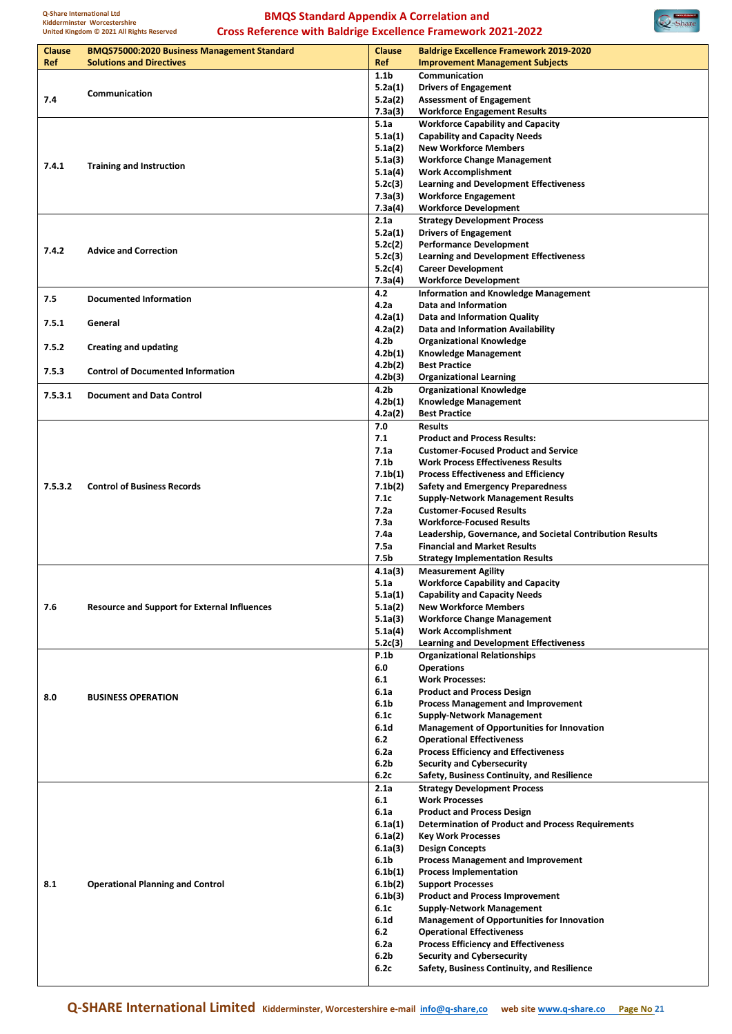



| <b>Clause</b><br>Ref | <b>BMQS75000:2020 Business Management Standard</b><br><b>Solutions and Directives</b> | <b>Clause</b><br>Ref                         | <b>Baldrige Excellence Framework 2019-2020</b><br><b>Improvement Management Subjects</b> |
|----------------------|---------------------------------------------------------------------------------------|----------------------------------------------|------------------------------------------------------------------------------------------|
|                      |                                                                                       | 1.1 <sub>b</sub>                             | Communication                                                                            |
|                      |                                                                                       | 5.2a(1)                                      | <b>Drivers of Engagement</b>                                                             |
| 7.4                  | Communication                                                                         | 5.2a(2)                                      | <b>Assessment of Engagement</b>                                                          |
|                      |                                                                                       | 7.3a(3)                                      | <b>Workforce Engagement Results</b>                                                      |
|                      |                                                                                       | 5.1a                                         | <b>Workforce Capability and Capacity</b>                                                 |
|                      |                                                                                       | 5.1a(1)                                      | <b>Capability and Capacity Needs</b>                                                     |
|                      |                                                                                       | 5.1a(2)                                      | <b>New Workforce Members</b>                                                             |
| 7.4.1                | <b>Training and Instruction</b>                                                       | 5.1a(3)                                      | <b>Workforce Change Management</b>                                                       |
|                      |                                                                                       | 5.1a(4)                                      | <b>Work Accomplishment</b><br><b>Learning and Development Effectiveness</b>              |
|                      |                                                                                       | 5.2c(3)<br>7.3a(3)                           | <b>Workforce Engagement</b>                                                              |
|                      |                                                                                       | 7.3a(4)                                      | <b>Workforce Development</b>                                                             |
|                      |                                                                                       | 2.1a                                         | <b>Strategy Development Process</b>                                                      |
|                      |                                                                                       | 5.2a(1)                                      | <b>Drivers of Engagement</b>                                                             |
| 7.4.2                | <b>Advice and Correction</b>                                                          | 5.2c(2)                                      | <b>Performance Development</b>                                                           |
|                      |                                                                                       | 5.2c(3)                                      | <b>Learning and Development Effectiveness</b>                                            |
|                      |                                                                                       | 5.2c(4)                                      | <b>Career Development</b>                                                                |
|                      |                                                                                       | 7.3a(4)                                      | <b>Workforce Development</b>                                                             |
| 7.5                  | <b>Documented Information</b>                                                         | 4.2                                          | <b>Information and Knowledge Management</b>                                              |
|                      |                                                                                       | 4.2a                                         | Data and Information                                                                     |
| 7.5.1                | General                                                                               | 4.2a(1)                                      | Data and Information Quality                                                             |
|                      |                                                                                       | 4.2a(2)<br>4.2b                              | Data and Information Availability                                                        |
| 7.5.2                | <b>Creating and updating</b>                                                          | 4.2b(1)                                      | <b>Organizational Knowledge</b><br><b>Knowledge Management</b>                           |
|                      |                                                                                       | 4.2 <sub>b</sub> (2)                         | <b>Best Practice</b>                                                                     |
| 7.5.3                | <b>Control of Documented Information</b>                                              | 4.2b(3)                                      | <b>Organizational Learning</b>                                                           |
|                      |                                                                                       | 4.2b                                         | <b>Organizational Knowledge</b>                                                          |
| 7.5.3.1              | <b>Document and Data Control</b>                                                      | 4.2b(1)                                      | <b>Knowledge Management</b>                                                              |
|                      |                                                                                       | 4.2a(2)                                      | <b>Best Practice</b>                                                                     |
|                      |                                                                                       | 7.0                                          | <b>Results</b>                                                                           |
|                      |                                                                                       | 7.1                                          | <b>Product and Process Results:</b>                                                      |
|                      |                                                                                       | 7.1a                                         | <b>Customer-Focused Product and Service</b>                                              |
|                      |                                                                                       | 7.1 <sub>b</sub>                             | <b>Work Process Effectiveness Results</b>                                                |
|                      |                                                                                       | 7.1 <sub>b(1)</sub>                          | <b>Process Effectiveness and Efficiency</b>                                              |
| 7.5.3.2              | <b>Control of Business Records</b>                                                    | 7.1 <sub>b</sub> (2)                         | <b>Safety and Emergency Preparedness</b>                                                 |
|                      |                                                                                       | 7.1c                                         | <b>Supply-Network Management Results</b>                                                 |
|                      |                                                                                       | 7.2a                                         | <b>Customer-Focused Results</b><br><b>Workforce-Focused Results</b>                      |
|                      |                                                                                       | 7.3a<br>7.4a                                 | Leadership, Governance, and Societal Contribution Results                                |
|                      |                                                                                       | 7.5a                                         | <b>Financial and Market Results</b>                                                      |
|                      |                                                                                       | 7.5 <sub>b</sub>                             | <b>Strategy Implementation Results</b>                                                   |
|                      |                                                                                       | 4.1a(3)                                      | <b>Measurement Agility</b>                                                               |
|                      |                                                                                       | 5.1a                                         | <b>Workforce Capability and Capacity</b>                                                 |
|                      |                                                                                       | 5.1a(1)                                      | <b>Capability and Capacity Needs</b>                                                     |
| 7.6                  | <b>Resource and Support for External Influences</b>                                   | 5.1a(2)                                      | <b>New Workforce Members</b>                                                             |
|                      |                                                                                       | 5.1a(3)                                      | <b>Workforce Change Management</b>                                                       |
|                      |                                                                                       | 5.1a(4)                                      | <b>Work Accomplishment</b>                                                               |
|                      |                                                                                       | 5.2c(3)                                      | <b>Learning and Development Effectiveness</b>                                            |
|                      |                                                                                       | <b>P.1b</b>                                  | <b>Organizational Relationships</b>                                                      |
|                      |                                                                                       | 6.0                                          | <b>Operations</b>                                                                        |
|                      |                                                                                       | 6.1                                          | <b>Work Processes:</b>                                                                   |
| 8.0                  | <b>BUSINESS OPERATION</b>                                                             | 6.1a<br>6.1 <sub>b</sub>                     | <b>Product and Process Design</b><br><b>Process Management and Improvement</b>           |
|                      |                                                                                       | 6.1c                                         | <b>Supply-Network Management</b>                                                         |
|                      |                                                                                       | 6.1 <sub>d</sub>                             | <b>Management of Opportunities for Innovation</b>                                        |
|                      |                                                                                       | 6.2                                          | <b>Operational Effectiveness</b>                                                         |
|                      |                                                                                       | 6.2a                                         | <b>Process Efficiency and Effectiveness</b>                                              |
|                      |                                                                                       | 6.2 <sub>b</sub>                             | <b>Security and Cybersecurity</b>                                                        |
|                      |                                                                                       | 6.2c                                         | Safety, Business Continuity, and Resilience                                              |
|                      |                                                                                       | 2.1a                                         | <b>Strategy Development Process</b>                                                      |
|                      |                                                                                       | 6.1                                          | <b>Work Processes</b>                                                                    |
|                      |                                                                                       | 6.1a                                         | <b>Product and Process Design</b>                                                        |
|                      |                                                                                       | 6.1a(1)                                      | <b>Determination of Product and Process Requirements</b>                                 |
|                      |                                                                                       | 6.1a(2)                                      | <b>Key Work Processes</b>                                                                |
|                      |                                                                                       | 6.1a(3)                                      | <b>Design Concepts</b>                                                                   |
|                      |                                                                                       | 6.1 <sub>b</sub>                             | <b>Process Management and Improvement</b>                                                |
| 8.1                  |                                                                                       | 6.1 <sub>b</sub> (1)                         | <b>Process Implementation</b>                                                            |
|                      | <b>Operational Planning and Control</b>                                               | 6.1 <sub>b</sub> (2)<br>6.1 <sub>b</sub> (3) | <b>Support Processes</b><br><b>Product and Process Improvement</b>                       |
|                      |                                                                                       | 6.1c                                         | <b>Supply-Network Management</b>                                                         |
|                      |                                                                                       | 6.1 <sub>d</sub>                             | <b>Management of Opportunities for Innovation</b>                                        |
|                      |                                                                                       | 6.2                                          | <b>Operational Effectiveness</b>                                                         |
|                      |                                                                                       | 6.2a                                         | <b>Process Efficiency and Effectiveness</b>                                              |
|                      |                                                                                       | 6.2 <sub>b</sub>                             | <b>Security and Cybersecurity</b>                                                        |
|                      |                                                                                       | 6.2c                                         | Safety, Business Continuity, and Resilience                                              |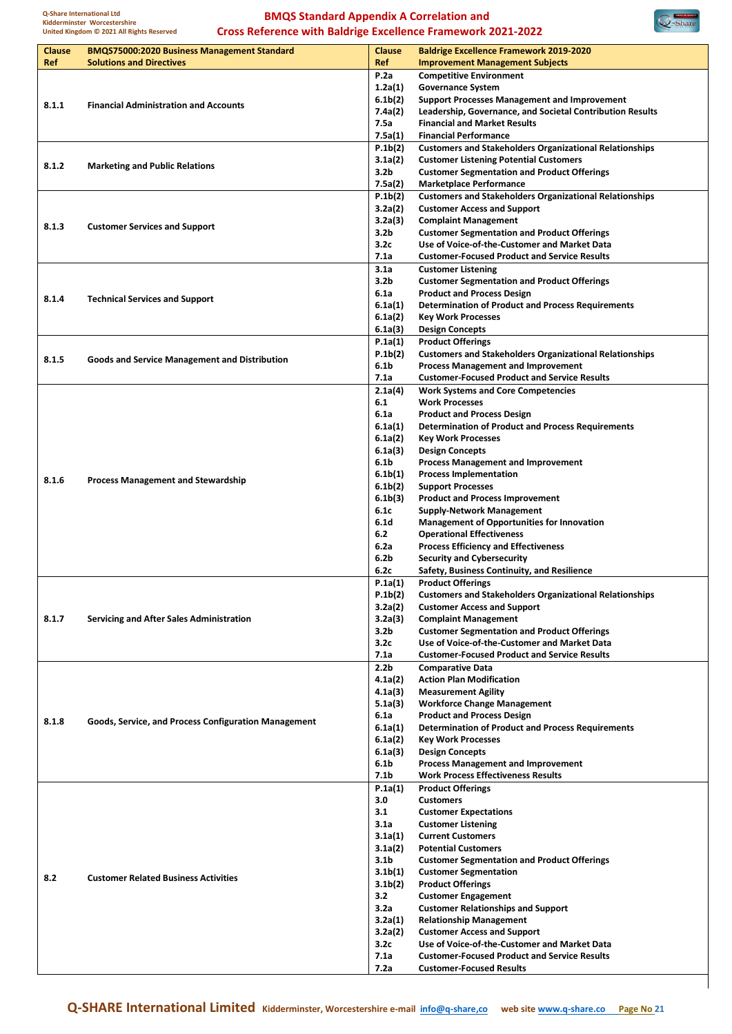

| Clause | <b>BMQS75000:2020 Business Management Standard</b>   | <b>Clause</b>               | <b>Baldrige Excellence Framework 2019-2020</b>                 |
|--------|------------------------------------------------------|-----------------------------|----------------------------------------------------------------|
| Ref    | <b>Solutions and Directives</b>                      | Ref                         | <b>Improvement Management Subjects</b>                         |
|        |                                                      | P.2a                        | <b>Competitive Environment</b>                                 |
|        |                                                      | 1.2a(1)                     | <b>Governance System</b>                                       |
|        |                                                      | 6.1 <sub>b</sub> (2)        | <b>Support Processes Management and Improvement</b>            |
| 8.1.1  | <b>Financial Administration and Accounts</b>         | 7.4a(2)                     | Leadership, Governance, and Societal Contribution Results      |
|        |                                                      | 7.5a                        | <b>Financial and Market Results</b>                            |
|        |                                                      | 7.5a(1)                     | <b>Financial Performance</b>                                   |
|        |                                                      | P.1b(2)                     | <b>Customers and Stakeholders Organizational Relationships</b> |
|        |                                                      | 3.1a(2)                     | <b>Customer Listening Potential Customers</b>                  |
| 8.1.2  | <b>Marketing and Public Relations</b>                | 3.2 <sub>b</sub>            | <b>Customer Segmentation and Product Offerings</b>             |
|        |                                                      | 7.5a(2)                     | <b>Marketplace Performance</b>                                 |
|        |                                                      | P.1b(2)                     | <b>Customers and Stakeholders Organizational Relationships</b> |
|        |                                                      | 3.2a(2)                     | <b>Customer Access and Support</b>                             |
| 8.1.3  | <b>Customer Services and Support</b>                 | 3.2a(3)                     | <b>Complaint Management</b>                                    |
|        |                                                      | 3.2 <sub>b</sub>            | <b>Customer Segmentation and Product Offerings</b>             |
|        |                                                      | 3.2c                        | Use of Voice-of-the-Customer and Market Data                   |
|        |                                                      | 7.1a                        | <b>Customer-Focused Product and Service Results</b>            |
|        |                                                      | 3.1a                        | <b>Customer Listening</b>                                      |
|        |                                                      | 3.2 <sub>b</sub>            | <b>Customer Segmentation and Product Offerings</b>             |
| 8.1.4  | <b>Technical Services and Support</b>                | 6.1a                        | <b>Product and Process Design</b>                              |
|        |                                                      | 6.1a(1)                     | <b>Determination of Product and Process Requirements</b>       |
|        |                                                      | 6.1a(2)                     | <b>Key Work Processes</b>                                      |
|        |                                                      | 6.1a(3)                     | <b>Design Concepts</b>                                         |
|        |                                                      | P.1a(1)                     | <b>Product Offerings</b>                                       |
| 8.1.5  | <b>Goods and Service Management and Distribution</b> | P.1b(2)                     | <b>Customers and Stakeholders Organizational Relationships</b> |
|        |                                                      | 6.1 <sub>b</sub>            | <b>Process Management and Improvement</b>                      |
|        |                                                      | 7.1a                        | <b>Customer-Focused Product and Service Results</b>            |
|        |                                                      | 2.1a(4)                     | <b>Work Systems and Core Competencies</b>                      |
|        |                                                      | 6.1                         | <b>Work Processes</b>                                          |
|        |                                                      | 6.1a                        | <b>Product and Process Design</b>                              |
|        |                                                      | 6.1a(1)                     | <b>Determination of Product and Process Requirements</b>       |
|        |                                                      | 6.1a(2)                     | <b>Key Work Processes</b>                                      |
|        |                                                      | 6.1a(3)                     | <b>Design Concepts</b>                                         |
|        |                                                      | 6.1 <sub>b</sub>            | <b>Process Management and Improvement</b>                      |
| 8.1.6  | <b>Process Management and Stewardship</b>            | 6.1 <sub>b</sub> (1)        | <b>Process Implementation</b>                                  |
|        |                                                      | 6.1 <sub>b</sub> (2)        | <b>Support Processes</b>                                       |
|        |                                                      | 6.1 <sub>b</sub> (3)        | <b>Product and Process Improvement</b>                         |
|        |                                                      | 6.1c                        | <b>Supply-Network Management</b>                               |
|        |                                                      | 6.1 <sub>d</sub>            | <b>Management of Opportunities for Innovation</b>              |
|        |                                                      | 6.2                         | <b>Operational Effectiveness</b>                               |
|        |                                                      | 6.2a                        | <b>Process Efficiency and Effectiveness</b>                    |
|        |                                                      | 6.2 <sub>b</sub>            | <b>Security and Cybersecurity</b>                              |
|        |                                                      | 6.2c                        | Safety, Business Continuity, and Resilience                    |
|        |                                                      | P.1a(1)                     | <b>Product Offerings</b>                                       |
|        |                                                      | P.1b(2)                     | <b>Customers and Stakeholders Organizational Relationships</b> |
|        |                                                      | 3.2a(2)                     | <b>Customer Access and Support</b>                             |
| 8.1.7  | <b>Servicing and After Sales Administration</b>      | 3.2a(3)                     | <b>Complaint Management</b>                                    |
|        |                                                      | 3.2 <sub>b</sub>            | <b>Customer Segmentation and Product Offerings</b>             |
|        |                                                      | 3.2c                        | Use of Voice-of-the-Customer and Market Data                   |
|        |                                                      | 7.1a                        | <b>Customer-Focused Product and Service Results</b>            |
|        |                                                      | 2.2 <sub>b</sub>            | <b>Comparative Data</b>                                        |
|        |                                                      | 4.1a(2)                     | <b>Action Plan Modification</b>                                |
|        |                                                      | 4.1a(3)                     | <b>Measurement Agility</b>                                     |
|        |                                                      | 5.1a(3)                     | <b>Workforce Change Management</b>                             |
| 8.1.8  | Goods, Service, and Process Configuration Management | 6.1a<br>6.1a(1)             | <b>Product and Process Design</b>                              |
|        |                                                      |                             | <b>Determination of Product and Process Requirements</b>       |
|        |                                                      | 6.1a(2)                     | <b>Key Work Processes</b><br><b>Design Concepts</b>            |
|        |                                                      | 6.1a(3)<br>6.1 <sub>b</sub> | <b>Process Management and Improvement</b>                      |
|        |                                                      | 7.1b                        | <b>Work Process Effectiveness Results</b>                      |
|        |                                                      | P.1a(1)                     | <b>Product Offerings</b>                                       |
|        |                                                      | 3.0                         | <b>Customers</b>                                               |
|        |                                                      | 3.1                         | <b>Customer Expectations</b>                                   |
|        |                                                      | 3.1a                        | <b>Customer Listening</b>                                      |
|        |                                                      | 3.1a(1)                     | <b>Current Customers</b>                                       |
|        |                                                      | 3.1a(2)                     | <b>Potential Customers</b>                                     |
|        |                                                      | 3.1 <sub>b</sub>            | <b>Customer Segmentation and Product Offerings</b>             |
|        |                                                      | 3.1 <sub>b</sub> (1)        | <b>Customer Segmentation</b>                                   |
| 8.2    | <b>Customer Related Business Activities</b>          | 3.1 <sub>b</sub> (2)        | <b>Product Offerings</b>                                       |
|        |                                                      | 3.2                         | <b>Customer Engagement</b>                                     |
|        |                                                      | 3.2a                        | <b>Customer Relationships and Support</b>                      |
|        |                                                      | 3.2a(1)                     | <b>Relationship Management</b>                                 |
|        |                                                      | 3.2a(2)                     | <b>Customer Access and Support</b>                             |
|        |                                                      | 3.2c                        | Use of Voice-of-the-Customer and Market Data                   |
|        |                                                      | 7.1a                        | <b>Customer-Focused Product and Service Results</b>            |
|        |                                                      | 7.2a                        | <b>Customer-Focused Results</b>                                |
|        |                                                      |                             |                                                                |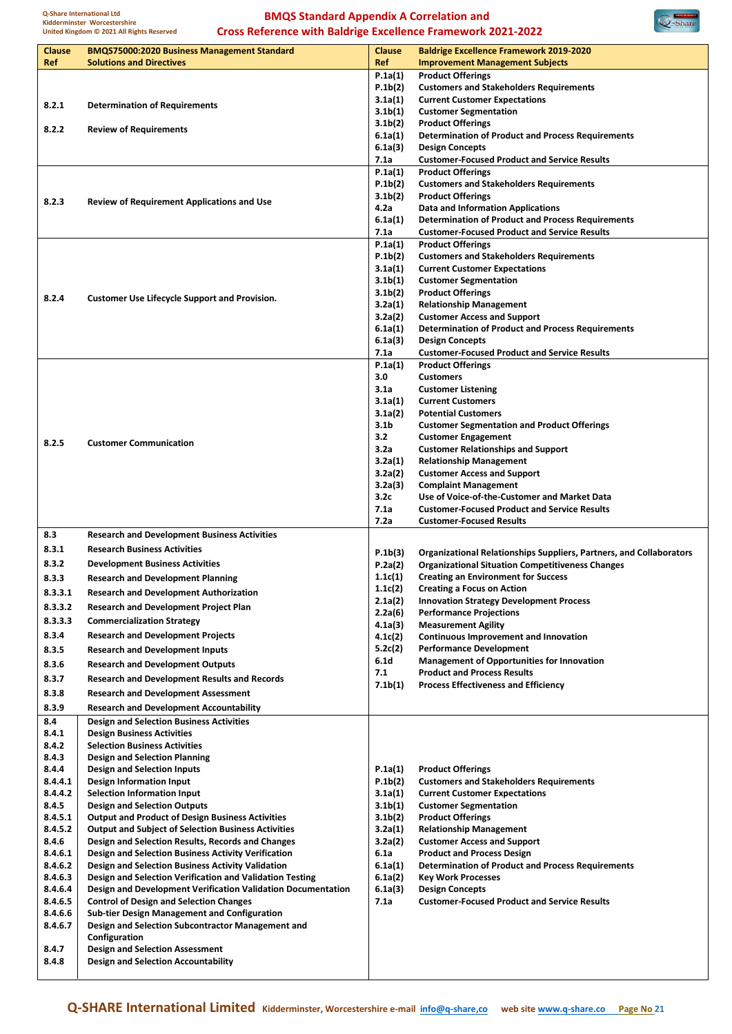

| Clause           | <b>BMQS75000:2020 Business Management Standard</b>                                                       | Clause                          | <b>Baldrige Excellence Framework 2019-2020</b>                                                        |
|------------------|----------------------------------------------------------------------------------------------------------|---------------------------------|-------------------------------------------------------------------------------------------------------|
| Ref              | <b>Solutions and Directives</b>                                                                          | Ref                             | <b>Improvement Management Subjects</b>                                                                |
|                  |                                                                                                          | P.1a(1)                         | <b>Product Offerings</b>                                                                              |
|                  |                                                                                                          | P.1b(2)<br>3.1a(1)              | <b>Customers and Stakeholders Requirements</b><br><b>Current Customer Expectations</b>                |
| 8.2.1            | <b>Determination of Requirements</b>                                                                     | 3.1 <sub>b</sub> (1)            | <b>Customer Segmentation</b>                                                                          |
|                  |                                                                                                          | 3.1 <sub>b</sub> (2)            | <b>Product Offerings</b>                                                                              |
| 8.2.2            | <b>Review of Requirements</b>                                                                            | 6.1a(1)                         | <b>Determination of Product and Process Requirements</b>                                              |
|                  |                                                                                                          | 6.1a(3)                         | <b>Design Concepts</b>                                                                                |
|                  |                                                                                                          | 7.1a                            | <b>Customer-Focused Product and Service Results</b>                                                   |
|                  |                                                                                                          | P.1a(1)                         | <b>Product Offerings</b>                                                                              |
|                  |                                                                                                          | P.1b(2)<br>3.1 <sub>b</sub> (2) | <b>Customers and Stakeholders Requirements</b><br><b>Product Offerings</b>                            |
| 8.2.3            | <b>Review of Requirement Applications and Use</b>                                                        | 4.2a                            | <b>Data and Information Applications</b>                                                              |
|                  |                                                                                                          | 6.1a(1)                         | <b>Determination of Product and Process Requirements</b>                                              |
|                  |                                                                                                          | 7.1a                            | <b>Customer-Focused Product and Service Results</b>                                                   |
|                  |                                                                                                          | P.1a(1)                         | <b>Product Offerings</b>                                                                              |
|                  |                                                                                                          | P.1b(2)                         | <b>Customers and Stakeholders Requirements</b>                                                        |
|                  |                                                                                                          | 3.1a(1)                         | <b>Current Customer Expectations</b>                                                                  |
|                  |                                                                                                          | 3.1 <sub>b</sub> (1)            | <b>Customer Segmentation</b>                                                                          |
| 8.2.4            | <b>Customer Use Lifecycle Support and Provision.</b>                                                     | 3.1 <sub>b</sub> (2)<br>3.2a(1) | <b>Product Offerings</b><br><b>Relationship Management</b>                                            |
|                  |                                                                                                          | 3.2a(2)                         | <b>Customer Access and Support</b>                                                                    |
|                  |                                                                                                          | 6.1a(1)                         | <b>Determination of Product and Process Requirements</b>                                              |
|                  |                                                                                                          | 6.1a(3)                         | <b>Design Concepts</b>                                                                                |
|                  |                                                                                                          | 7.1a                            | <b>Customer-Focused Product and Service Results</b>                                                   |
|                  |                                                                                                          | P.1a(1)                         | <b>Product Offerings</b>                                                                              |
|                  |                                                                                                          | 3.0                             | <b>Customers</b>                                                                                      |
|                  |                                                                                                          | 3.1a<br>3.1a(1)                 | <b>Customer Listening</b><br><b>Current Customers</b>                                                 |
|                  |                                                                                                          | 3.1a(2)                         | <b>Potential Customers</b>                                                                            |
|                  |                                                                                                          | 3.1 <sub>b</sub>                | <b>Customer Segmentation and Product Offerings</b>                                                    |
| 8.2.5            | <b>Customer Communication</b>                                                                            | 3.2                             | <b>Customer Engagement</b>                                                                            |
|                  |                                                                                                          | 3.2a                            | <b>Customer Relationships and Support</b>                                                             |
|                  |                                                                                                          | 3.2a(1)                         | <b>Relationship Management</b>                                                                        |
|                  |                                                                                                          | 3.2a(2)                         | <b>Customer Access and Support</b>                                                                    |
|                  |                                                                                                          | 3.2a(3)<br>3.2c                 | <b>Complaint Management</b><br>Use of Voice-of-the-Customer and Market Data                           |
|                  |                                                                                                          | 7.1a                            | <b>Customer-Focused Product and Service Results</b>                                                   |
|                  |                                                                                                          | 7.2a                            | <b>Customer-Focused Results</b>                                                                       |
|                  |                                                                                                          |                                 |                                                                                                       |
| 8.3              | <b>Research and Development Business Activities</b>                                                      |                                 |                                                                                                       |
| 8.3.1            | <b>Research Business Activities</b>                                                                      |                                 |                                                                                                       |
| 8.3.2            | <b>Development Business Activities</b>                                                                   | P.1b(3)<br>P.2a(2)              | Organizational Relationships Suppliers, Partners, and Collaborators                                   |
| 8.3.3            | <b>Research and Development Planning</b>                                                                 | 1.1c(1)                         | <b>Organizational Situation Competitiveness Changes</b><br><b>Creating an Environment for Success</b> |
| 8.3.3.1          | <b>Research and Development Authorization</b>                                                            | 1.1c(2)                         | <b>Creating a Focus on Action</b>                                                                     |
|                  |                                                                                                          | 2.1a(2)                         | <b>Innovation Strategy Development Process</b>                                                        |
| 8.3.3.2          | <b>Research and Development Project Plan</b>                                                             | 2.2a(6)                         | <b>Performance Projections</b>                                                                        |
| 8.3.3.3          | <b>Commercialization Strategy</b>                                                                        | 4.1a(3)                         | <b>Measurement Agility</b>                                                                            |
| 8.3.4            | <b>Research and Development Projects</b>                                                                 | 4.1c(2)                         | <b>Continuous Improvement and Innovation</b>                                                          |
| 8.3.5            | <b>Research and Development Inputs</b>                                                                   | 5.2c(2)<br>6.1d                 | <b>Performance Development</b><br><b>Management of Opportunities for Innovation</b>                   |
| 8.3.6            | <b>Research and Development Outputs</b>                                                                  | 7.1                             | <b>Product and Process Results</b>                                                                    |
| 8.3.7            | <b>Research and Development Results and Records</b>                                                      | 7.1 <sub>b</sub> (1)            | <b>Process Effectiveness and Efficiency</b>                                                           |
| 8.3.8            | <b>Research and Development Assessment</b>                                                               |                                 |                                                                                                       |
| 8.3.9            | <b>Research and Development Accountability</b>                                                           |                                 |                                                                                                       |
| 8.4              | <b>Design and Selection Business Activities</b>                                                          |                                 |                                                                                                       |
| 8.4.1            | <b>Design Business Activities</b>                                                                        |                                 |                                                                                                       |
| 8.4.2<br>8.4.3   | <b>Selection Business Activities</b><br><b>Design and Selection Planning</b>                             |                                 |                                                                                                       |
| 8.4.4            | Design and Selection Inputs                                                                              | P.1a(1)                         | <b>Product Offerings</b>                                                                              |
| 8.4.4.1          | Design Information Input                                                                                 | P.1b(2)                         | <b>Customers and Stakeholders Requirements</b>                                                        |
| 8.4.4.2          | Selection Information Input                                                                              | 3.1a(1)                         | <b>Current Customer Expectations</b>                                                                  |
| 8.4.5            | <b>Design and Selection Outputs</b>                                                                      | 3.1 <sub>b</sub> (1)            | <b>Customer Segmentation</b>                                                                          |
| 8.4.5.1          | <b>Output and Product of Design Business Activities</b>                                                  | 3.1 <sub>b</sub> (2)            | <b>Product Offerings</b>                                                                              |
| 8.4.5.2          | <b>Output and Subject of Selection Business Activities</b>                                               | 3.2a(1)                         | <b>Relationship Management</b>                                                                        |
| 8.4.6<br>8.4.6.1 | Design and Selection Results, Records and Changes<br>Design and Selection Business Activity Verification | 3.2a(2)<br>6.1a                 | <b>Customer Access and Support</b><br><b>Product and Process Design</b>                               |
| 8.4.6.2          | Design and Selection Business Activity Validation                                                        | 6.1a(1)                         | <b>Determination of Product and Process Requirements</b>                                              |
| 8.4.6.3          | Design and Selection Verification and Validation Testing                                                 | 6.1a(2)                         | <b>Key Work Processes</b>                                                                             |
| 8.4.6.4          | Design and Development Verification Validation Documentation                                             | 6.1a(3)                         | <b>Design Concepts</b>                                                                                |
| 8.4.6.5          | <b>Control of Design and Selection Changes</b>                                                           | 7.1a                            | <b>Customer-Focused Product and Service Results</b>                                                   |
| 8.4.6.6          | Sub-tier Design Management and Configuration                                                             |                                 |                                                                                                       |
| 8.4.6.7          | Design and Selection Subcontractor Management and                                                        |                                 |                                                                                                       |
|                  | Configuration                                                                                            |                                 |                                                                                                       |
| 8.4.7<br>8.4.8   | <b>Design and Selection Assessment</b><br><b>Design and Selection Accountability</b>                     |                                 |                                                                                                       |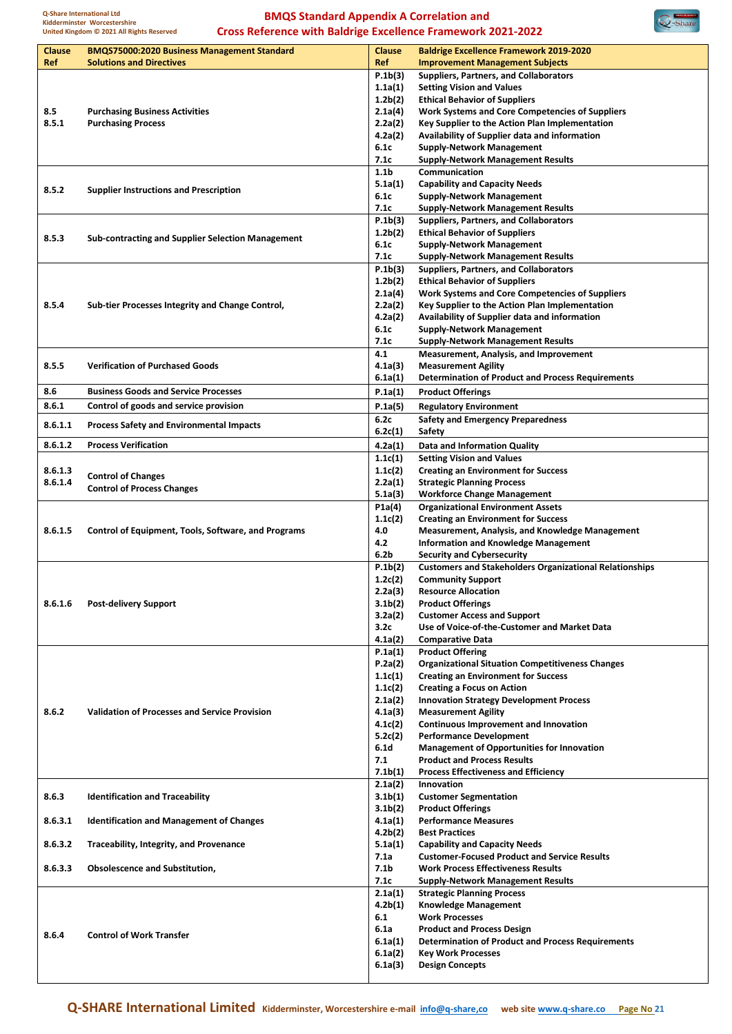

| Clause  | <b>BMQS75000:2020 Business Management Standard</b>       | <b>Clause</b>        | <b>Baldrige Excellence Framework 2019-2020</b>                 |
|---------|----------------------------------------------------------|----------------------|----------------------------------------------------------------|
| Ref     | <b>Solutions and Directives</b>                          | Ref                  | <b>Improvement Management Subjects</b>                         |
|         |                                                          | P.1b(3)              | Suppliers, Partners, and Collaborators                         |
|         |                                                          | 1.1a(1)              | <b>Setting Vision and Values</b>                               |
|         |                                                          | 1.2 <sub>b</sub> (2) | <b>Ethical Behavior of Suppliers</b>                           |
| 8.5     | <b>Purchasing Business Activities</b>                    | 2.1a(4)              | Work Systems and Core Competencies of Suppliers                |
| 8.5.1   | <b>Purchasing Process</b>                                | 2.2a(2)              | Key Supplier to the Action Plan Implementation                 |
|         |                                                          |                      |                                                                |
|         |                                                          | 4.2a(2)              | Availability of Supplier data and information                  |
|         |                                                          | 6.1c                 | <b>Supply-Network Management</b>                               |
|         |                                                          | 7.1c                 | <b>Supply-Network Management Results</b>                       |
|         |                                                          | 1.1 <sub>b</sub>     | Communication                                                  |
|         |                                                          | 5.1a(1)              | <b>Capability and Capacity Needs</b>                           |
| 8.5.2   | <b>Supplier Instructions and Prescription</b>            | 6.1c                 | <b>Supply-Network Management</b>                               |
|         |                                                          | 7.1c                 | <b>Supply-Network Management Results</b>                       |
|         |                                                          | P.1b(3)              | <b>Suppliers, Partners, and Collaborators</b>                  |
|         |                                                          | 1.2 <sub>b</sub> (2) | <b>Ethical Behavior of Suppliers</b>                           |
| 8.5.3   | <b>Sub-contracting and Supplier Selection Management</b> |                      |                                                                |
|         |                                                          | 6.1c                 | <b>Supply-Network Management</b>                               |
|         |                                                          | 7.1c                 | <b>Supply-Network Management Results</b>                       |
|         |                                                          | P.1b(3)              | Suppliers, Partners, and Collaborators                         |
|         |                                                          | 1.2 <sub>b</sub> (2) | <b>Ethical Behavior of Suppliers</b>                           |
|         |                                                          | 2.1a(4)              | <b>Work Systems and Core Competencies of Suppliers</b>         |
| 8.5.4   | Sub-tier Processes Integrity and Change Control,         | 2.2a(2)              | Key Supplier to the Action Plan Implementation                 |
|         |                                                          | 4.2a(2)              | Availability of Supplier data and information                  |
|         |                                                          | 6.1c                 | <b>Supply-Network Management</b>                               |
|         |                                                          | 7.1c                 | <b>Supply-Network Management Results</b>                       |
|         |                                                          | 4.1                  | Measurement, Analysis, and Improvement                         |
|         |                                                          |                      |                                                                |
| 8.5.5   | <b>Verification of Purchased Goods</b>                   | 4.1a(3)              | <b>Measurement Agility</b>                                     |
|         |                                                          | 6.1a(1)              | <b>Determination of Product and Process Requirements</b>       |
| 8.6     | <b>Business Goods and Service Processes</b>              | P.1a(1)              | <b>Product Offerings</b>                                       |
| 8.6.1   | Control of goods and service provision                   | P.1a(5)              | <b>Regulatory Environment</b>                                  |
|         |                                                          | 6.2c                 | <b>Safety and Emergency Preparedness</b>                       |
| 8.6.1.1 | Process Safety and Environmental Impacts                 | 6.2c(1)              | Safety                                                         |
|         |                                                          |                      |                                                                |
| 8.6.1.2 | <b>Process Verification</b>                              | 4.2a(1)              | <b>Data and Information Quality</b>                            |
|         |                                                          | 1.1c(1)              | <b>Setting Vision and Values</b>                               |
| 8.6.1.3 |                                                          | 1.1c(2)              | <b>Creating an Environment for Success</b>                     |
| 8.6.1.4 | <b>Control of Changes</b>                                | 2.2a(1)              | <b>Strategic Planning Process</b>                              |
|         | <b>Control of Process Changes</b>                        | 5.1a(3)              | <b>Workforce Change Management</b>                             |
|         |                                                          | P1a(4)               | <b>Organizational Environment Assets</b>                       |
|         |                                                          | 1.1c(2)              | <b>Creating an Environment for Success</b>                     |
|         |                                                          |                      |                                                                |
| 8.6.1.5 | Control of Equipment, Tools, Software, and Programs      | 4.0                  | <b>Measurement, Analysis, and Knowledge Management</b>         |
|         |                                                          | 4.2                  | <b>Information and Knowledge Management</b>                    |
|         |                                                          | 6.2b                 | <b>Security and Cybersecurity</b>                              |
|         |                                                          | P.1b(2)              | <b>Customers and Stakeholders Organizational Relationships</b> |
|         |                                                          | 1.2c(2)              | <b>Community Support</b>                                       |
|         |                                                          | 2.2a(3)              | <b>Resource Allocation</b>                                     |
| 8.6.1.6 | <b>Post-delivery Support</b>                             | 3.1 <sub>b</sub> (2) | <b>Product Offerings</b>                                       |
|         |                                                          | 3.2a(2)              | <b>Customer Access and Support</b>                             |
|         |                                                          | 3.2c                 | Use of Voice-of-the-Customer and Market Data                   |
|         |                                                          |                      |                                                                |
|         |                                                          | 4.1a(2)              | <b>Comparative Data</b>                                        |
|         |                                                          | P.1a(1)              | <b>Product Offering</b>                                        |
|         |                                                          | P.2a(2)              | <b>Organizational Situation Competitiveness Changes</b>        |
|         |                                                          | 1.1c(1)              | <b>Creating an Environment for Success</b>                     |
|         |                                                          | 1.1c(2)              | <b>Creating a Focus on Action</b>                              |
|         |                                                          | 2.1a(2)              | <b>Innovation Strategy Development Process</b>                 |
| 8.6.2   | <b>Validation of Processes and Service Provision</b>     | 4.1a(3)              | <b>Measurement Agility</b>                                     |
|         |                                                          | 4.1c(2)              | Continuous Improvement and Innovation                          |
|         |                                                          | 5.2c(2)              | <b>Performance Development</b>                                 |
|         |                                                          | 6.1d                 |                                                                |
|         |                                                          |                      | <b>Management of Opportunities for Innovation</b>              |
|         |                                                          | 7.1                  | <b>Product and Process Results</b>                             |
|         |                                                          | 7.1 <sub>b</sub> (1) | <b>Process Effectiveness and Efficiency</b>                    |
|         |                                                          | 2.1a(2)              | Innovation                                                     |
| 8.6.3   | <b>Identification and Traceability</b>                   | 3.1 <sub>b</sub> (1) | <b>Customer Segmentation</b>                                   |
|         |                                                          | 3.1 <sub>b</sub> (2) | <b>Product Offerings</b>                                       |
| 8.6.3.1 | <b>Identification and Management of Changes</b>          | 4.1a(1)              | <b>Performance Measures</b>                                    |
|         |                                                          | 4.2 <sub>b</sub> (2) | <b>Best Practices</b>                                          |
| 8.6.3.2 | <b>Traceability, Integrity, and Provenance</b>           | 5.1a(1)              | <b>Capability and Capacity Needs</b>                           |
|         |                                                          | 7.1a                 | <b>Customer-Focused Product and Service Results</b>            |
|         |                                                          |                      | <b>Work Process Effectiveness Results</b>                      |
| 8.6.3.3 | <b>Obsolescence and Substitution,</b>                    | 7.1b                 |                                                                |
|         |                                                          | 7.1c                 | <b>Supply-Network Management Results</b>                       |
|         |                                                          | 2.1a(1)              | <b>Strategic Planning Process</b>                              |
|         |                                                          | 4.2 <sub>b</sub> (1) | <b>Knowledge Management</b>                                    |
|         |                                                          | 6.1                  | <b>Work Processes</b>                                          |
|         |                                                          | 6.1a                 | <b>Product and Process Design</b>                              |
| 8.6.4   | <b>Control of Work Transfer</b>                          | 6.1a(1)              | <b>Determination of Product and Process Requirements</b>       |
|         |                                                          | 6.1a(2)              | <b>Key Work Processes</b>                                      |
|         |                                                          | 6.1a(3)              | <b>Design Concepts</b>                                         |
|         |                                                          |                      |                                                                |
|         |                                                          |                      |                                                                |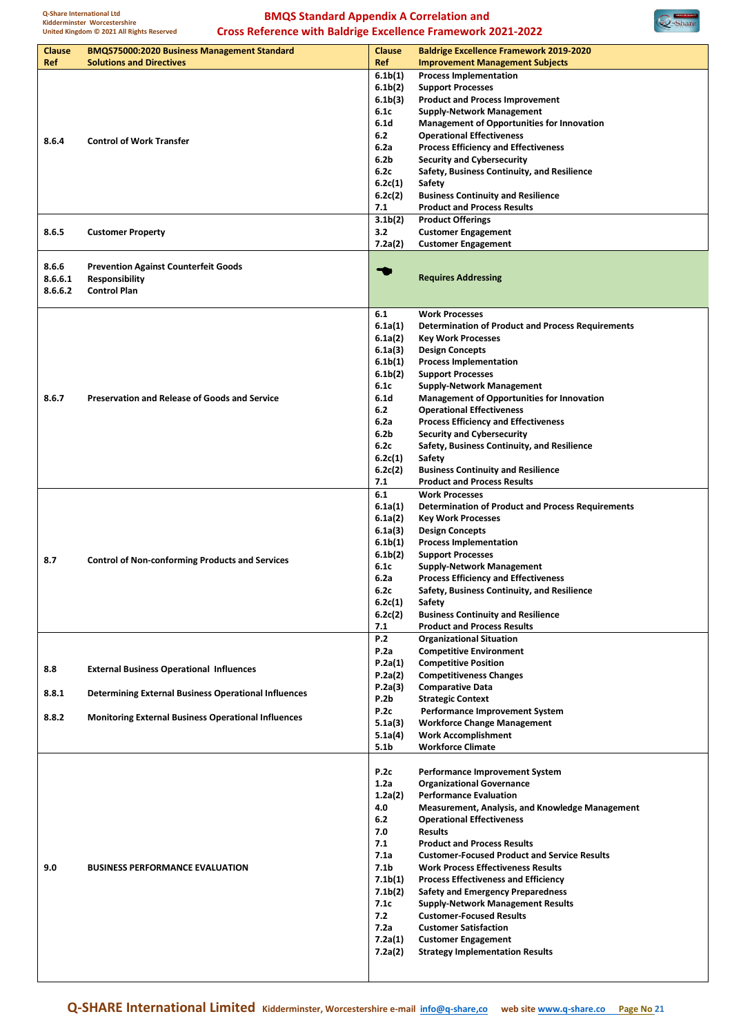

| Clause  | <b>BMQS75000:2020 Business Management Standard</b>          | <b>Clause</b>        | <b>Baldrige Excellence Framework 2019-2020</b>           |
|---------|-------------------------------------------------------------|----------------------|----------------------------------------------------------|
| Ref     | <b>Solutions and Directives</b>                             | Ref                  | <b>Improvement Management Subjects</b>                   |
|         |                                                             | 6.1 <sub>b</sub> (1) | <b>Process Implementation</b>                            |
|         |                                                             | 6.1 <sub>b</sub> (2) | <b>Support Processes</b>                                 |
|         |                                                             | 6.1 <sub>b</sub> (3) | <b>Product and Process Improvement</b>                   |
|         |                                                             | 6.1c                 | <b>Supply-Network Management</b>                         |
|         |                                                             | 6.1 <sub>d</sub>     | <b>Management of Opportunities for Innovation</b>        |
| 8.6.4   | <b>Control of Work Transfer</b>                             | 6.2                  | <b>Operational Effectiveness</b>                         |
|         |                                                             | 6.2a                 | <b>Process Efficiency and Effectiveness</b>              |
|         |                                                             | 6.2b                 | <b>Security and Cybersecurity</b>                        |
|         |                                                             | 6.2c                 | Safety, Business Continuity, and Resilience              |
|         |                                                             | 6.2c(1)              | Safety                                                   |
|         |                                                             | 6.2c(2)              | <b>Business Continuity and Resilience</b>                |
|         |                                                             | 7.1                  | <b>Product and Process Results</b>                       |
|         |                                                             | 3.1 <sub>b</sub> (2) | <b>Product Offerings</b>                                 |
| 8.6.5   | <b>Customer Property</b>                                    | 3.2                  | <b>Customer Engagement</b>                               |
|         |                                                             | 7.2a(2)              | <b>Customer Engagement</b>                               |
|         |                                                             |                      |                                                          |
| 8.6.6   | <b>Prevention Against Counterfeit Goods</b>                 | ኈ                    |                                                          |
| 8.6.6.1 | <b>Responsibility</b>                                       |                      | <b>Requires Addressing</b>                               |
| 8.6.6.2 | <b>Control Plan</b>                                         |                      |                                                          |
|         |                                                             |                      |                                                          |
|         |                                                             | 6.1                  | <b>Work Processes</b>                                    |
|         |                                                             | 6.1a(1)              | <b>Determination of Product and Process Requirements</b> |
|         |                                                             | 6.1a(2)              | <b>Key Work Processes</b>                                |
|         |                                                             | 6.1a(3)              | <b>Design Concepts</b>                                   |
|         |                                                             | 6.1 <sub>b</sub> (1) | <b>Process Implementation</b>                            |
|         |                                                             | 6.1 <sub>b</sub> (2) | <b>Support Processes</b>                                 |
|         |                                                             | 6.1c                 | <b>Supply-Network Management</b>                         |
| 8.6.7   | <b>Preservation and Release of Goods and Service</b>        | 6.1 <sub>d</sub>     | <b>Management of Opportunities for Innovation</b>        |
|         |                                                             | 6.2                  | <b>Operational Effectiveness</b>                         |
|         |                                                             | 6.2a                 | <b>Process Efficiency and Effectiveness</b>              |
|         |                                                             | 6.2 <sub>b</sub>     | <b>Security and Cybersecurity</b>                        |
|         |                                                             | 6.2c                 | Safety, Business Continuity, and Resilience              |
|         |                                                             | 6.2c(1)              | Safety                                                   |
|         |                                                             | 6.2c(2)              | <b>Business Continuity and Resilience</b>                |
|         |                                                             | 7.1                  | <b>Product and Process Results</b>                       |
|         |                                                             | 6.1                  | <b>Work Processes</b>                                    |
|         |                                                             | 6.1a(1)              | <b>Determination of Product and Process Requirements</b> |
|         |                                                             | 6.1a(2)              | <b>Key Work Processes</b>                                |
|         |                                                             | 6.1a(3)              | <b>Design Concepts</b>                                   |
|         |                                                             | 6.1 <sub>b</sub> (1) | <b>Process Implementation</b>                            |
| 8.7     | <b>Control of Non-conforming Products and Services</b>      | 6.1 <sub>b</sub> (2) | <b>Support Processes</b>                                 |
|         |                                                             | 6.1c                 | <b>Supply-Network Management</b>                         |
|         |                                                             | 6.2a                 | <b>Process Efficiency and Effectiveness</b>              |
|         |                                                             | 6.2c                 | Safety, Business Continuity, and Resilience              |
|         |                                                             | 6.2c(1)              | Safety                                                   |
|         |                                                             | 6.2c(2)              | <b>Business Continuity and Resilience</b>                |
|         |                                                             | 7.1                  | <b>Product and Process Results</b>                       |
|         |                                                             | P.2                  | <b>Organizational Situation</b>                          |
|         |                                                             | <b>P.2a</b>          | <b>Competitive Environment</b>                           |
| 8.8     | <b>External Business Operational Influences</b>             | P.2a(1)              | <b>Competitive Position</b>                              |
|         |                                                             | P.2a(2)              | <b>Competitiveness Changes</b>                           |
| 8.8.1   |                                                             | P.2a(3)              | <b>Comparative Data</b>                                  |
|         | <b>Determining External Business Operational Influences</b> | P.2b                 | <b>Strategic Context</b>                                 |
| 8.8.2   | <b>Monitoring External Business Operational Influences</b>  | P.2c                 | Performance Improvement System                           |
|         |                                                             | 5.1a(3)              | <b>Workforce Change Management</b>                       |
|         |                                                             | 5.1a(4)              | <b>Work Accomplishment</b>                               |
|         |                                                             | 5.1 <sub>b</sub>     | <b>Workforce Climate</b>                                 |
|         |                                                             |                      |                                                          |
|         |                                                             | P.2c                 | <b>Performance Improvement System</b>                    |
|         |                                                             | 1.2a                 | <b>Organizational Governance</b>                         |
|         |                                                             | 1.2a(2)              | <b>Performance Evaluation</b>                            |
|         |                                                             | 4.0                  | <b>Measurement, Analysis, and Knowledge Management</b>   |
|         |                                                             | 6.2                  | <b>Operational Effectiveness</b>                         |
|         |                                                             | 7.0                  | <b>Results</b>                                           |
|         |                                                             | 7.1                  | <b>Product and Process Results</b>                       |
|         |                                                             | 7.1a                 | <b>Customer-Focused Product and Service Results</b>      |
| 9.0     | <b>BUSINESS PERFORMANCE EVALUATION</b>                      | 7.1b                 | <b>Work Process Effectiveness Results</b>                |
|         |                                                             | 7.1 <sub>b</sub> (1) | <b>Process Effectiveness and Efficiency</b>              |
|         |                                                             | 7.1 <sub>b</sub> (2) | <b>Safety and Emergency Preparedness</b>                 |
|         |                                                             | 7.1c                 | <b>Supply-Network Management Results</b>                 |
|         |                                                             | 7.2                  | <b>Customer-Focused Results</b>                          |
|         |                                                             | 7.2a                 | <b>Customer Satisfaction</b>                             |
|         |                                                             | 7.2a(1)              | <b>Customer Engagement</b>                               |
|         |                                                             | 7.2a(2)              | <b>Strategy Implementation Results</b>                   |
|         |                                                             |                      |                                                          |
|         |                                                             |                      |                                                          |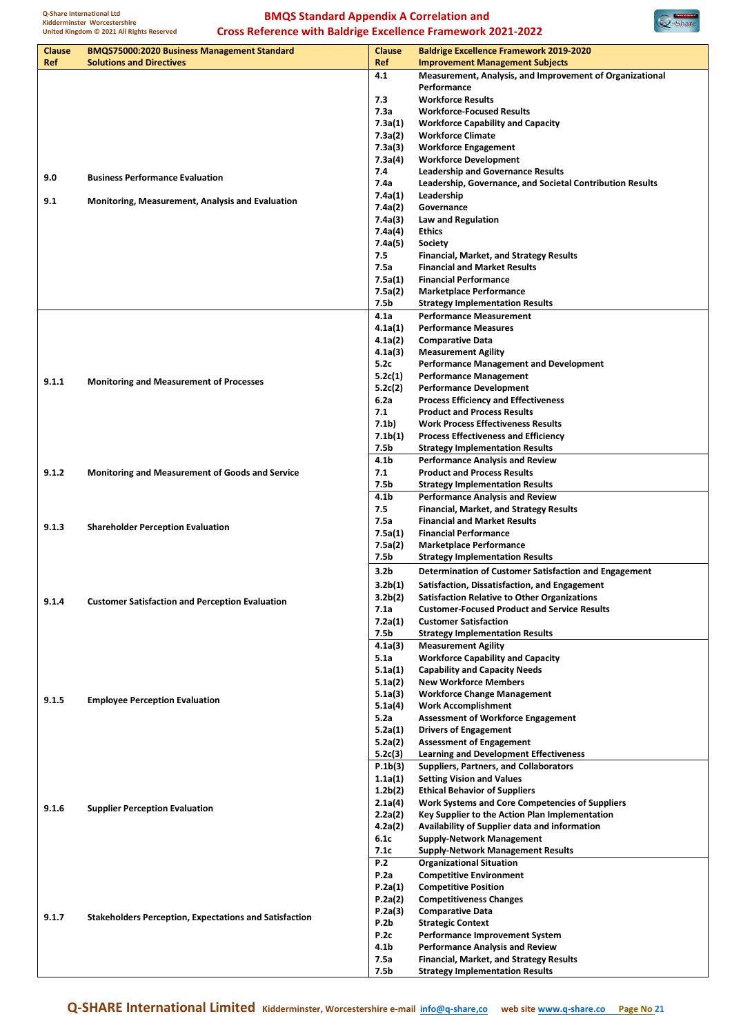

|               | $\mathbf{x}$ - Avance<br><b>Cross Reference with Baldrige Excellence Framework 2021-2022</b><br>United Kingdom @ 2021 All Rights Reserved |                      |                                                                                                 |  |
|---------------|-------------------------------------------------------------------------------------------------------------------------------------------|----------------------|-------------------------------------------------------------------------------------------------|--|
| <b>Clause</b> | <b>BMQS75000:2020 Business Management Standard</b>                                                                                        | <b>Clause</b>        | <b>Baldrige Excellence Framework 2019-2020</b>                                                  |  |
| Ref           | <b>Solutions and Directives</b>                                                                                                           | Ref                  | <b>Improvement Management Subjects</b>                                                          |  |
|               |                                                                                                                                           | 4.1                  | Measurement, Analysis, and Improvement of Organizational                                        |  |
|               |                                                                                                                                           |                      | Performance                                                                                     |  |
|               |                                                                                                                                           | 7.3                  | <b>Workforce Results</b>                                                                        |  |
|               |                                                                                                                                           | 7.3а                 | <b>Workforce-Focused Results</b>                                                                |  |
|               |                                                                                                                                           | 7.3a(1)              | <b>Workforce Capability and Capacity</b>                                                        |  |
|               |                                                                                                                                           | 7.3a(2)<br>7.3a(3)   | <b>Workforce Climate</b><br><b>Workforce Engagement</b>                                         |  |
|               |                                                                                                                                           | 7.3a(4)              | <b>Workforce Development</b>                                                                    |  |
|               |                                                                                                                                           | 7.4                  | <b>Leadership and Governance Results</b>                                                        |  |
| 9.0           | <b>Business Performance Evaluation</b>                                                                                                    | 7.4a                 | Leadership, Governance, and Societal Contribution Results                                       |  |
|               |                                                                                                                                           | 7.4a(1)              | Leadership                                                                                      |  |
| 9.1           | Monitoring, Measurement, Analysis and Evaluation                                                                                          | 7.4a(2)              | Governance                                                                                      |  |
|               |                                                                                                                                           | 7.4a(3)              | Law and Regulation                                                                              |  |
|               |                                                                                                                                           | 7.4a(4)              | <b>Ethics</b>                                                                                   |  |
|               |                                                                                                                                           | 7.4a(5)              | Society                                                                                         |  |
|               |                                                                                                                                           | 7.5<br>7.5a          | <b>Financial, Market, and Strategy Results</b><br><b>Financial and Market Results</b>           |  |
|               |                                                                                                                                           | 7.5a(1)              | <b>Financial Performance</b>                                                                    |  |
|               |                                                                                                                                           | 7.5a(2)              | <b>Marketplace Performance</b>                                                                  |  |
|               |                                                                                                                                           | 7.5b                 | <b>Strategy Implementation Results</b>                                                          |  |
|               |                                                                                                                                           | 4.1a                 | <b>Performance Measurement</b>                                                                  |  |
|               |                                                                                                                                           | 4.1a(1)              | <b>Performance Measures</b>                                                                     |  |
|               |                                                                                                                                           | 4.1a(2)              | <b>Comparative Data</b>                                                                         |  |
|               |                                                                                                                                           | 4.1a(3)              | <b>Measurement Agility</b>                                                                      |  |
|               |                                                                                                                                           | 5.2c                 | <b>Performance Management and Development</b>                                                   |  |
| 9.1.1         | <b>Monitoring and Measurement of Processes</b>                                                                                            | 5.2c(1)              | <b>Performance Management</b>                                                                   |  |
|               |                                                                                                                                           | 5.2c(2)              | <b>Performance Development</b>                                                                  |  |
|               |                                                                                                                                           | 6.2a<br>7.1          | <b>Process Efficiency and Effectiveness</b><br><b>Product and Process Results</b>               |  |
|               |                                                                                                                                           | 7.1b)                | <b>Work Process Effectiveness Results</b>                                                       |  |
|               |                                                                                                                                           | 7.1b(1)              | <b>Process Effectiveness and Efficiency</b>                                                     |  |
|               |                                                                                                                                           | 7.5b                 | <b>Strategy Implementation Results</b>                                                          |  |
|               |                                                                                                                                           | 4.1b                 | <b>Performance Analysis and Review</b>                                                          |  |
| 9.1.2         | <b>Monitoring and Measurement of Goods and Service</b>                                                                                    | 7.1                  | <b>Product and Process Results</b>                                                              |  |
|               |                                                                                                                                           | 7.5b                 | <b>Strategy Implementation Results</b>                                                          |  |
|               |                                                                                                                                           | 4.1b                 | <b>Performance Analysis and Review</b>                                                          |  |
|               |                                                                                                                                           | 7.5                  | <b>Financial, Market, and Strategy Results</b>                                                  |  |
| 9.1.3         | <b>Shareholder Perception Evaluation</b>                                                                                                  | 7.5a<br>7.5a(1)      | <b>Financial and Market Results</b><br><b>Financial Performance</b>                             |  |
|               |                                                                                                                                           | 7.5a(2)              | <b>Marketplace Performance</b>                                                                  |  |
|               |                                                                                                                                           | 7.5b                 | <b>Strategy Implementation Results</b>                                                          |  |
|               |                                                                                                                                           | 3.2 <sub>b</sub>     | Determination of Customer Satisfaction and Engagement                                           |  |
|               |                                                                                                                                           | 3.2 <sub>b</sub> (1) | Satisfaction, Dissatisfaction, and Engagement                                                   |  |
|               |                                                                                                                                           | 3.2 <sub>b</sub> (2) | <b>Satisfaction Relative to Other Organizations</b>                                             |  |
| 9.1.4         | <b>Customer Satisfaction and Perception Evaluation</b>                                                                                    | 7.1a                 | <b>Customer-Focused Product and Service Results</b>                                             |  |
|               |                                                                                                                                           | 7.2a(1)              | <b>Customer Satisfaction</b>                                                                    |  |
|               |                                                                                                                                           | 7.5b                 | <b>Strategy Implementation Results</b>                                                          |  |
|               |                                                                                                                                           | 4.1a(3)              | <b>Measurement Agility</b>                                                                      |  |
|               |                                                                                                                                           | 5.1a                 | <b>Workforce Capability and Capacity</b>                                                        |  |
|               |                                                                                                                                           | 5.1a(1)              | <b>Capability and Capacity Needs</b>                                                            |  |
|               |                                                                                                                                           | 5.1a(2)<br>5.1a(3)   | <b>New Workforce Members</b><br><b>Workforce Change Management</b>                              |  |
| 9.1.5         | <b>Employee Perception Evaluation</b>                                                                                                     | 5.1a(4)              | <b>Work Accomplishment</b>                                                                      |  |
|               |                                                                                                                                           | 5.2a                 | <b>Assessment of Workforce Engagement</b>                                                       |  |
|               |                                                                                                                                           | 5.2a(1)              | <b>Drivers of Engagement</b>                                                                    |  |
|               |                                                                                                                                           | 5.2a(2)              | <b>Assessment of Engagement</b>                                                                 |  |
|               |                                                                                                                                           | 5.2c(3)              | <b>Learning and Development Effectiveness</b>                                                   |  |
|               |                                                                                                                                           | P.1b(3)              | Suppliers, Partners, and Collaborators                                                          |  |
|               |                                                                                                                                           | 1.1a(1)              | <b>Setting Vision and Values</b>                                                                |  |
|               |                                                                                                                                           | 1.2 <sub>b</sub> (2) | <b>Ethical Behavior of Suppliers</b>                                                            |  |
| 9.1.6         | <b>Supplier Perception Evaluation</b>                                                                                                     | 2.1a(4)              | <b>Work Systems and Core Competencies of Suppliers</b>                                          |  |
|               |                                                                                                                                           | 2.2a(2)<br>4.2a(2)   | Key Supplier to the Action Plan Implementation<br>Availability of Supplier data and information |  |
|               |                                                                                                                                           | 6.1c                 | <b>Supply-Network Management</b>                                                                |  |
|               |                                                                                                                                           | 7.1c                 | <b>Supply-Network Management Results</b>                                                        |  |
|               |                                                                                                                                           | P.2                  | <b>Organizational Situation</b>                                                                 |  |
|               |                                                                                                                                           | P.2a                 | <b>Competitive Environment</b>                                                                  |  |
|               |                                                                                                                                           | P.2a(1)              | <b>Competitive Position</b>                                                                     |  |
|               |                                                                                                                                           | P.2a(2)              | <b>Competitiveness Changes</b>                                                                  |  |
| 9.1.7         | <b>Stakeholders Perception, Expectations and Satisfaction</b>                                                                             | P.2a(3)              | <b>Comparative Data</b>                                                                         |  |
|               |                                                                                                                                           | P.2b                 | <b>Strategic Context</b>                                                                        |  |
|               |                                                                                                                                           | P.2c<br>4.1b         | Performance Improvement System<br><b>Performance Analysis and Review</b>                        |  |
|               |                                                                                                                                           | 7.5a                 | <b>Financial, Market, and Strategy Results</b>                                                  |  |
|               |                                                                                                                                           | 7.5b                 | <b>Strategy Implementation Results</b>                                                          |  |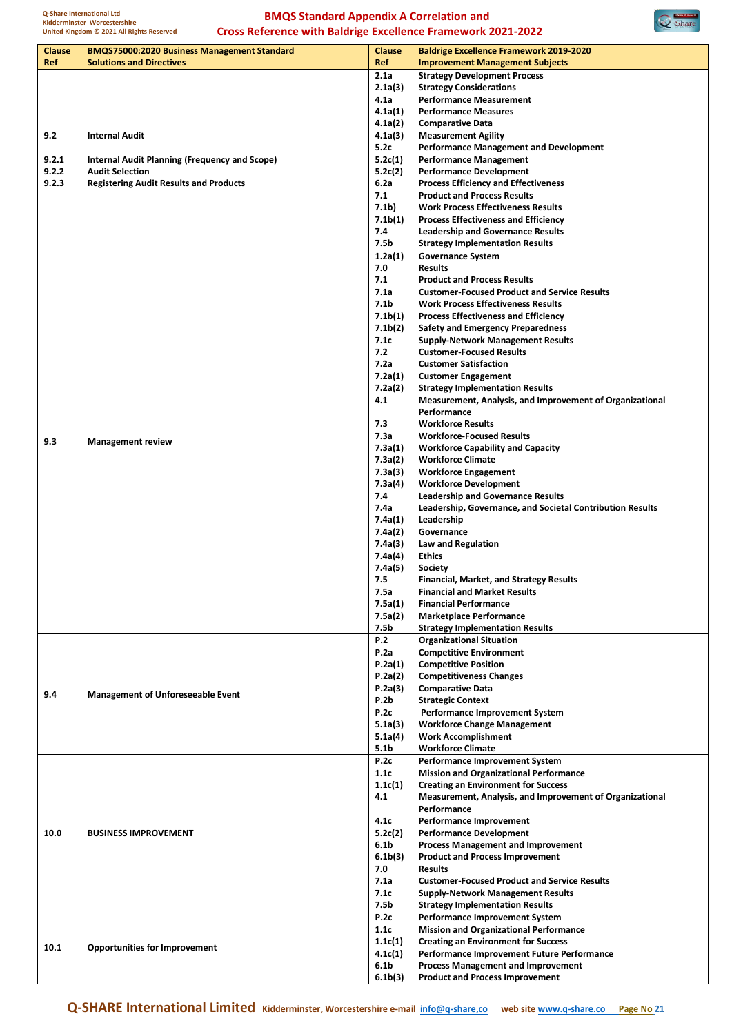

| Clause | <b>BMQS75000:2020 Business Management Standard</b>   | <b>Clause</b>        | <b>Baldrige Excellence Framework 2019-2020</b>            |
|--------|------------------------------------------------------|----------------------|-----------------------------------------------------------|
| Ref    | <b>Solutions and Directives</b>                      | Ref                  | <b>Improvement Management Subjects</b>                    |
|        |                                                      | 2.1a                 | <b>Strategy Development Process</b>                       |
|        |                                                      | 2.1a(3)              | <b>Strategy Considerations</b>                            |
|        |                                                      | 4.1a                 | <b>Performance Measurement</b>                            |
|        |                                                      | 4.1a(1)              | <b>Performance Measures</b>                               |
|        |                                                      | 4.1a(2)              | <b>Comparative Data</b>                                   |
| 9.2    | <b>Internal Audit</b>                                | 4.1a(3)              | <b>Measurement Agility</b>                                |
|        |                                                      | 5.2c                 | <b>Performance Management and Development</b>             |
|        |                                                      |                      |                                                           |
| 9.2.1  | <b>Internal Audit Planning (Frequency and Scope)</b> | 5.2c(1)              | <b>Performance Management</b>                             |
| 9.2.2  | <b>Audit Selection</b>                               | 5.2c(2)              | <b>Performance Development</b>                            |
| 9.2.3  | <b>Registering Audit Results and Products</b>        | 6.2a                 | <b>Process Efficiency and Effectiveness</b>               |
|        |                                                      | 7.1                  | <b>Product and Process Results</b>                        |
|        |                                                      | 7.1b)                | <b>Work Process Effectiveness Results</b>                 |
|        |                                                      | 7.1 <sub>b(1)</sub>  | <b>Process Effectiveness and Efficiency</b>               |
|        |                                                      | 7.4                  | <b>Leadership and Governance Results</b>                  |
|        |                                                      | 7.5b                 | <b>Strategy Implementation Results</b>                    |
|        |                                                      | 1.2a(1)              | <b>Governance System</b>                                  |
|        |                                                      | 7.0                  | <b>Results</b>                                            |
|        |                                                      | 7.1                  | <b>Product and Process Results</b>                        |
|        |                                                      | 7.1a                 | <b>Customer-Focused Product and Service Results</b>       |
|        |                                                      |                      |                                                           |
|        |                                                      | 7.1b                 | <b>Work Process Effectiveness Results</b>                 |
|        |                                                      | 7.1 <sub>b</sub> (1) | <b>Process Effectiveness and Efficiency</b>               |
|        |                                                      | 7.1b(2)              | <b>Safety and Emergency Preparedness</b>                  |
|        |                                                      | 7.1c                 | <b>Supply-Network Management Results</b>                  |
|        |                                                      | 7.2                  | <b>Customer-Focused Results</b>                           |
|        |                                                      | 7.2a                 | <b>Customer Satisfaction</b>                              |
|        |                                                      | 7.2a(1)              | <b>Customer Engagement</b>                                |
|        |                                                      | 7.2a(2)              | <b>Strategy Implementation Results</b>                    |
|        |                                                      | 4.1                  | Measurement, Analysis, and Improvement of Organizational  |
|        |                                                      |                      | Performance                                               |
|        |                                                      | 7.3                  | <b>Workforce Results</b>                                  |
|        |                                                      |                      |                                                           |
| 9.3    | <b>Management review</b>                             | 7.3a                 | <b>Workforce-Focused Results</b>                          |
|        |                                                      | 7.3a(1)              | <b>Workforce Capability and Capacity</b>                  |
|        |                                                      | 7.3a(2)              | <b>Workforce Climate</b>                                  |
|        |                                                      | 7.3a(3)              | <b>Workforce Engagement</b>                               |
|        |                                                      | 7.3a(4)              | <b>Workforce Development</b>                              |
|        |                                                      | 7.4                  | <b>Leadership and Governance Results</b>                  |
|        |                                                      | 7.4a                 | Leadership, Governance, and Societal Contribution Results |
|        |                                                      | 7.4a(1)              | Leadership                                                |
|        |                                                      | 7.4a(2)              | Governance                                                |
|        |                                                      | 7.4a(3)              | Law and Regulation                                        |
|        |                                                      | 7.4a(4)              | <b>Ethics</b>                                             |
|        |                                                      |                      |                                                           |
|        |                                                      | 7.4a(5)              | <b>Society</b>                                            |
|        |                                                      | 7.5                  | Financial, Market, and Strategy Results                   |
|        |                                                      | 7.5a                 | <b>Financial and Market Results</b>                       |
|        |                                                      | 7.5a(1)              | <b>Financial Performance</b>                              |
|        |                                                      | 7.5a(2)              | <b>Marketplace Performance</b>                            |
|        |                                                      | 7.5b                 | <b>Strategy Implementation Results</b>                    |
|        |                                                      | P.2                  | <b>Organizational Situation</b>                           |
|        |                                                      | P.2a                 | <b>Competitive Environment</b>                            |
|        |                                                      | P.2a(1)              | <b>Competitive Position</b>                               |
|        |                                                      | P.2a(2)              | <b>Competitiveness Changes</b>                            |
|        |                                                      | P.2a(3)              | <b>Comparative Data</b>                                   |
| 9.4    | <b>Management of Unforeseeable Event</b>             |                      |                                                           |
|        |                                                      | P.2b                 | <b>Strategic Context</b>                                  |
|        |                                                      | P.2c                 | Performance Improvement System                            |
|        |                                                      | 5.1a(3)              | <b>Workforce Change Management</b>                        |
|        |                                                      | 5.1a(4)              | <b>Work Accomplishment</b>                                |
|        |                                                      | 5.1b                 | <b>Workforce Climate</b>                                  |
|        |                                                      | P.2c                 | Performance Improvement System                            |
|        |                                                      | 1.1c                 | <b>Mission and Organizational Performance</b>             |
|        |                                                      | 1.1c(1)              | <b>Creating an Environment for Success</b>                |
|        |                                                      | 4.1                  | Measurement, Analysis, and Improvement of Organizational  |
|        |                                                      |                      | Performance                                               |
|        |                                                      | 4.1c                 | Performance Improvement                                   |
|        |                                                      |                      |                                                           |
| 10.0   | <b>BUSINESS IMPROVEMENT</b>                          | 5.2c(2)              | <b>Performance Development</b>                            |
|        |                                                      | 6.1b                 | <b>Process Management and Improvement</b>                 |
|        |                                                      | 6.1 <sub>b</sub> (3) | <b>Product and Process Improvement</b>                    |
|        |                                                      | 7.0                  | <b>Results</b>                                            |
|        |                                                      | 7.1a                 | <b>Customer-Focused Product and Service Results</b>       |
|        |                                                      | 7.1c                 | <b>Supply-Network Management Results</b>                  |
|        |                                                      | 7.5b                 | <b>Strategy Implementation Results</b>                    |
|        |                                                      | P.2c                 | Performance Improvement System                            |
|        |                                                      | 1.1c                 | <b>Mission and Organizational Performance</b>             |
|        |                                                      | 1.1c(1)              | <b>Creating an Environment for Success</b>                |
| 10.1   | <b>Opportunities for Improvement</b>                 |                      |                                                           |
|        |                                                      | 4.1c(1)              | Performance Improvement Future Performance                |
|        |                                                      | 6.1b                 | <b>Process Management and Improvement</b>                 |
|        |                                                      | 6.1 <sub>b</sub> (3) | <b>Product and Process Improvement</b>                    |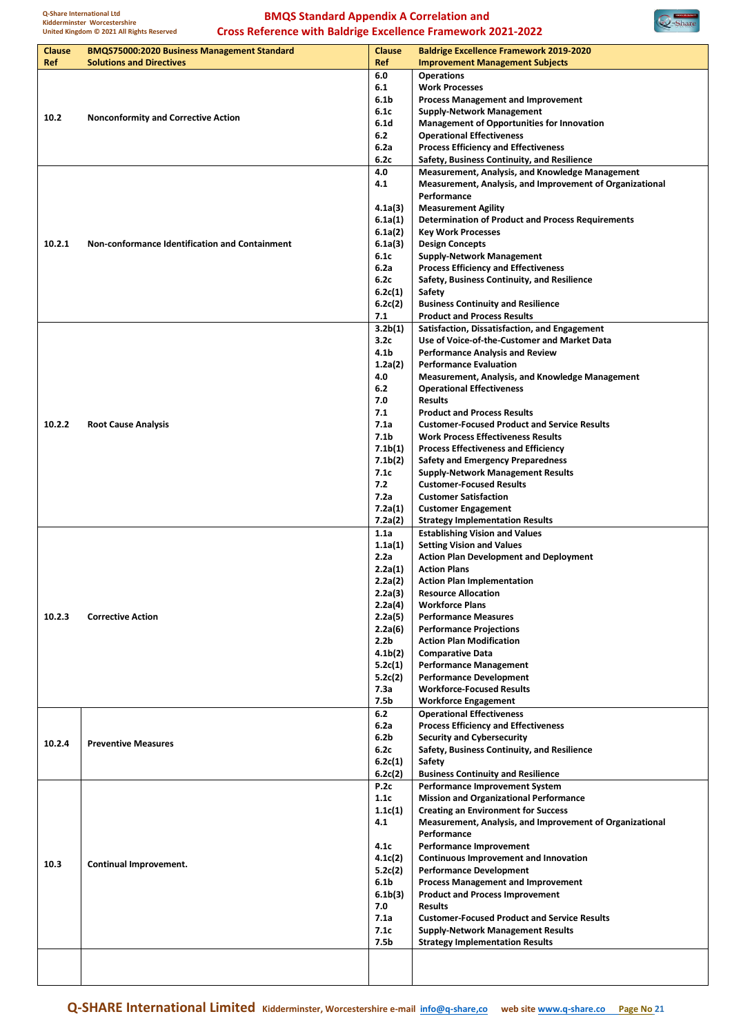

| <b>Clause</b><br>Ref | <b>BMQS75000:2020 Business Management Standard</b><br><b>Solutions and Directives</b> | <b>Clause</b><br>Ref                     | <b>Baldrige Excellence Framework 2019-2020</b><br><b>Improvement Management Subjects</b>   |
|----------------------|---------------------------------------------------------------------------------------|------------------------------------------|--------------------------------------------------------------------------------------------|
|                      |                                                                                       | 6.0                                      | <b>Operations</b>                                                                          |
|                      |                                                                                       | 6.1                                      | <b>Work Processes</b>                                                                      |
|                      |                                                                                       | 6.1 <sub>b</sub>                         | <b>Process Management and Improvement</b>                                                  |
| 10.2                 | <b>Nonconformity and Corrective Action</b>                                            | 6.1c                                     | <b>Supply-Network Management</b>                                                           |
|                      |                                                                                       | 6.1 <sub>d</sub>                         | <b>Management of Opportunities for Innovation</b>                                          |
|                      |                                                                                       | 6.2                                      | <b>Operational Effectiveness</b>                                                           |
|                      |                                                                                       | 6.2a<br>6.2c                             | <b>Process Efficiency and Effectiveness</b><br>Safety, Business Continuity, and Resilience |
|                      |                                                                                       | 4.0                                      | <b>Measurement, Analysis, and Knowledge Management</b>                                     |
|                      |                                                                                       | 4.1                                      | Measurement, Analysis, and Improvement of Organizational                                   |
|                      |                                                                                       |                                          | Performance                                                                                |
|                      |                                                                                       | 4.1a(3)                                  | <b>Measurement Agility</b>                                                                 |
|                      |                                                                                       | 6.1a(1)                                  | <b>Determination of Product and Process Requirements</b>                                   |
|                      |                                                                                       | 6.1a(2)                                  | <b>Key Work Processes</b>                                                                  |
| 10.2.1               | Non-conformance Identification and Containment                                        | 6.1a(3)                                  | <b>Design Concepts</b>                                                                     |
|                      |                                                                                       | 6.1c                                     | <b>Supply-Network Management</b>                                                           |
|                      |                                                                                       | 6.2a<br>6.2c                             | <b>Process Efficiency and Effectiveness</b><br>Safety, Business Continuity, and Resilience |
|                      |                                                                                       | 6.2c(1)                                  | Safety                                                                                     |
|                      |                                                                                       | 6.2c(2)                                  | <b>Business Continuity and Resilience</b>                                                  |
|                      |                                                                                       | 7.1                                      | <b>Product and Process Results</b>                                                         |
|                      |                                                                                       | 3.2b(1)                                  | Satisfaction, Dissatisfaction, and Engagement                                              |
|                      |                                                                                       | 3.2c                                     | Use of Voice-of-the-Customer and Market Data                                               |
|                      |                                                                                       | 4.1 <sub>b</sub>                         | <b>Performance Analysis and Review</b>                                                     |
|                      |                                                                                       | 1.2a(2)                                  | <b>Performance Evaluation</b>                                                              |
|                      |                                                                                       | 4.0                                      | <b>Measurement, Analysis, and Knowledge Management</b>                                     |
|                      |                                                                                       | 6.2                                      | <b>Operational Effectiveness</b>                                                           |
|                      |                                                                                       | 7.0<br>7.1                               | <b>Results</b><br><b>Product and Process Results</b>                                       |
| 10.2.2               | <b>Root Cause Analysis</b>                                                            | 7.1a                                     | <b>Customer-Focused Product and Service Results</b>                                        |
|                      |                                                                                       | 7.1 <sub>b</sub>                         | <b>Work Process Effectiveness Results</b>                                                  |
|                      |                                                                                       | 7.1 <sub>b</sub> (1)                     | <b>Process Effectiveness and Efficiency</b>                                                |
|                      |                                                                                       | 7.1 <sub>b</sub> (2)                     | <b>Safety and Emergency Preparedness</b>                                                   |
|                      |                                                                                       | 7.1c                                     | <b>Supply-Network Management Results</b>                                                   |
|                      |                                                                                       | 7.2                                      | <b>Customer-Focused Results</b>                                                            |
|                      |                                                                                       | 7.2a                                     | <b>Customer Satisfaction</b>                                                               |
|                      |                                                                                       | 7.2a(1)                                  | <b>Customer Engagement</b>                                                                 |
|                      |                                                                                       | 7.2a(2)<br>1.1a                          | <b>Strategy Implementation Results</b><br><b>Establishing Vision and Values</b>            |
|                      |                                                                                       | 1.1a(1)                                  | <b>Setting Vision and Values</b>                                                           |
|                      |                                                                                       | 2.2a                                     | <b>Action Plan Development and Deployment</b>                                              |
|                      |                                                                                       | 2.2a(1)                                  | <b>Action Plans</b>                                                                        |
|                      |                                                                                       | 2.2a(2)                                  | <b>Action Plan Implementation</b>                                                          |
|                      |                                                                                       | 2.2a(3)                                  | <b>Resource Allocation</b>                                                                 |
|                      |                                                                                       | 2.2a(4)                                  | <b>Workforce Plans</b>                                                                     |
| 10.2.3               | <b>Corrective Action</b>                                                              | 2.2a(5)                                  | <b>Performance Measures</b>                                                                |
|                      |                                                                                       | 2.2a(6)<br>2.2 <sub>b</sub>              | <b>Performance Projections</b><br><b>Action Plan Modification</b>                          |
|                      |                                                                                       | 4.1 <sub>b</sub> (2)                     | <b>Comparative Data</b>                                                                    |
|                      |                                                                                       | 5.2c(1)                                  | <b>Performance Management</b>                                                              |
|                      |                                                                                       | 5.2c(2)                                  | <b>Performance Development</b>                                                             |
|                      |                                                                                       | 7.3a                                     | <b>Workforce-Focused Results</b>                                                           |
|                      |                                                                                       | 7.5 <sub>b</sub>                         | <b>Workforce Engagement</b>                                                                |
|                      |                                                                                       | 6.2                                      | <b>Operational Effectiveness</b>                                                           |
|                      |                                                                                       | 6.2a                                     | <b>Process Efficiency and Effectiveness</b>                                                |
| 10.2.4               | <b>Preventive Measures</b>                                                            | 6.2 <sub>b</sub>                         | <b>Security and Cybersecurity</b>                                                          |
|                      |                                                                                       | 6.2c                                     | Safety, Business Continuity, and Resilience                                                |
|                      |                                                                                       | 6.2c(1)<br>6.2c(2)                       | Safety<br><b>Business Continuity and Resilience</b>                                        |
|                      |                                                                                       | P.2c                                     | <b>Performance Improvement System</b>                                                      |
|                      |                                                                                       | 1.1c                                     | <b>Mission and Organizational Performance</b>                                              |
|                      |                                                                                       | 1.1c(1)                                  | <b>Creating an Environment for Success</b>                                                 |
|                      |                                                                                       | 4.1                                      | Measurement, Analysis, and Improvement of Organizational                                   |
|                      |                                                                                       |                                          | Performance                                                                                |
|                      |                                                                                       | 4.1c                                     | Performance Improvement                                                                    |
| 10.3                 | Continual Improvement.                                                                | 4.1c(2)                                  | <b>Continuous Improvement and Innovation</b>                                               |
|                      |                                                                                       | 5.2c(2)                                  | <b>Performance Development</b>                                                             |
|                      |                                                                                       | 6.1 <sub>b</sub><br>6.1 <sub>b</sub> (3) | <b>Process Management and Improvement</b><br><b>Product and Process Improvement</b>        |
|                      |                                                                                       | 7.0                                      | <b>Results</b>                                                                             |
|                      |                                                                                       | 7.1a                                     | <b>Customer-Focused Product and Service Results</b>                                        |
|                      |                                                                                       | 7.1c                                     | <b>Supply-Network Management Results</b>                                                   |
|                      |                                                                                       | 7.5 <sub>b</sub>                         | <b>Strategy Implementation Results</b>                                                     |
|                      |                                                                                       |                                          |                                                                                            |
|                      |                                                                                       |                                          |                                                                                            |
|                      |                                                                                       |                                          |                                                                                            |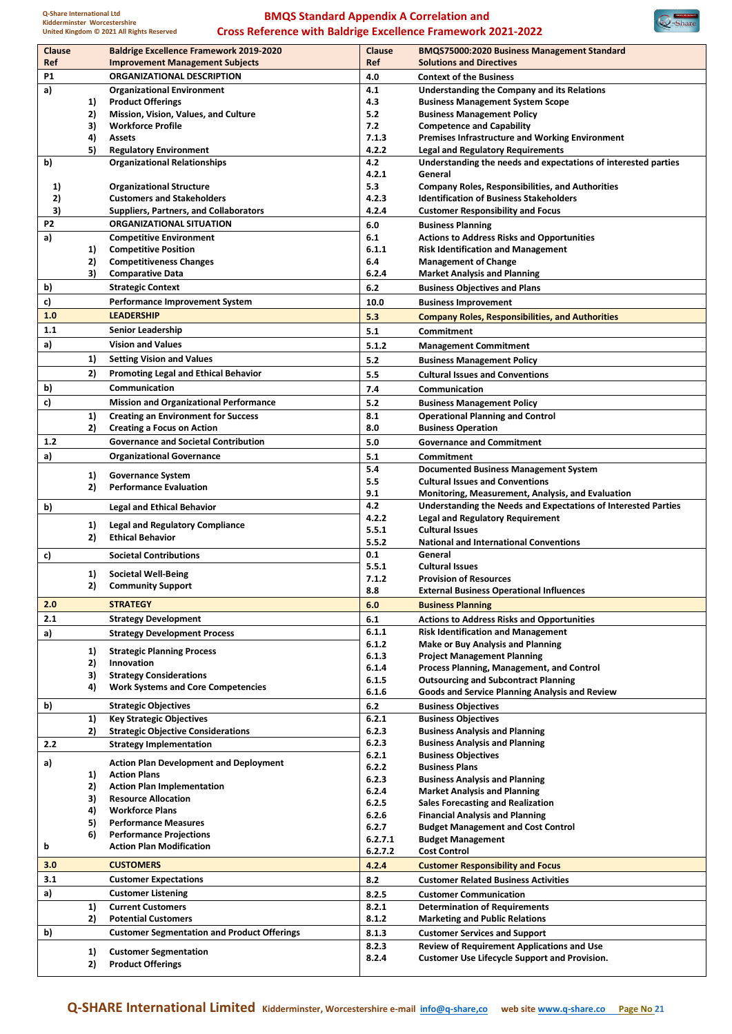

| Clause         |    | <b>Baldrige Excellence Framework 2019-2020</b>     | Clause         | <b>BMQS75000:2020 Business Management Standard</b>                                                        |
|----------------|----|----------------------------------------------------|----------------|-----------------------------------------------------------------------------------------------------------|
| Ref            |    | <b>Improvement Management Subjects</b>             | Ref            | <b>Solutions and Directives</b>                                                                           |
| P1             |    | <b>ORGANIZATIONAL DESCRIPTION</b>                  | 4.0            | <b>Context of the Business</b>                                                                            |
| a)             |    | <b>Organizational Environment</b>                  | 4.1            | Understanding the Company and its Relations                                                               |
|                | 1) | <b>Product Offerings</b>                           | 4.3            | <b>Business Management System Scope</b>                                                                   |
|                | 2) | Mission, Vision, Values, and Culture               | 5.2            | <b>Business Management Policy</b>                                                                         |
|                | 3) | <b>Workforce Profile</b>                           | 7.2            | <b>Competence and Capability</b>                                                                          |
|                | 4) | <b>Assets</b>                                      | 7.1.3          | <b>Premises Infrastructure and Working Environment</b>                                                    |
|                | 5) | <b>Regulatory Environment</b>                      | 4.2.2          | <b>Legal and Regulatory Requirements</b>                                                                  |
| b)             |    | <b>Organizational Relationships</b>                | 4.2            | Understanding the needs and expectations of interested parties                                            |
|                |    |                                                    | 4.2.1          | General                                                                                                   |
| 1)             |    | <b>Organizational Structure</b>                    | 5.3            | <b>Company Roles, Responsibilities, and Authorities</b>                                                   |
| 2)             |    | <b>Customers and Stakeholders</b>                  | 4.2.3          | <b>Identification of Business Stakeholders</b>                                                            |
| 3)             |    | <b>Suppliers, Partners, and Collaborators</b>      | 4.2.4          | <b>Customer Responsibility and Focus</b>                                                                  |
| P <sub>2</sub> |    | <b>ORGANIZATIONAL SITUATION</b>                    | 6.0            | <b>Business Planning</b>                                                                                  |
| a)             |    | <b>Competitive Environment</b>                     | 6.1            | <b>Actions to Address Risks and Opportunities</b>                                                         |
|                | 1) | <b>Competitive Position</b>                        | 6.1.1          | <b>Risk Identification and Management</b>                                                                 |
|                | 2) | <b>Competitiveness Changes</b>                     | 6.4            | <b>Management of Change</b>                                                                               |
|                | 3) | <b>Comparative Data</b>                            | 6.2.4          | <b>Market Analysis and Planning</b>                                                                       |
| b)             |    | <b>Strategic Context</b>                           | 6.2            | <b>Business Objectives and Plans</b>                                                                      |
|                |    |                                                    |                |                                                                                                           |
| c)             |    | <b>Performance Improvement System</b>              | 10.0           | <b>Business Improvement</b>                                                                               |
| 1.0            |    | <b>LEADERSHIP</b>                                  | 5.3            | <b>Company Roles, Responsibilities, and Authorities</b>                                                   |
| 1.1            |    | <b>Senior Leadership</b>                           | 5.1            | Commitment                                                                                                |
| a)             |    | <b>Vision and Values</b>                           | 5.1.2          | <b>Management Commitment</b>                                                                              |
|                | 1) | <b>Setting Vision and Values</b>                   | 5.2            | <b>Business Management Policy</b>                                                                         |
|                |    |                                                    |                |                                                                                                           |
|                | 2) | <b>Promoting Legal and Ethical Behavior</b>        | 5.5            | <b>Cultural Issues and Conventions</b>                                                                    |
| b)             |    | Communication                                      | 7.4            | Communication                                                                                             |
| c)             |    | <b>Mission and Organizational Performance</b>      | 5.2            | <b>Business Management Policy</b>                                                                         |
|                | 1) | <b>Creating an Environment for Success</b>         | 8.1            | <b>Operational Planning and Control</b>                                                                   |
|                | 2) | <b>Creating a Focus on Action</b>                  | 8.0            | <b>Business Operation</b>                                                                                 |
| 1.2            |    | <b>Governance and Societal Contribution</b>        | 5.0            | <b>Governance and Commitment</b>                                                                          |
| a)             |    | <b>Organizational Governance</b>                   | 5.1            | Commitment                                                                                                |
|                |    |                                                    | 5.4            | <b>Documented Business Management System</b>                                                              |
|                | 1) | <b>Governance System</b>                           | 5.5            | <b>Cultural Issues and Conventions</b>                                                                    |
|                | 2) | <b>Performance Evaluation</b>                      | 9.1            | Monitoring, Measurement, Analysis, and Evaluation                                                         |
|                |    |                                                    |                |                                                                                                           |
|                |    |                                                    |                |                                                                                                           |
| b)             |    | <b>Legal and Ethical Behavior</b>                  | 4.2            | Understanding the Needs and Expectations of Interested Parties                                            |
|                | 1) | <b>Legal and Regulatory Compliance</b>             | 4.2.2          | <b>Legal and Regulatory Requirement</b>                                                                   |
|                | 2) | <b>Ethical Behavior</b>                            | 5.5.1          | <b>Cultural Issues</b>                                                                                    |
|                |    |                                                    | 5.5.2          | <b>National and International Conventions</b>                                                             |
| c)             |    | <b>Societal Contributions</b>                      | 0.1            | General                                                                                                   |
|                | 1) | <b>Societal Well-Being</b>                         | 5.5.1          | <b>Cultural Issues</b>                                                                                    |
|                | 2) | <b>Community Support</b>                           | 7.1.2          | <b>Provision of Resources</b>                                                                             |
|                |    |                                                    | 8.8            | <b>External Business Operational Influences</b>                                                           |
| 2.0            |    | <b>STRATEGY</b>                                    | 6.0            | <b>Business Planning</b>                                                                                  |
| 2.1            |    | <b>Strategy Development</b>                        | 6.1            | <b>Actions to Address Risks and Opportunities</b>                                                         |
| a)             |    | <b>Strategy Development Process</b>                | 6.1.1          | <b>Risk Identification and Management</b>                                                                 |
|                |    |                                                    | 6.1.2          | <b>Make or Buy Analysis and Planning</b>                                                                  |
|                | 1) | <b>Strategic Planning Process</b>                  | 6.1.3          | <b>Project Management Planning</b>                                                                        |
|                | 2) | Innovation                                         | 6.1.4          | Process Planning, Management, and Control                                                                 |
|                | 3) | <b>Strategy Considerations</b>                     | 6.1.5          | <b>Outsourcing and Subcontract Planning</b>                                                               |
|                | 4) | <b>Work Systems and Core Competencies</b>          | 6.1.6          | Goods and Service Planning Analysis and Review                                                            |
| b)             |    | <b>Strategic Objectives</b>                        | 6.2            | <b>Business Objectives</b>                                                                                |
|                | 1) | <b>Key Strategic Objectives</b>                    | 6.2.1          | <b>Business Objectives</b>                                                                                |
|                | 2) | <b>Strategic Objective Considerations</b>          | 6.2.3          | <b>Business Analysis and Planning</b>                                                                     |
| 2.2            |    | <b>Strategy Implementation</b>                     | 6.2.3          | <b>Business Analysis and Planning</b>                                                                     |
|                |    |                                                    | 6.2.1          | <b>Business Objectives</b>                                                                                |
| a)             |    | <b>Action Plan Development and Deployment</b>      | 6.2.2          | <b>Business Plans</b>                                                                                     |
|                | 1) | <b>Action Plans</b>                                | 6.2.3          | <b>Business Analysis and Planning</b>                                                                     |
|                | 2) | <b>Action Plan Implementation</b>                  | 6.2.4          | <b>Market Analysis and Planning</b>                                                                       |
|                | 3) | <b>Resource Allocation</b>                         | 6.2.5          | <b>Sales Forecasting and Realization</b>                                                                  |
|                | 4) | <b>Workforce Plans</b>                             | 6.2.6          | <b>Financial Analysis and Planning</b>                                                                    |
|                | 5) | <b>Performance Measures</b>                        | 6.2.7          | <b>Budget Management and Cost Control</b>                                                                 |
|                | 6) | <b>Performance Projections</b>                     | 6.2.7.1        | <b>Budget Management</b>                                                                                  |
| b              |    | <b>Action Plan Modification</b>                    | 6.2.7.2        | <b>Cost Control</b>                                                                                       |
| 3.0            |    | <b>CUSTOMERS</b>                                   | 4.2.4          | <b>Customer Responsibility and Focus</b>                                                                  |
| 3.1            |    | <b>Customer Expectations</b>                       | 8.2            | <b>Customer Related Business Activities</b>                                                               |
|                |    |                                                    |                |                                                                                                           |
| a)             |    | <b>Customer Listening</b>                          | 8.2.5          | <b>Customer Communication</b>                                                                             |
|                | 1) | <b>Current Customers</b>                           | 8.2.1          | <b>Determination of Requirements</b>                                                                      |
|                | 2) | <b>Potential Customers</b>                         | 8.1.2          | <b>Marketing and Public Relations</b>                                                                     |
| b)             |    | <b>Customer Segmentation and Product Offerings</b> | 8.1.3          | <b>Customer Services and Support</b>                                                                      |
|                | 1) | <b>Customer Segmentation</b>                       | 8.2.3<br>8.2.4 | <b>Review of Requirement Applications and Use</b><br><b>Customer Use Lifecycle Support and Provision.</b> |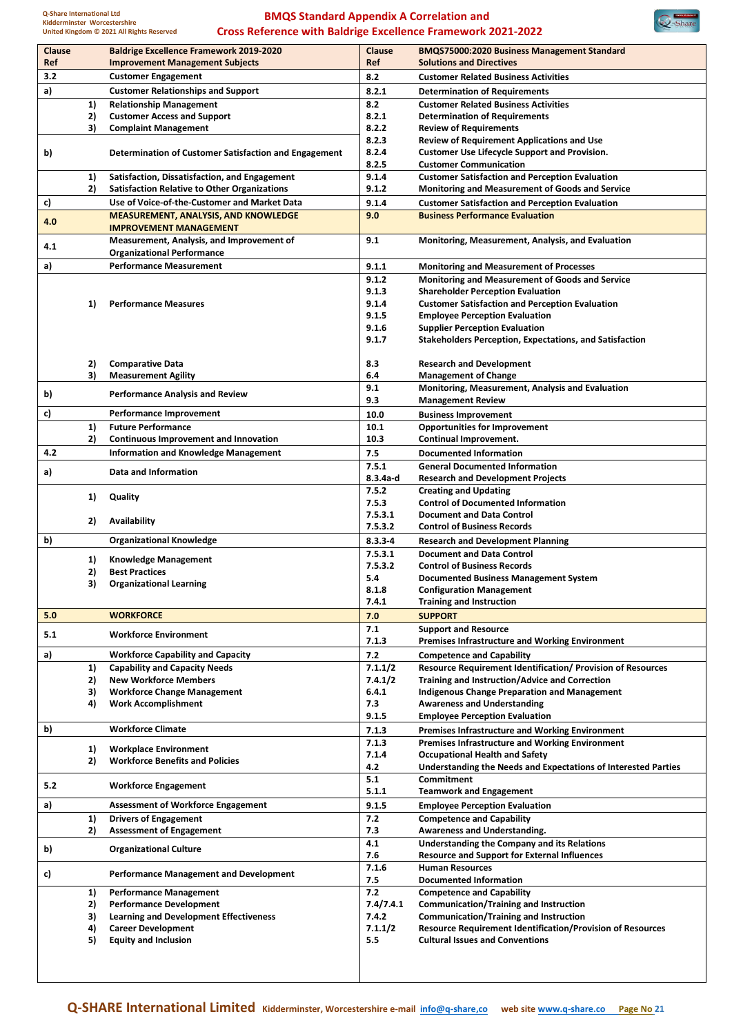

| Ref |          | <b>Baldrige Excellence Framework 2019-2020</b><br><b>Improvement Management Subjects</b> | <b>Clause</b><br>Ref | <b>BMQS75000:2020 Business Management Standard</b><br><b>Solutions and Directives</b>                       |
|-----|----------|------------------------------------------------------------------------------------------|----------------------|-------------------------------------------------------------------------------------------------------------|
| 3.2 |          | <b>Customer Engagement</b>                                                               | 8.2                  | <b>Customer Related Business Activities</b>                                                                 |
| a)  |          | <b>Customer Relationships and Support</b>                                                | 8.2.1                | <b>Determination of Requirements</b>                                                                        |
|     | 1)       | <b>Relationship Management</b>                                                           | 8.2                  | <b>Customer Related Business Activities</b>                                                                 |
|     | 2)       | <b>Customer Access and Support</b>                                                       | 8.2.1                | <b>Determination of Requirements</b>                                                                        |
|     | 3)       | <b>Complaint Management</b>                                                              | 8.2.2                | <b>Review of Requirements</b>                                                                               |
|     |          |                                                                                          | 8.2.3                | <b>Review of Requirement Applications and Use</b>                                                           |
| b)  |          | Determination of Customer Satisfaction and Engagement                                    | 8.2.4                | <b>Customer Use Lifecycle Support and Provision.</b>                                                        |
|     |          |                                                                                          | 8.2.5                | <b>Customer Communication</b>                                                                               |
|     | 1)       | Satisfaction, Dissatisfaction, and Engagement                                            | 9.1.4                | <b>Customer Satisfaction and Perception Evaluation</b>                                                      |
|     | 2)       | <b>Satisfaction Relative to Other Organizations</b>                                      | 9.1.2                | <b>Monitoring and Measurement of Goods and Service</b>                                                      |
| c)  |          | Use of Voice-of-the-Customer and Market Data                                             | 9.1.4                | <b>Customer Satisfaction and Perception Evaluation</b>                                                      |
| 4.0 |          | <b>MEASUREMENT, ANALYSIS, AND KNOWLEDGE</b><br><b>IMPROVEMENT MANAGEMENT</b>             | 9.0                  | <b>Business Performance Evaluation</b>                                                                      |
| 4.1 |          | Measurement, Analysis, and Improvement of<br><b>Organizational Performance</b>           | 9.1                  | Monitoring, Measurement, Analysis, and Evaluation                                                           |
| a)  |          | <b>Performance Measurement</b>                                                           | 9.1.1                | <b>Monitoring and Measurement of Processes</b>                                                              |
|     |          |                                                                                          | 9.1.2                | <b>Monitoring and Measurement of Goods and Service</b>                                                      |
|     |          |                                                                                          | 9.1.3                | <b>Shareholder Perception Evaluation</b>                                                                    |
|     | 1)       | <b>Performance Measures</b>                                                              | 9.1.4                | <b>Customer Satisfaction and Perception Evaluation</b>                                                      |
|     |          |                                                                                          | 9.1.5                | <b>Employee Perception Evaluation</b>                                                                       |
|     |          |                                                                                          | 9.1.6                | <b>Supplier Perception Evaluation</b>                                                                       |
|     |          |                                                                                          | 9.1.7                | <b>Stakeholders Perception, Expectations, and Satisfaction</b>                                              |
|     | 2)       | <b>Comparative Data</b>                                                                  | 8.3                  | <b>Research and Development</b>                                                                             |
|     | 3)       | <b>Measurement Agility</b>                                                               | 6.4                  | <b>Management of Change</b>                                                                                 |
| b)  |          | <b>Performance Analysis and Review</b>                                                   | 9.1                  | Monitoring, Measurement, Analysis and Evaluation                                                            |
|     |          |                                                                                          | 9.3                  | <b>Management Review</b>                                                                                    |
| c)  |          | Performance Improvement                                                                  | 10.0                 | <b>Business Improvement</b>                                                                                 |
|     | 1)       | <b>Future Performance</b>                                                                | 10.1                 | <b>Opportunities for Improvement</b>                                                                        |
|     | 2)       | Continuous Improvement and Innovation                                                    | 10.3                 | Continual Improvement.                                                                                      |
| 4.2 |          | <b>Information and Knowledge Management</b>                                              | 7.5                  | <b>Documented Information</b>                                                                               |
| a)  |          | Data and Information                                                                     | 7.5.1                | <b>General Documented Information</b>                                                                       |
|     |          |                                                                                          | $8.3.4a-d$           | <b>Research and Development Projects</b>                                                                    |
|     | 1)       | Quality                                                                                  | 7.5.2                | <b>Creating and Updating</b>                                                                                |
|     |          |                                                                                          | 7.5.3                | <b>Control of Documented Information</b>                                                                    |
|     | 2)       | Availability                                                                             | 7.5.3.1              | <b>Document and Data Control</b>                                                                            |
|     |          |                                                                                          | 7.5.3.2              | <b>Control of Business Records</b>                                                                          |
| b)  |          | <b>Organizational Knowledge</b>                                                          | $8.3.3 - 4$          | <b>Research and Development Planning</b>                                                                    |
|     | 1)       | <b>Knowledge Management</b>                                                              | 7.5.3.1              | <b>Document and Data Control</b>                                                                            |
|     | 2)       | <b>Best Practices</b>                                                                    | 7.5.3.2<br>5.4       | <b>Control of Business Records</b><br><b>Documented Business Management System</b>                          |
|     | 3)       | <b>Organizational Learning</b>                                                           | 8.1.8                | <b>Configuration Management</b>                                                                             |
|     |          |                                                                                          | 7.4.1                | <b>Training and Instruction</b>                                                                             |
| 5.0 |          | <b>WORKFORCE</b>                                                                         | 7.0                  | <b>SUPPORT</b>                                                                                              |
|     |          |                                                                                          | 7.1                  | <b>Support and Resource</b>                                                                                 |
| 5.1 |          | <b>Workforce Environment</b>                                                             | 7.1.3                | <b>Premises Infrastructure and Working Environment</b>                                                      |
| a)  |          | <b>Workforce Capability and Capacity</b>                                                 | $7.2$                | <b>Competence and Capability</b>                                                                            |
|     | 1)       | <b>Capability and Capacity Needs</b>                                                     | 7.1.1/2              | <b>Resource Requirement Identification/ Provision of Resources</b>                                          |
|     | 2)       | <b>New Workforce Members</b>                                                             | 7.4.1/2              | <b>Training and Instruction/Advice and Correction</b>                                                       |
|     | 3)       | <b>Workforce Change Management</b>                                                       | 6.4.1                | <b>Indigenous Change Preparation and Management</b>                                                         |
|     | 4)       | <b>Work Accomplishment</b>                                                               | 7.3                  | <b>Awareness and Understanding</b>                                                                          |
|     |          |                                                                                          | 9.1.5                | <b>Employee Perception Evaluation</b>                                                                       |
| b)  |          | <b>Workforce Climate</b>                                                                 | 7.1.3                | <b>Premises Infrastructure and Working Environment</b>                                                      |
|     |          |                                                                                          | 7.1.3                | <b>Premises Infrastructure and Working Environment</b>                                                      |
|     | 1)       | <b>Workplace Environment</b>                                                             | 7.1.4                | <b>Occupational Health and Safety</b>                                                                       |
|     | 2)       | <b>Workforce Benefits and Policies</b>                                                   | 4.2                  | Understanding the Needs and Expectations of Interested Parties                                              |
| 5.2 |          | <b>Workforce Engagement</b>                                                              | 5.1                  | Commitment                                                                                                  |
| a)  |          | <b>Assessment of Workforce Engagement</b>                                                | 5.1.1<br>9.1.5       | <b>Teamwork and Engagement</b><br><b>Employee Perception Evaluation</b>                                     |
|     | 1)       | <b>Drivers of Engagement</b>                                                             | 7.2                  | <b>Competence and Capability</b>                                                                            |
|     | 2)       | <b>Assessment of Engagement</b>                                                          | 7.3                  | Awareness and Understanding.                                                                                |
| b)  |          | <b>Organizational Culture</b>                                                            | 4.1<br>7.6           | Understanding the Company and its Relations<br><b>Resource and Support for External Influences</b>          |
|     |          | <b>Performance Management and Development</b>                                            | 7.1.6<br>7.5         | <b>Human Resources</b><br><b>Documented Information</b>                                                     |
|     |          |                                                                                          | 7.2                  |                                                                                                             |
|     | 1)       | <b>Performance Management</b>                                                            |                      | <b>Competence and Capability</b>                                                                            |
|     |          |                                                                                          |                      |                                                                                                             |
|     | 2)       | <b>Performance Development</b>                                                           | 7.4/7.4.1            | <b>Communication/Training and Instruction</b>                                                               |
|     | 3)       | <b>Learning and Development Effectiveness</b>                                            | 7.4.2                | <b>Communication/Training and Instruction</b>                                                               |
| c)  | 4)<br>5) | <b>Career Development</b><br><b>Equity and Inclusion</b>                                 | 7.1.1/2<br>5.5       | <b>Resource Requirement Identification/Provision of Resources</b><br><b>Cultural Issues and Conventions</b> |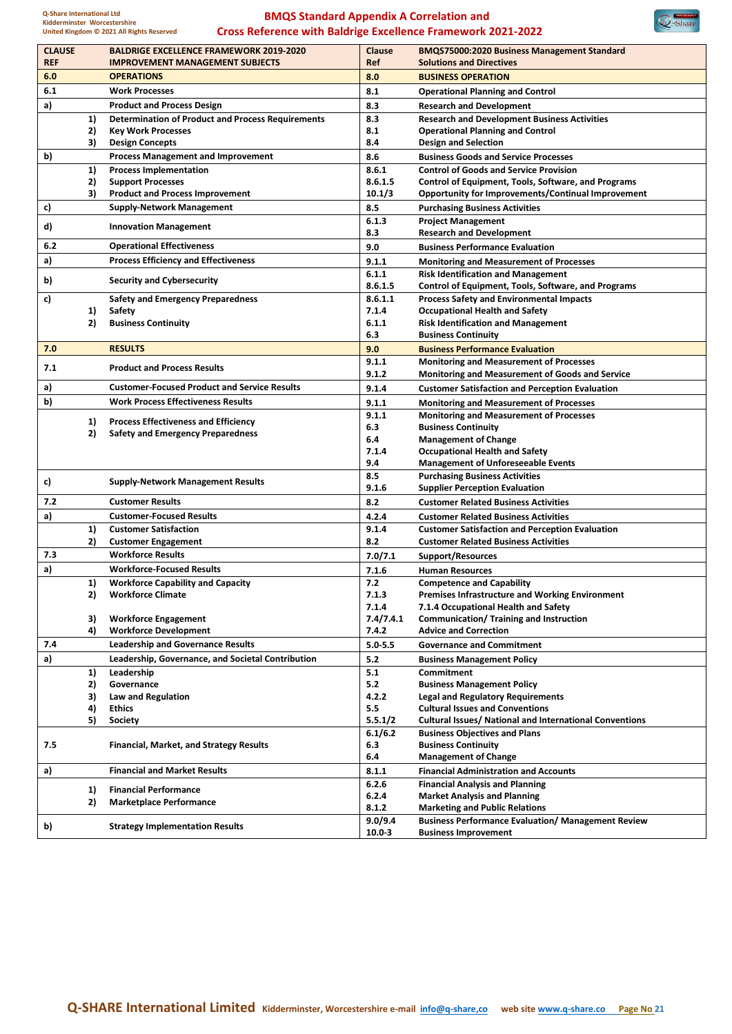$\bigotimes$ -Share

| <b>CLAUSE</b> |    | <b>BALDRIGE EXCELLENCE FRAMEWORK 2019-2020</b>           | Clause             | <b>BMQS75000:2020 Business Management Standard</b>                              |
|---------------|----|----------------------------------------------------------|--------------------|---------------------------------------------------------------------------------|
| <b>REF</b>    |    | <b>IMPROVEMENT MANAGEMENT SUBJECTS</b>                   | <b>Ref</b>         | <b>Solutions and Directives</b>                                                 |
| 6.0           |    | <b>OPERATIONS</b>                                        | 8.0                | <b>BUSINESS OPERATION</b>                                                       |
| 6.1           |    | <b>Work Processes</b>                                    | 8.1                | <b>Operational Planning and Control</b>                                         |
| a)            |    | <b>Product and Process Design</b>                        | 8.3                | <b>Research and Development</b>                                                 |
|               | 1) | <b>Determination of Product and Process Requirements</b> | 8.3                | <b>Research and Development Business Activities</b>                             |
|               | 2) | <b>Key Work Processes</b>                                | 8.1                | <b>Operational Planning and Control</b>                                         |
|               | 3) | <b>Design Concepts</b>                                   | 8.4                | <b>Design and Selection</b>                                                     |
| b)            |    | <b>Process Management and Improvement</b>                | 8.6                | <b>Business Goods and Service Processes</b>                                     |
|               | 1) | <b>Process Implementation</b>                            | 8.6.1              | <b>Control of Goods and Service Provision</b>                                   |
|               | 2) | <b>Support Processes</b>                                 | 8.6.1.5            | Control of Equipment, Tools, Software, and Programs                             |
|               | 3) | <b>Product and Process Improvement</b>                   | 10.1/3             | <b>Opportunity for Improvements/Continual Improvement</b>                       |
| c)            |    | <b>Supply-Network Management</b>                         | 8.5                | <b>Purchasing Business Activities</b>                                           |
| d)            |    | <b>Innovation Management</b>                             | 6.1.3<br>8.3       | <b>Project Management</b><br><b>Research and Development</b>                    |
| 6.2           |    | <b>Operational Effectiveness</b>                         | 9.0                | <b>Business Performance Evaluation</b>                                          |
| a)            |    | <b>Process Efficiency and Effectiveness</b>              | 9.1.1              | <b>Monitoring and Measurement of Processes</b>                                  |
|               |    |                                                          | 6.1.1              | <b>Risk Identification and Management</b>                                       |
| b)            |    | <b>Security and Cybersecurity</b>                        | 8.6.1.5            | Control of Equipment, Tools, Software, and Programs                             |
| c)            |    | <b>Safety and Emergency Preparedness</b>                 | 8.6.1.1            | <b>Process Safety and Environmental Impacts</b>                                 |
|               | 1) | Safety                                                   | 7.1.4              | <b>Occupational Health and Safety</b>                                           |
|               | 2) | <b>Business Continuity</b>                               | 6.1.1              | <b>Risk Identification and Management</b>                                       |
|               |    |                                                          | 6.3                | <b>Business Continuity</b>                                                      |
| 7.0           |    | <b>RESULTS</b>                                           | 9.0                | <b>Business Performance Evaluation</b>                                          |
| 7.1           |    | <b>Product and Process Results</b>                       | 9.1.1              | <b>Monitoring and Measurement of Processes</b>                                  |
|               |    |                                                          | 9.1.2              | <b>Monitoring and Measurement of Goods and Service</b>                          |
| a)            |    | <b>Customer-Focused Product and Service Results</b>      | 9.1.4              | <b>Customer Satisfaction and Perception Evaluation</b>                          |
| b)            |    | <b>Work Process Effectiveness Results</b>                | 9.1.1              | <b>Monitoring and Measurement of Processes</b>                                  |
|               | 1) | <b>Process Effectiveness and Efficiency</b>              | 9.1.1              | <b>Monitoring and Measurement of Processes</b>                                  |
|               | 2) | <b>Safety and Emergency Preparedness</b>                 | 6.3<br>6.4         | <b>Business Continuity</b><br><b>Management of Change</b>                       |
|               |    |                                                          | 7.1.4              | <b>Occupational Health and Safety</b>                                           |
|               |    |                                                          | 9.4                | <b>Management of Unforeseeable Events</b>                                       |
|               |    |                                                          | 8.5                | <b>Purchasing Business Activities</b>                                           |
| c)            |    | <b>Supply-Network Management Results</b>                 | 9.1.6              | <b>Supplier Perception Evaluation</b>                                           |
| 7.2           |    | <b>Customer Results</b>                                  | 8.2                | <b>Customer Related Business Activities</b>                                     |
| a)            |    | <b>Customer-Focused Results</b>                          | 4.2.4              | <b>Customer Related Business Activities</b>                                     |
|               | 1) | <b>Customer Satisfaction</b>                             | 9.1.4              | <b>Customer Satisfaction and Perception Evaluation</b>                          |
|               | 2) | <b>Customer Engagement</b>                               | 8.2                | <b>Customer Related Business Activities</b>                                     |
| 7.3           |    | <b>Workforce Results</b>                                 | 7.0/7.1            | <b>Support/Resources</b>                                                        |
| a)            |    | <b>Workforce-Focused Results</b>                         | 7.1.6              | <b>Human Resources</b>                                                          |
|               | 1) | <b>Workforce Capability and Capacity</b>                 | 7.2                | <b>Competence and Capability</b>                                                |
|               | 2) | <b>Workforce Climate</b>                                 | 7.1.3              | <b>Premises Infrastructure and Working Environment</b>                          |
|               | 3) | <b>Workforce Engagement</b>                              | 7.1.4<br>7.4/7.4.1 | 7.1.4 Occupational Health and Safety<br>Communication/ Training and Instruction |
|               | 4) | <b>Workforce Development</b>                             | 7.4.2              | <b>Advice and Correction</b>                                                    |
| 7.4           |    | <b>Leadership and Governance Results</b>                 | $5.0 - 5.5$        | <b>Governance and Commitment</b>                                                |
| a)            |    | Leadership, Governance, and Societal Contribution        | $5.2$              | <b>Business Management Policy</b>                                               |
|               | 1) | Leadership                                               | 5.1                | Commitment                                                                      |
|               | 2) | Governance                                               | 5.2                | <b>Business Management Policy</b>                                               |
|               | 3) | Law and Regulation                                       | 4.2.2              | <b>Legal and Regulatory Requirements</b>                                        |
|               | 4) | <b>Ethics</b>                                            | 5.5                | <b>Cultural Issues and Conventions</b>                                          |
|               | 5) | <b>Society</b>                                           | 5.5.1/2            | <b>Cultural Issues/ National and International Conventions</b>                  |
|               |    |                                                          | 6.1/6.2            | <b>Business Objectives and Plans</b>                                            |
| 7.5           |    | <b>Financial, Market, and Strategy Results</b>           | 6.3<br>6.4         | <b>Business Continuity</b><br><b>Management of Change</b>                       |
| a)            |    | <b>Financial and Market Results</b>                      | 8.1.1              | <b>Financial Administration and Accounts</b>                                    |
|               |    |                                                          | 6.2.6              | <b>Financial Analysis and Planning</b>                                          |
|               | 1) | <b>Financial Performance</b>                             | 6.2.4              | <b>Market Analysis and Planning</b>                                             |
|               | 2) | <b>Marketplace Performance</b>                           | 8.1.2              | <b>Marketing and Public Relations</b>                                           |
|               |    |                                                          | 9.0/9.4            | <b>Business Performance Evaluation/ Management Review</b>                       |
| b)            |    | <b>Strategy Implementation Results</b>                   | $10.0 - 3$         | <b>Business Improvement</b>                                                     |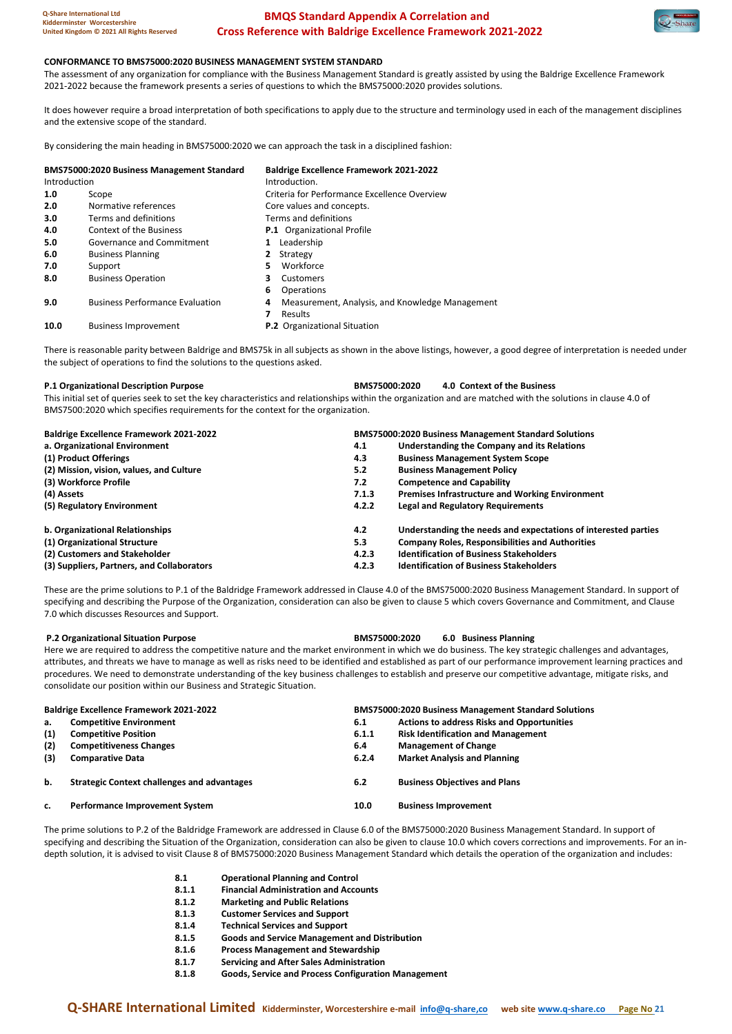

#### **CONFORMANCE TO BMS75000:2020 BUSINESS MANAGEMENT SYSTEM STANDARD**

The assessment of any organization for compliance with the Business Management Standard is greatly assisted by using the Baldrige Excellence Framework 2021-2022 because the framework presents a series of questions to which the BMS75000:2020 provides solutions.

It does however require a broad interpretation of both specifications to apply due to the structure and terminology used in each of the management disciplines and the extensive scope of the standard.

By considering the main heading in BMS75000:2020 we can approach the task in a disciplined fashion:

| <b>BMS75000:2020 Business Management Standard</b><br>Introduction |                                        | <b>Baldrige Excellence Framework 2021-2022</b><br>Introduction. |  |  |  |
|-------------------------------------------------------------------|----------------------------------------|-----------------------------------------------------------------|--|--|--|
| 1.0                                                               | Scope                                  | Criteria for Performance Excellence Overview                    |  |  |  |
| 2.0                                                               | Normative references                   | Core values and concepts.                                       |  |  |  |
| 3.0                                                               | Terms and definitions                  | Terms and definitions                                           |  |  |  |
| 4.0                                                               | Context of the Business                | <b>P.1</b> Organizational Profile                               |  |  |  |
| 5.0                                                               | Governance and Commitment              | Leadership<br>1                                                 |  |  |  |
| 6.0                                                               | <b>Business Planning</b>               | Strategy<br>$\mathbf{2}$                                        |  |  |  |
| 7.0                                                               | Support                                | Workforce<br>5                                                  |  |  |  |
| 8.0                                                               | <b>Business Operation</b>              | 3<br>Customers                                                  |  |  |  |
|                                                                   |                                        | Operations<br>6                                                 |  |  |  |
| 9.0                                                               | <b>Business Performance Evaluation</b> | Measurement, Analysis, and Knowledge Management<br>4            |  |  |  |
|                                                                   |                                        | Results                                                         |  |  |  |
| 10.0                                                              | <b>Business Improvement</b>            | P.2 Organizational Situation                                    |  |  |  |

There is reasonable parity between Baldrige and BMS75k in all subjects as shown in the above listings, however, a good degree of interpretation is needed under the subject of operations to find the solutions to the questions asked.

**P.1 Organizational Description Purpose BMS75000:2020 4.0 Context of the Business**

This initial set of queries seek to set the key characteristics and relationships within the organization and are matched with the solutions in clause 4.0 of BMS7500:2020 which specifies requirements for the context for the organization.

| <b>Baldrige Excellence Framework 2021-2022</b> | <b>BMS75000:2020 Business Management Standard Solutions</b>           |
|------------------------------------------------|-----------------------------------------------------------------------|
| a. Organizational Environment                  | Understanding the Company and its Relations<br>4.1                    |
| (1) Product Offerings                          | <b>Business Management System Scope</b><br>4.3                        |
| (2) Mission, vision, values, and Culture       | <b>Business Management Policy</b><br>5.2                              |
| (3) Workforce Profile                          | <b>Competence and Capability</b><br>7.2                               |
| (4) Assets                                     | <b>Premises Infrastructure and Working Environment</b><br>7.1.3       |
| (5) Regulatory Environment                     | <b>Legal and Regulatory Requirements</b><br>4.2.2                     |
| b. Organizational Relationships                | Understanding the needs and expectations of interested parties<br>4.2 |
| (1) Organizational Structure                   | <b>Company Roles, Responsibilities and Authorities</b><br>5.3         |
| (2) Customers and Stakeholder                  | <b>Identification of Business Stakeholders</b><br>4.2.3               |
| (3) Suppliers, Partners, and Collaborators     | <b>Identification of Business Stakeholders</b><br>4.2.3               |

These are the prime solutions to P.1 of the Baldridge Framework addressed in Clause 4.0 of the BMS75000:2020 Business Management Standard. In support of specifying and describing the Purpose of the Organization, consideration can also be given to clause 5 which covers Governance and Commitment, and Clause 7.0 which discusses Resources and Support.

| P.2 Organizational Situation Purpose                                  | 6.0 Business Planning<br>BMS75000:2020                                                                                                                                                                                                                                                                                     |  |
|-----------------------------------------------------------------------|----------------------------------------------------------------------------------------------------------------------------------------------------------------------------------------------------------------------------------------------------------------------------------------------------------------------------|--|
|                                                                       | Here we are required to address the competitive nature and the market environment in which we do business. The key strategic challenges and advantages,                                                                                                                                                                    |  |
| consolidate our position within our Business and Strategic Situation. | attributes, and threats we have to manage as well as risks need to be identified and established as part of our performance improvement learning practices and<br>procedures. We need to demonstrate understanding of the key business challenges to establish and preserve our competitive advantage, mitigate risks, and |  |
| Baldrige Excellence Framework 2021-2022                               | <b>RMS75000:2020 Rusiness Management Standard Solutions</b>                                                                                                                                                                                                                                                                |  |

|     | <b>Baldrige Excellence Framework 2021-2022</b>     |       | <b>BMS75000:2020 Business Management Standard Solutions</b> |  |  |
|-----|----------------------------------------------------|-------|-------------------------------------------------------------|--|--|
| а.  | <b>Competitive Environment</b>                     | 6.1   | <b>Actions to address Risks and Opportunities</b>           |  |  |
| (1) | <b>Competitive Position</b>                        | 6.1.1 | <b>Risk Identification and Management</b>                   |  |  |
| (2) | <b>Competitiveness Changes</b>                     | 6.4   | <b>Management of Change</b>                                 |  |  |
| (3) | <b>Comparative Data</b>                            | 6.2.4 | <b>Market Analysis and Planning</b>                         |  |  |
| b.  | <b>Strategic Context challenges and advantages</b> | 6.2   | <b>Business Objectives and Plans</b>                        |  |  |
| c.  | Performance Improvement System                     | 10.0  | <b>Business Improvement</b>                                 |  |  |

The prime solutions to P.2 of the Baldridge Framework are addressed in Clause 6.0 of the BMS75000:2020 Business Management Standard. In support of specifying and describing the Situation of the Organization, consideration can also be given to clause 10.0 which covers corrections and improvements. For an indepth solution, it is advised to visit Clause 8 of BMS75000:2020 Business Management Standard which details the operation of the organization and includes:

- **8.1 Operational Planning and Control**
- **8.1.1 Financial Administration and Accounts**
- **8.1.2 Marketing and Public Relations**
- **8.1.3 Customer Services and Support**
- **8.1.4 Technical Services and Support**
- **8.1.5 Goods and Service Management and Distribution**
- **8.1.6 Process Management and Stewardship**
- **8.1.7 Servicing and After Sales Administration**
- **8.1.8 Goods, Service and Process Configuration Management**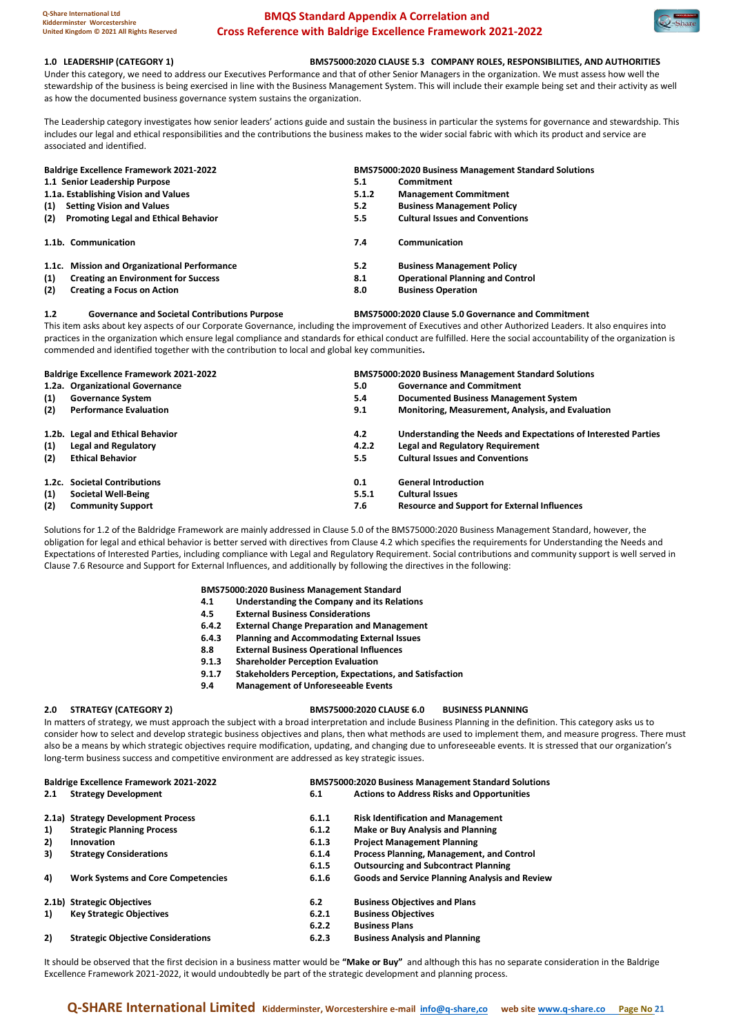

#### **1.0 LEADERSHIP (CATEGORY 1) BMS75000:2020 CLAUSE 5.3 COMPANY ROLES, RESPONSIBILITIES, AND AUTHORITIES**

Under this category, we need to address our Executives Performance and that of other Senior Managers in the organization. We must assess how well the stewardship of the business is being exercised in line with the Business Management System. This will include their example being set and their activity as well as how the documented business governance system sustains the organization.

The Leadership category investigates how senior leaders' actions guide and sustain the business in particular the systems for governance and stewardship. This includes our legal and ethical responsibilities and the contributions the business makes to the wider social fabric with which its product and service are associated and identified.

| <b>Baldrige Excellence Framework 2021-2022</b>     | <b>BMS75000:2020 Business Management Standard Solutions</b> |                                         |  |
|----------------------------------------------------|-------------------------------------------------------------|-----------------------------------------|--|
| 1.1 Senior Leadership Purpose                      | 5.1                                                         | Commitment                              |  |
| 1.1a. Establishing Vision and Values               | 5.1.2                                                       | <b>Management Commitment</b>            |  |
| <b>Setting Vision and Values</b><br>(1)            | 5.2                                                         | <b>Business Management Policy</b>       |  |
| <b>Promoting Legal and Ethical Behavior</b><br>(2) | 5.5                                                         | <b>Cultural Issues and Conventions</b>  |  |
| 1.1b. Communication                                | 7.4                                                         | Communication                           |  |
| 1.1c. Mission and Organizational Performance       | 5.2                                                         | <b>Business Management Policy</b>       |  |
| (1)<br><b>Creating an Environment for Success</b>  | 8.1                                                         | <b>Operational Planning and Control</b> |  |
| (2)<br><b>Creating a Focus on Action</b>           | 8.0                                                         | <b>Business Operation</b>               |  |

#### **1.2 Governance and Societal Contributions Purpose BMS75000:2020 Clause 5.0 Governance and Commitment**

This item asks about key aspects of our Corporate Governance, including the improvement of Executives and other Authorized Leaders. It also enquires into practices in the organization which ensure legal compliance and standards for ethical conduct are fulfilled. Here the social accountability of the organization is commended and identified together with the contribution to local and global key communities**.**

| <b>Baldrige Excellence Framework 2021-2022</b> |                                  | <b>BMS75000:2020 Business Management Standard Solutions</b> |                                                                |  |
|------------------------------------------------|----------------------------------|-------------------------------------------------------------|----------------------------------------------------------------|--|
|                                                | 1.2a. Organizational Governance  | 5.0                                                         | <b>Governance and Commitment</b>                               |  |
| (1)                                            | <b>Governance System</b>         | 5.4                                                         | Documented Business Management System                          |  |
| (2)                                            | <b>Performance Evaluation</b>    | 9.1                                                         | Monitoring, Measurement, Analysis, and Evaluation              |  |
|                                                | 1.2b. Legal and Ethical Behavior | 4.2                                                         | Understanding the Needs and Expectations of Interested Parties |  |
| (1)                                            | Legal and Regulatory             | 4.2.2                                                       | <b>Legal and Regulatory Requirement</b>                        |  |
| (2)                                            | <b>Ethical Behavior</b>          | 5.5                                                         | <b>Cultural Issues and Conventions</b>                         |  |
|                                                | 1.2c. Societal Contributions     | 0.1                                                         | <b>General Introduction</b>                                    |  |
| (1)                                            | <b>Societal Well-Being</b>       | 5.5.1                                                       | <b>Cultural Issues</b>                                         |  |
| (2)                                            | <b>Community Support</b>         | 7.6                                                         | <b>Resource and Support for External Influences</b>            |  |

Solutions for 1.2 of the Baldridge Framework are mainly addressed in Clause 5.0 of the BMS75000:2020 Business Management Standard, however, the obligation for legal and ethical behavior is better served with directives from Clause 4.2 which specifies the requirements for Understanding the Needs and Expectations of Interested Parties, including compliance with Legal and Regulatory Requirement. Social contributions and community support is well served in Clause 7.6 Resource and Support for External Influences, and additionally by following the directives in the following:

#### **BMS75000:2020 Business Management Standard**

- **4.1 Understanding the Company and its Relations**
- **4.5 External Business Considerations**
- **6.4.2 External Change Preparation and Management**
- **6.4.3 Planning and Accommodating External Issues**
- **8.8 External Business Operational Influences**
- **9.1.3 Shareholder Perception Evaluation**
- **9.1.7 Stakeholders Perception, Expectations, and Satisfaction**
- **9.4 Management of Unforeseeable Events**

#### **2.0 STRATEGY (CATEGORY 2) BMS75000:2020 CLAUSE 6.0 BUSINESS PLANNING**

In matters of strategy, we must approach the subject with a broad interpretation and include Business Planning in the definition. This category asks us to consider how to select and develop strategic business objectives and plans, then what methods are used to implement them, and measure progress. There must also be a means by which strategic objectives require modification, updating, and changing due to unforeseeable events. It is stressed that our organization's long-term business success and competitive environment are addressed as key strategic issues.

| <b>Baldrige Excellence Framework 2021-2022</b> |                                           |       | <b>BMS75000:2020 Business Management Standard Solutions</b> |  |
|------------------------------------------------|-------------------------------------------|-------|-------------------------------------------------------------|--|
| 2.1                                            | <b>Strategy Development</b>               | 6.1   | <b>Actions to Address Risks and Opportunities</b>           |  |
|                                                | 2.1a) Strategy Development Process        | 6.1.1 | <b>Risk Identification and Management</b>                   |  |
| 1)                                             | <b>Strategic Planning Process</b>         | 6.1.2 | <b>Make or Buy Analysis and Planning</b>                    |  |
| 2)                                             | Innovation                                | 6.1.3 | <b>Project Management Planning</b>                          |  |
| 3)                                             | <b>Strategy Considerations</b>            | 6.1.4 | Process Planning, Management, and Control                   |  |
|                                                |                                           | 6.1.5 | <b>Outsourcing and Subcontract Planning</b>                 |  |
| 4)                                             | <b>Work Systems and Core Competencies</b> | 6.1.6 | <b>Goods and Service Planning Analysis and Review</b>       |  |
|                                                | 2.1b) Strategic Objectives                | 6.2   | <b>Business Objectives and Plans</b>                        |  |
| 1)                                             | <b>Key Strategic Objectives</b>           | 6.2.1 | <b>Business Objectives</b>                                  |  |
|                                                |                                           | 6.2.2 | <b>Business Plans</b>                                       |  |
| 2)                                             | <b>Strategic Objective Considerations</b> | 6.2.3 | <b>Business Analysis and Planning</b>                       |  |

It should be observed that the first decision in a business matter would be **"Make or Buy"** and although this has no separate consideration in the Baldrige Excellence Framework 2021-2022, it would undoubtedly be part of the strategic development and planning process.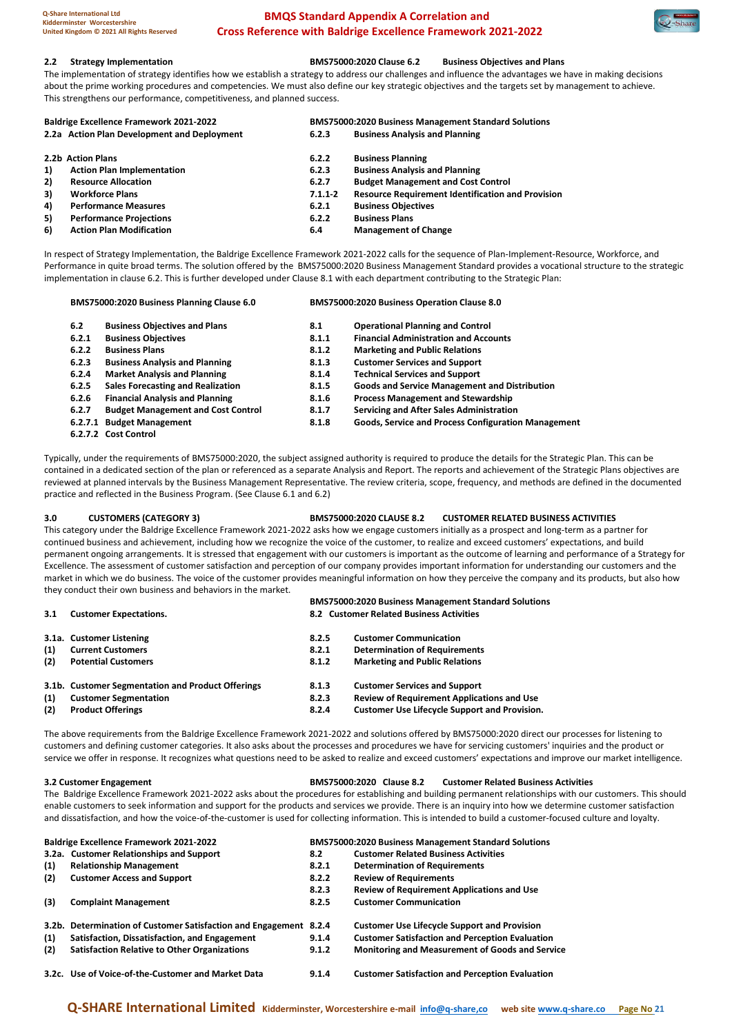#### **2.2 Strategy Implementation BMS75000:2020 Clause 6.2 Business Objectives and Plans**

The implementation of strategy identifies how we establish a strategy to address our challenges and influence the advantages we have in making decisions about the prime working procedures and competencies. We must also define our key strategic objectives and the targets set by management to achieve. This strengthens our performance, competitiveness, and planned success.

|    | 2.2a Action Plan Development and Deployment |             |                                                          |
|----|---------------------------------------------|-------------|----------------------------------------------------------|
|    |                                             | 6.2.3       | <b>Business Analysis and Planning</b>                    |
|    | 2.2b Action Plans                           | 6.2.2       | <b>Business Planning</b>                                 |
| 1) | <b>Action Plan Implementation</b>           | 6.2.3       | <b>Business Analysis and Planning</b>                    |
| 2) | <b>Resource Allocation</b>                  | 6.2.7       | <b>Budget Management and Cost Control</b>                |
| 3) | <b>Workforce Plans</b>                      | $7.1.1 - 2$ | <b>Resource Requirement Identification and Provision</b> |
| 4) | <b>Performance Measures</b>                 | 6.2.1       | <b>Business Objectives</b>                               |
| 5) | <b>Performance Projections</b>              | 6.2.2       | <b>Business Plans</b>                                    |
| 6) | <b>Action Plan Modification</b>             | 6.4         | <b>Management of Change</b>                              |

In respect of Strategy Implementation, the Baldrige Excellence Framework 2021-2022 calls for the sequence of Plan-Implement-Resource, Workforce, and Performance in quite broad terms. The solution offered by the BMS75000:2020 Business Management Standard provides a vocational structure to the strategic implementation in clause 6.2. This is further developed under Clause 8.1 with each department contributing to the Strategic Plan:

| BMS75000:2020 Business Planning Clause 6.0 |                                           | BMS75000:2020 Business Operation Clause 8.0 |                                                            |  |
|--------------------------------------------|-------------------------------------------|---------------------------------------------|------------------------------------------------------------|--|
| 6.2                                        | <b>Business Objectives and Plans</b>      | 8.1                                         | <b>Operational Planning and Control</b>                    |  |
| 6.2.1                                      | <b>Business Objectives</b>                | 8.1.1                                       | <b>Financial Administration and Accounts</b>               |  |
| 6.2.2                                      | <b>Business Plans</b>                     | 8.1.2                                       | <b>Marketing and Public Relations</b>                      |  |
| 6.2.3                                      | <b>Business Analysis and Planning</b>     | 8.1.3                                       | <b>Customer Services and Support</b>                       |  |
| 6.2.4                                      | <b>Market Analysis and Planning</b>       | 8.1.4                                       | <b>Technical Services and Support</b>                      |  |
| 6.2.5                                      | <b>Sales Forecasting and Realization</b>  | 8.1.5                                       | <b>Goods and Service Management and Distribution</b>       |  |
| 6.2.6                                      | <b>Financial Analysis and Planning</b>    | 8.1.6                                       | <b>Process Management and Stewardship</b>                  |  |
| 6.2.7                                      | <b>Budget Management and Cost Control</b> | 8.1.7                                       | Servicing and After Sales Administration                   |  |
|                                            | 6.2.7.1 Budget Management                 | 8.1.8                                       | <b>Goods, Service and Process Configuration Management</b> |  |
|                                            | 6.2.7.2 Cost Control                      |                                             |                                                            |  |

Typically, under the requirements of BMS75000:2020, the subject assigned authority is required to produce the details for the Strategic Plan. This can be contained in a dedicated section of the plan or referenced as a separate Analysis and Report. The reports and achievement of the Strategic Plans objectives are reviewed at planned intervals by the Business Management Representative. The review criteria, scope, frequency, and methods are defined in the documented practice and reflected in the Business Program. (See Clause 6.1 and 6.2)

**3.0 CUSTOMERS (CATEGORY 3) BMS75000:2020 CLAUSE 8.2 CUSTOMER RELATED BUSINESS ACTIVITIES**

This category under the Baldrige Excellence Framework 2021-2022 asks how we engage customers initially as a prospect and long-term as a partner for continued business and achievement, including how we recognize the voice of the customer, to realize and exceed customers' expectations, and build permanent ongoing arrangements. It is stressed that engagement with our customers is important as the outcome of learning and performance of a Strategy for Excellence. The assessment of customer satisfaction and perception of our company provides important information for understanding our customers and the market in which we do business. The voice of the customer provides meaningful information on how they perceive the company and its products, but also how they conduct their own business and behaviors in the market.

| 3.1 | <b>Customer Expectations.</b>                     |       | <b>BMS75000:2020 Business Management Standard Solutions</b><br>8.2 Customer Related Business Activities |
|-----|---------------------------------------------------|-------|---------------------------------------------------------------------------------------------------------|
|     | 3.1a. Customer Listening                          | 8.2.5 | <b>Customer Communication</b>                                                                           |
| (1) | <b>Current Customers</b>                          | 8.2.1 | <b>Determination of Requirements</b>                                                                    |
| (2) | <b>Potential Customers</b>                        | 8.1.2 | <b>Marketing and Public Relations</b>                                                                   |
|     | 3.1b. Customer Segmentation and Product Offerings | 8.1.3 | <b>Customer Services and Support</b>                                                                    |
| (1) | <b>Customer Segmentation</b>                      | 8.2.3 | <b>Review of Requirement Applications and Use</b>                                                       |
| (2) | <b>Product Offerings</b>                          | 8.2.4 | <b>Customer Use Lifecycle Support and Provision.</b>                                                    |

The above requirements from the Baldrige Excellence Framework 2021-2022 and solutions offered by BMS75000:2020 direct our processes for listening to customers and defining customer categories. It also asks about the processes and procedures we have for servicing customers' inquiries and the product or service we offer in response. It recognizes what questions need to be asked to realize and exceed customers' expectations and improve our market intelligence.

#### **3.2 Customer Engagement BMS75000:2020 Clause 8.2 Customer Related Business Activities**

The Baldrige Excellence Framework 2021-2022 asks about the procedures for establishing and building permanent relationships with our customers. This should enable customers to seek information and support for the products and services we provide. There is an inquiry into how we determine customer satisfaction and dissatisfaction, and how the voice-of-the-customer is used for collecting information. This is intended to build a customer-focused culture and loyalty.

| <b>Baldrige Excellence Framework 2021-2022</b> |                                                                   | <b>BMS75000:2020 Business Management Standard Solutions</b> |                                                        |
|------------------------------------------------|-------------------------------------------------------------------|-------------------------------------------------------------|--------------------------------------------------------|
|                                                | 3.2a. Customer Relationships and Support                          | 8.2                                                         | <b>Customer Related Business Activities</b>            |
| (1)                                            | <b>Relationship Management</b>                                    | 8.2.1                                                       | <b>Determination of Requirements</b>                   |
| (2)                                            | <b>Customer Access and Support</b>                                | 8.2.2                                                       | <b>Review of Requirements</b>                          |
|                                                |                                                                   | 8.2.3                                                       | <b>Review of Requirement Applications and Use</b>      |
| (3)                                            | <b>Complaint Management</b>                                       | 8.2.5                                                       | <b>Customer Communication</b>                          |
|                                                | 3.2b. Determination of Customer Satisfaction and Engagement 8.2.4 |                                                             | <b>Customer Use Lifecycle Support and Provision</b>    |
| (1)                                            | Satisfaction, Dissatisfaction, and Engagement                     | 9.1.4                                                       | <b>Customer Satisfaction and Perception Evaluation</b> |
| (2)                                            | <b>Satisfaction Relative to Other Organizations</b>               | 9.1.2                                                       | Monitoring and Measurement of Goods and Service        |
|                                                | 3.2c. Use of Voice-of-the-Customer and Market Data                | 9.1.4                                                       | <b>Customer Satisfaction and Perception Evaluation</b> |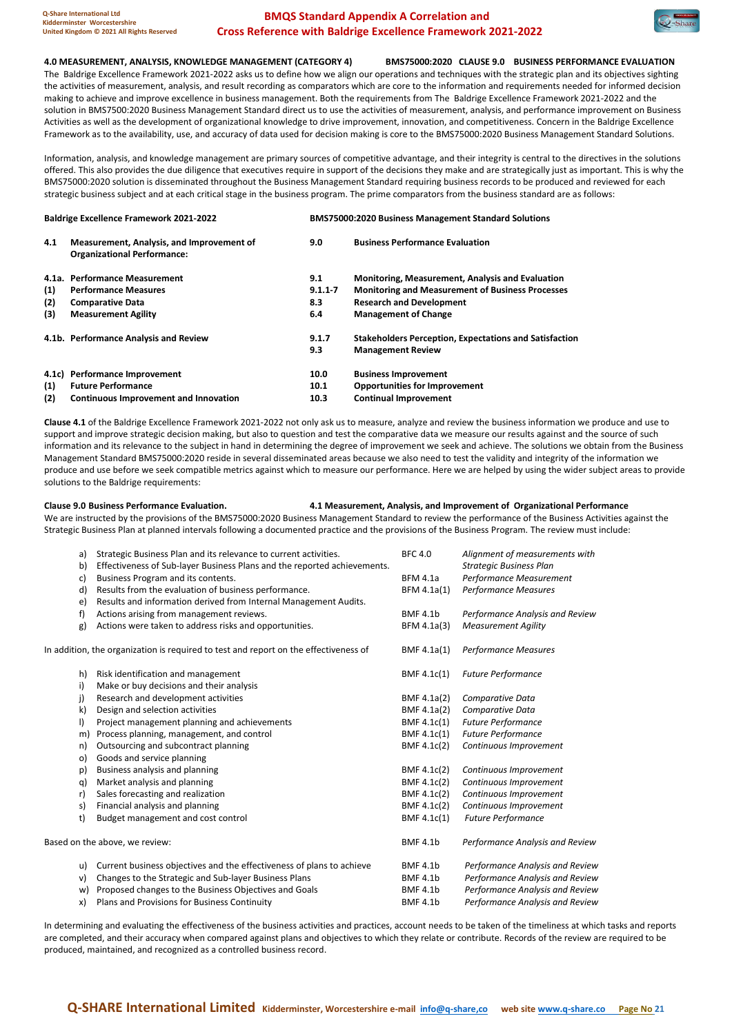

**4.0 MEASUREMENT, ANALYSIS, KNOWLEDGE MANAGEMENT (CATEGORY 4) BMS75000:2020 CLAUSE 9.0 BUSINESS PERFORMANCE EVALUATION** The Baldrige Excellence Framework 2021-2022 asks us to define how we align our operations and techniques with the strategic plan and its objectives sighting the activities of measurement, analysis, and result recording as comparators which are core to the information and requirements needed for informed decision making to achieve and improve excellence in business management. Both the requirements from The Baldrige Excellence Framework 2021-2022 and the solution in BMS7500:2020 Business Management Standard direct us to use the activities of measurement, analysis, and performance improvement on Business Activities as well as the development of organizational knowledge to drive improvement, innovation, and competitiveness. Concern in the Baldrige Excellence Framework as to the availability, use, and accuracy of data used for decision making is core to the BMS75000:2020 Business Management Standard Solutions.

Information, analysis, and knowledge management are primary sources of competitive advantage, and their integrity is central to the directives in the solutions offered. This also provides the due diligence that executives require in support of the decisions they make and are strategically just as important. This is why the BMS75000:2020 solution is disseminated throughout the Business Management Standard requiring business records to be produced and reviewed for each strategic business subject and at each critical stage in the business program. The prime comparators from the business standard are as follows:

| <b>Baldrige Excellence Framework 2021-2022</b> |                                                                                 | <b>BMS75000:2020 Business Management Standard Solutions</b> |                                                               |  |
|------------------------------------------------|---------------------------------------------------------------------------------|-------------------------------------------------------------|---------------------------------------------------------------|--|
| 4.1                                            | Measurement, Analysis, and Improvement of<br><b>Organizational Performance:</b> | 9.0                                                         | <b>Business Performance Evaluation</b>                        |  |
|                                                | 4.1a. Performance Measurement                                                   | 9.1                                                         | <b>Monitoring, Measurement, Analysis and Evaluation</b>       |  |
| (1)                                            | <b>Performance Measures</b>                                                     | $9.1.1 - 7$                                                 | <b>Monitoring and Measurement of Business Processes</b>       |  |
| (2)                                            | <b>Comparative Data</b>                                                         | 8.3                                                         | <b>Research and Development</b>                               |  |
| (3)                                            | <b>Measurement Agility</b>                                                      | 6.4                                                         | <b>Management of Change</b>                                   |  |
|                                                | 4.1b. Performance Analysis and Review                                           | 9.1.7                                                       | <b>Stakeholders Perception, Expectations and Satisfaction</b> |  |
|                                                |                                                                                 | 9.3                                                         | <b>Management Review</b>                                      |  |
|                                                | 4.1c) Performance Improvement                                                   | 10.0                                                        | <b>Business Improvement</b>                                   |  |
| (1)                                            | <b>Future Performance</b>                                                       | 10.1                                                        | <b>Opportunities for Improvement</b>                          |  |
| (2)                                            | Continuous Improvement and Innovation                                           | 10.3                                                        | <b>Continual Improvement</b>                                  |  |

**Clause 4.1** of the Baldrige Excellence Framework 2021-2022 not only ask us to measure, analyze and review the business information we produce and use to support and improve strategic decision making, but also to question and test the comparative data we measure our results against and the source of such information and its relevance to the subject in hand in determining the degree of improvement we seek and achieve. The solutions we obtain from the Business Management Standard BMS75000:2020 reside in several disseminated areas because we also need to test the validity and integrity of the information we produce and use before we seek compatible metrics against which to measure our performance. Here we are helped by using the wider subject areas to provide solutions to the Baldrige requirements:

**Clause 9.0 Business Performance Evaluation. 4.1 Measurement, Analysis, and Improvement of Organizational Performance**

We are instructed by the provisions of the BMS75000:2020 Business Management Standard to review the performance of the Business Activities against the Strategic Business Plan at planned intervals following a documented practice and the provisions of the Business Program. The review must include:

| a)      | Strategic Business Plan and its relevance to current activities.                     | <b>BFC 4.0</b>  | Alignment of measurements with  |
|---------|--------------------------------------------------------------------------------------|-----------------|---------------------------------|
| b)      | Effectiveness of Sub-layer Business Plans and the reported achievements.             |                 | <b>Strategic Business Plan</b>  |
| c)      | Business Program and its contents.                                                   | <b>BFM 4.1a</b> | Performance Measurement         |
| d)      | Results from the evaluation of business performance.                                 | BFM 4.1a(1)     | <b>Performance Measures</b>     |
| e)      | Results and information derived from Internal Management Audits.                     |                 |                                 |
| f)      | Actions arising from management reviews.                                             | <b>BMF 4.1b</b> | Performance Analysis and Review |
| g)      | Actions were taken to address risks and opportunities.                               | BFM 4.1a(3)     | <b>Measurement Agility</b>      |
|         | In addition, the organization is required to test and report on the effectiveness of | BMF 4.1a(1)     | Performance Measures            |
| h)      | Risk identification and management                                                   | BMF 4.1c(1)     | <b>Future Performance</b>       |
| i)      | Make or buy decisions and their analysis                                             |                 |                                 |
| j)      | Research and development activities                                                  | BMF 4.1a(2)     | Comparative Data                |
| k)      | Design and selection activities                                                      | BMF 4.1a(2)     | Comparative Data                |
| $\vert$ | Project management planning and achievements                                         | BMF 4.1c(1)     | <b>Future Performance</b>       |
| m)      | Process planning, management, and control                                            | BMF 4.1c(1)     | <b>Future Performance</b>       |
| n)      | Outsourcing and subcontract planning                                                 | BMF 4.1c(2)     | Continuous Improvement          |
| o)      | Goods and service planning                                                           |                 |                                 |
| p)      | Business analysis and planning                                                       | BMF 4.1c(2)     | Continuous Improvement          |
| q)      | Market analysis and planning                                                         | BMF 4.1c(2)     | Continuous Improvement          |
| r)      | Sales forecasting and realization                                                    | BMF 4.1c(2)     | Continuous Improvement          |
| s)      | Financial analysis and planning                                                      | BMF 4.1c(2)     | Continuous Improvement          |
| t)      | Budget management and cost control                                                   | BMF 4.1c(1)     | <b>Future Performance</b>       |
|         | Based on the above, we review:                                                       | <b>BMF 4.1b</b> | Performance Analysis and Review |
| u)      | Current business objectives and the effectiveness of plans to achieve                | <b>BMF 4.1b</b> | Performance Analysis and Review |
| v)      | Changes to the Strategic and Sub-layer Business Plans                                | <b>BMF 4.1b</b> | Performance Analysis and Review |
| w)      | Proposed changes to the Business Objectives and Goals                                | <b>BMF 4.1b</b> | Performance Analysis and Review |
| x)      | Plans and Provisions for Business Continuity                                         | <b>BMF 4.1b</b> | Performance Analysis and Review |
|         |                                                                                      |                 |                                 |

In determining and evaluating the effectiveness of the business activities and practices, account needs to be taken of the timeliness at which tasks and reports are completed, and their accuracy when compared against plans and objectives to which they relate or contribute. Records of the review are required to be produced, maintained, and recognized as a controlled business record.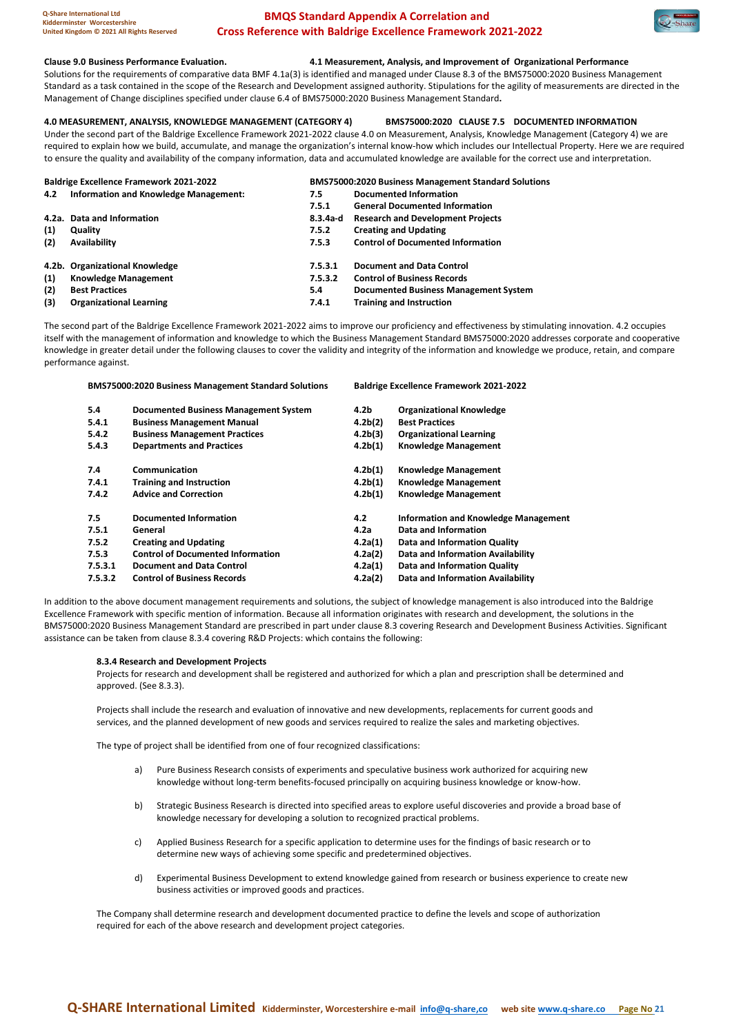#### **Clause 9.0 Business Performance Evaluation. 4.1 Measurement, Analysis, and Improvement of Organizational Performance**

Solutions for the requirements of comparative data BMF 4.1a(3) is identified and managed under Clause 8.3 of the BMS75000:2020 Business Management Standard as a task contained in the scope of the Research and Development assigned authority. Stipulations for the agility of measurements are directed in the Management of Change disciplines specified under clause 6.4 of BMS75000:2020 Business Management Standard**.**

#### **4.0 MEASUREMENT, ANALYSIS, KNOWLEDGE MANAGEMENT (CATEGORY 4) BMS75000:2020 CLAUSE 7.5 DOCUMENTED INFORMATION**

Under the second part of the Baldrige Excellence Framework 2021-2022 clause 4.0 on Measurement, Analysis, Knowledge Management (Category 4) we are required to explain how we build, accumulate, and manage the organization's internal know-how which includes our Intellectual Property. Here we are required to ensure the quality and availability of the company information, data and accumulated knowledge are available for the correct use and interpretation.

|     | <b>Baldrige Excellence Framework 2021-2022</b> | <b>BMS75000:2020 Business Management Standard Solutions</b> |                                          |  |
|-----|------------------------------------------------|-------------------------------------------------------------|------------------------------------------|--|
| 4.2 | Information and Knowledge Management:          | 7.5                                                         | <b>Documented Information</b>            |  |
|     |                                                | 7.5.1                                                       | <b>General Documented Information</b>    |  |
|     | 4.2a. Data and Information                     | 8.3.4a-d                                                    | <b>Research and Development Projects</b> |  |
| (1) | Quality                                        | 7.5.2                                                       | <b>Creating and Updating</b>             |  |
| (2) | <b>Availability</b>                            | 7.5.3                                                       | <b>Control of Documented Information</b> |  |
|     | 4.2b. Organizational Knowledge                 | 7.5.3.1                                                     | <b>Document and Data Control</b>         |  |
| (1) | <b>Knowledge Management</b>                    | 7.5.3.2                                                     | <b>Control of Business Records</b>       |  |
| (2) | <b>Best Practices</b>                          | 5.4                                                         | Documented Business Management System    |  |
| (3) | <b>Organizational Learning</b>                 | 7.4.1                                                       | <b>Training and Instruction</b>          |  |

The second part of the Baldrige Excellence Framework 2021-2022 aims to improve our proficiency and effectiveness by stimulating innovation. 4.2 occupies itself with the management of information and knowledge to which the Business Management Standard BMS75000:2020 addresses corporate and cooperative knowledge in greater detail under the following clauses to cover the validity and integrity of the information and knowledge we produce, retain, and compare performance against.

**BMS75000:2020 Business Management Standard Solutions Baldrige Excellence Framework 2021-2022 5.4 Documented Business Management System 4.2b Organizational Knowledge 5.4.1 Business Management Manual 4.2b(2) Best Practices 5.4.2 Business Management Practices 4.2b(3) Organizational Learning 5.4.3 Departments and Practices 4.2b(1) Knowledge Management 7.4 Communication 4.2b(1) Knowledge Management 7.4.1 Training and Instruction 4.2b(1) Knowledge Management 7.4.2 Advice and Correction 4.2b(1) Knowledge Management 7.5 Documented Information 4.2 Information and Knowledge Management 7.5.1 General 4.2a Data and Information 7.5.2 Creating and Updating 4.2a(1) Data and Information Quality 7.5.3 Control of Documented Information 4.2a(2) Data and Information Availability 7.5.3.1 Document and Data Control 4.2a(1) Data and Information Quality 7.5.3.2 Control of Business Records 4.2a(2) Data and Information Availability**

In addition to the above document management requirements and solutions, the subject of knowledge management is also introduced into the Baldrige Excellence Framework with specific mention of information. Because all information originates with research and development, the solutions in the BMS75000:2020 Business Management Standard are prescribed in part under clause 8.3 covering Research and Development Business Activities. Significant assistance can be taken from clause 8.3.4 covering R&D Projects: which contains the following:

### **8.3.4 Research and Development Projects**

Projects for research and development shall be registered and authorized for which a plan and prescription shall be determined and approved. (See 8.3.3).

Projects shall include the research and evaluation of innovative and new developments, replacements for current goods and services, and the planned development of new goods and services required to realize the sales and marketing objectives.

<span id="page-21-0"></span>The type of project shall be identified from one of four recognized classifications:

- a) Pure Business Research consists of experiments and speculative business work authorized for acquiring new knowledge without long-term benefits-focused principally on acquiring business knowledge or know-how.
- b) Strategic Business Research is directed into specified areas to explore useful discoveries and provide a broad base of knowledge necessary for developing a solution to recognized practical problems.
- c) Applied Business Research for a specific application to determine uses for the findings of basic research or to determine new ways of achieving some specific and predetermined objectives.
- d) Experimental Business Development to extend knowledge gained from research or business experience to create new business activities or improved goods and practices.

The Company shall determine research and development documented practice to define the levels and scope of authorization required for each of the above research and development project categories.

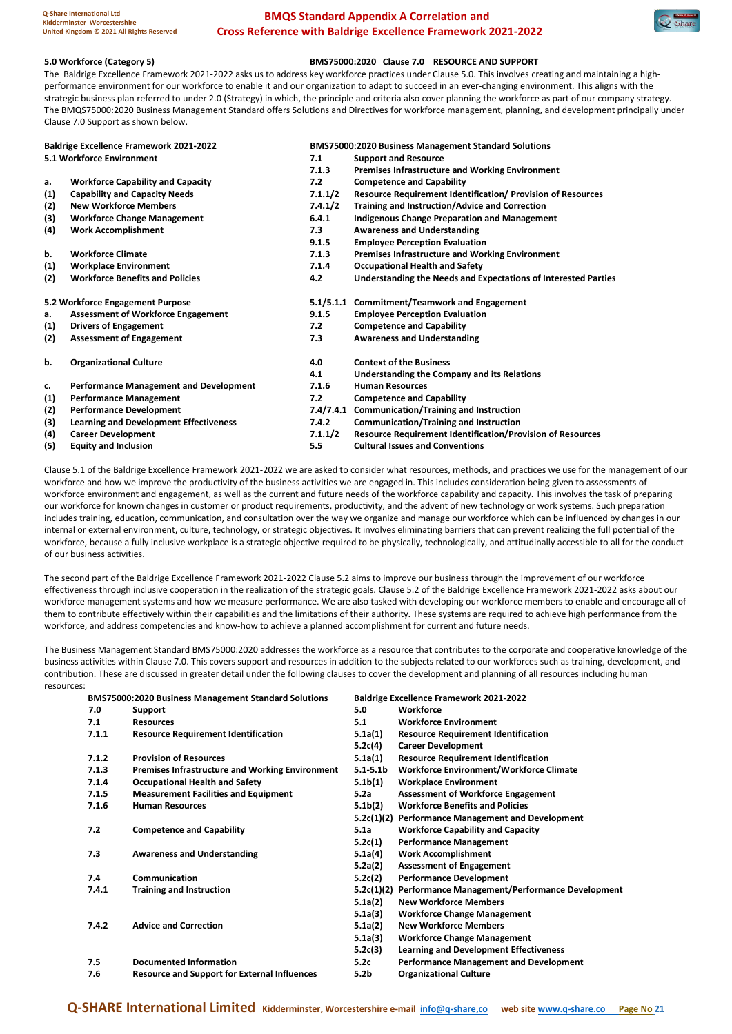

#### **5.0 Workforce (Category 5) BMS75000:2020 Clause 7.0 RESOURCE AND SUPPORT**

The Baldrige Excellence Framework 2021-2022 asks us to address key workforce practices under Clause 5.0. This involves creating and maintaining a highperformance environment for our workforce to enable it and our organization to adapt to succeed in an ever-changing environment. This aligns with the strategic business plan referred to under 2.0 (Strategy) in which, the principle and criteria also cover planning the workforce as part of our company strategy. The BMQS75000:2020 Business Management Standard offers Solutions and Directives for workforce management, planning, and development principally under Clause 7.0 Support as shown below.

| <b>Baldrige Excellence Framework 2021-2022</b> |                                               | <b>BMS75000:2020 Business Management Standard Solutions</b> |                                                                    |  |  |
|------------------------------------------------|-----------------------------------------------|-------------------------------------------------------------|--------------------------------------------------------------------|--|--|
| 5.1 Workforce Environment                      |                                               | 7.1                                                         | <b>Support and Resource</b>                                        |  |  |
|                                                |                                               | 7.1.3                                                       | Premises Infrastructure and Working Environment                    |  |  |
| a.                                             | <b>Workforce Capability and Capacity</b>      | 7.2                                                         | <b>Competence and Capability</b>                                   |  |  |
| (1)                                            | <b>Capability and Capacity Needs</b>          | 7.1.1/2                                                     | <b>Resource Requirement Identification/ Provision of Resources</b> |  |  |
| (2)                                            | <b>New Workforce Members</b>                  | 7.4.1/2                                                     | <b>Training and Instruction/Advice and Correction</b>              |  |  |
| (3)                                            | <b>Workforce Change Management</b>            | 6.4.1                                                       | <b>Indigenous Change Preparation and Management</b>                |  |  |
| (4)                                            | <b>Work Accomplishment</b>                    | 7.3                                                         | <b>Awareness and Understanding</b>                                 |  |  |
|                                                |                                               | 9.1.5                                                       | <b>Employee Perception Evaluation</b>                              |  |  |
| b.                                             | <b>Workforce Climate</b>                      | 7.1.3                                                       | <b>Premises Infrastructure and Working Environment</b>             |  |  |
| (1)                                            | <b>Workplace Environment</b>                  | 7.1.4                                                       | <b>Occupational Health and Safety</b>                              |  |  |
| (2)                                            | <b>Workforce Benefits and Policies</b>        | 4.2                                                         | Understanding the Needs and Expectations of Interested Parties     |  |  |
|                                                | 5.2 Workforce Engagement Purpose              |                                                             | 5.1/5.1.1 Commitment/Teamwork and Engagement                       |  |  |
| a.                                             | <b>Assessment of Workforce Engagement</b>     | 9.1.5                                                       | <b>Employee Perception Evaluation</b>                              |  |  |
| (1)                                            | <b>Drivers of Engagement</b>                  | 7.2                                                         | <b>Competence and Capability</b>                                   |  |  |
| (2)                                            | <b>Assessment of Engagement</b>               | 7.3                                                         | <b>Awareness and Understanding</b>                                 |  |  |
| b.                                             | <b>Organizational Culture</b>                 | 4.0                                                         | <b>Context of the Business</b>                                     |  |  |
|                                                |                                               | 4.1                                                         | Understanding the Company and its Relations                        |  |  |
| c.                                             | <b>Performance Management and Development</b> | 7.1.6                                                       | <b>Human Resources</b>                                             |  |  |
| (1)                                            | <b>Performance Management</b>                 | 7.2                                                         | <b>Competence and Capability</b>                                   |  |  |
| (2)                                            | <b>Performance Development</b>                | 7.4/7.4.1                                                   | <b>Communication/Training and Instruction</b>                      |  |  |
| (3)                                            | <b>Learning and Development Effectiveness</b> | 7.4.2                                                       | <b>Communication/Training and Instruction</b>                      |  |  |
| (4)                                            | <b>Career Development</b>                     | 7.1.1/2                                                     | <b>Resource Requirement Identification/Provision of Resources</b>  |  |  |
| (5)                                            | <b>Equity and Inclusion</b>                   | 5.5                                                         | <b>Cultural Issues and Conventions</b>                             |  |  |

Clause 5.1 of the Baldrige Excellence Framework 2021-2022 we are asked to consider what resources, methods, and practices we use for the management of our workforce and how we improve the productivity of the business activities we are engaged in. This includes consideration being given to assessments of workforce environment and engagement, as well as the current and future needs of the workforce capability and capacity. This involves the task of preparing our workforce for known changes in customer or product requirements, productivity, and the advent of new technology or work systems. Such preparation includes training, education, communication, and consultation over the way we organize and manage our workforce which can be influenced by changes in our internal or external environment, culture, technology, or strategic objectives. It involves eliminating barriers that can prevent realizing the full potential of the workforce, because a fully inclusive workplace is a strategic objective required to be physically, technologically, and attitudinally accessible to all for the conduct of our business activities.

The second part of the Baldrige Excellence Framework 2021-2022 Clause 5.2 aims to improve our business through the improvement of our workforce effectiveness through inclusive cooperation in the realization of the strategic goals. Clause 5.2 of the Baldrige Excellence Framework 2021-2022 asks about our workforce management systems and how we measure performance. We are also tasked with developing our workforce members to enable and encourage all of them to contribute effectively within their capabilities and the limitations of their authority. These systems are required to achieve high performance from the workforce, and address competencies and know-how to achieve a planned accomplishment for current and future needs.

The Business Management Standard BMS75000:2020 addresses the workforce as a resource that contributes to the corporate and cooperative knowledge of the business activities within Clause 7.0. This covers support and resources in addition to the subjects related to our workforces such as training, development, and contribution. These are discussed in greater detail under the following clauses to cover the development and planning of all resources including human resources:

|       | <b>BMS75000:2020 Business Management Standard Solutions</b> |                      | <b>Baldrige Excellence Framework 2021-2022</b>    |
|-------|-------------------------------------------------------------|----------------------|---------------------------------------------------|
| 7.0   | Support                                                     | 5.0                  | Workforce                                         |
| 7.1   | <b>Resources</b>                                            | 5.1                  | <b>Workforce Environment</b>                      |
| 7.1.1 | <b>Resource Requirement Identification</b>                  | 5.1a(1)              | <b>Resource Requirement Identification</b>        |
|       |                                                             | 5.2c(4)              | <b>Career Development</b>                         |
| 7.1.2 | <b>Provision of Resources</b>                               | 5.1a(1)              | <b>Resource Requirement Identification</b>        |
| 7.1.3 | <b>Premises Infrastructure and Working Environment</b>      | 5.15.1 <sub>b</sub>  | <b>Workforce Environment/Workforce Climate</b>    |
| 7.1.4 | <b>Occupational Health and Safety</b>                       | 5.1 <sub>b</sub> (1) | <b>Workplace Environment</b>                      |
| 7.1.5 | <b>Measurement Facilities and Equipment</b>                 | 5.2a                 | <b>Assessment of Workforce Engagement</b>         |
| 7.1.6 | <b>Human Resources</b>                                      | 5.1 <sub>b</sub> (2) | <b>Workforce Benefits and Policies</b>            |
|       |                                                             |                      | 5.2c(1)(2) Performance Management and Development |
| 7.2   | <b>Competence and Capability</b>                            | 5.1a                 | <b>Workforce Capability and Capacity</b>          |
|       |                                                             | 5.2c(1)              | <b>Performance Management</b>                     |
| 7.3   | <b>Awareness and Understanding</b>                          | 5.1a(4)              | <b>Work Accomplishment</b>                        |
|       |                                                             | 5.2a(2)              | <b>Assessment of Engagement</b>                   |
| 7.4   | Communication                                               | 5.2c(2)              | <b>Performance Development</b>                    |
| 7.4.1 | <b>Training and Instruction</b>                             | 5.2c(1)(2)           | Performance Management/Performance Development    |
|       |                                                             | 5.1a(2)              | <b>New Workforce Members</b>                      |
|       |                                                             | 5.1a(3)              | <b>Workforce Change Management</b>                |
| 7.4.2 | <b>Advice and Correction</b>                                | 5.1a(2)              | <b>New Workforce Members</b>                      |
|       |                                                             | 5.1a(3)              | <b>Workforce Change Management</b>                |
|       |                                                             | 5.2c(3)              | <b>Learning and Development Effectiveness</b>     |
| 7.5   | <b>Documented Information</b>                               | 5.2c                 | <b>Performance Management and Development</b>     |
| 7.6   | <b>Resource and Support for External Influences</b>         | 5.2b                 | <b>Organizational Culture</b>                     |

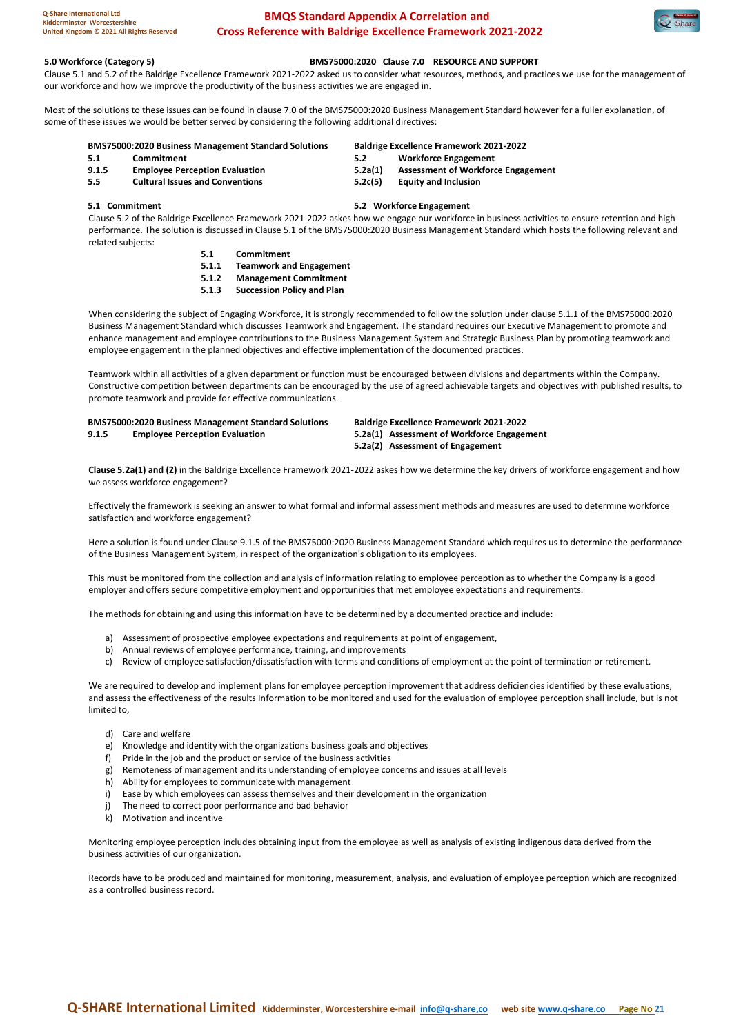

**5.0 Workforce (Category 5) BMS75000:2020 Clause 7.0 RESOURCE AND SUPPORT** Clause 5.1 and 5.2 of the Baldrige Excellence Framework 2021-2022 asked us to consider what resources, methods, and practices we use for the management of our workforce and how we improve the productivity of the business activities we are engaged in.

Most of the solutions to these issues can be found in clause 7.0 of the BMS75000:2020 Business Management Standard however for a fuller explanation, of some of these issues we would be better served by considering the following additional directives:

#### **BMS75000:2020 Business Management Standard Solutions Baldrige Excellence Framework 2021-2022**

- **5.1 Commitment 5.2 Workforce Engagement 9.1.5 Employee Perception Evaluation 5.2a(1) Assessment of Workforce Engagement**
- **5.5 Cultural Issues and Conventions 5.2c(5) Equity and Inclusion**

**5.1 Commitment 5.2 Workforce Engagement**

Clause 5.2 of the Baldrige Excellence Framework 2021-2022 askes how we engage our workforce in business activities to ensure retention and high performance. The solution is discussed in Clause 5.1 of the BMS75000:2020 Business Management Standard which hosts the following relevant and related subjects:

- **5.1 Commitment**
- **5.1.1 Teamwork and Engagement**
- **5.1.2 Management Commitment**
- **5.1.3 Succession Policy and Plan**

When considering the subject of Engaging Workforce, it is strongly recommended to follow the solution under clause 5.1.1 of the BMS75000:2020 Business Management Standard which discusses Teamwork and Engagement. The standard requires our Executive Management to promote and enhance management and employee contributions to the Business Management System and Strategic Business Plan by promoting teamwork and employee engagement in the planned objectives and effective implementation of the documented practices.

Teamwork within all activities of a given department or function must be encouraged between divisions and departments within the Company. Constructive competition between departments can be encouraged by the use of agreed achievable targets and objectives with published results, to promote teamwork and provide for effective communications.

|       | <b>BMS75000:2020 Business Management Standard Solutions</b> | <b>Baldrige Excellence Framework 2021-2022</b> |
|-------|-------------------------------------------------------------|------------------------------------------------|
| 9.1.5 | <b>Employee Perception Evaluation</b>                       | 5.2a(1) Assessment of Workforce Engagement     |
|       |                                                             | 5.2a(2) Assessment of Engagement               |

**Clause 5.2a(1) and (2)** in the Baldrige Excellence Framework 2021-2022 askes how we determine the key drivers of workforce engagement and how we assess workforce engagement?

Effectively the framework is seeking an answer to what formal and informal assessment methods and measures are used to determine workforce satisfaction and workforce engagement?

Here a solution is found under Clause 9.1.5 of the BMS75000:2020 Business Management Standard which requires us to determine the performance of the Business Management System, in respect of the organization's obligation to its employees.

This must be monitored from the collection and analysis of information relating to employee perception as to whether the Company is a good employer and offers secure competitive employment and opportunities that met employee expectations and requirements.

The methods for obtaining and using this information have to be determined by a documented practice and include:

- a) Assessment of prospective employee expectations and requirements at point of engagement,
- b) Annual reviews of employee performance, training, and improvements
- c) Review of employee satisfaction/dissatisfaction with terms and conditions of employment at the point of termination or retirement.

We are required to develop and implement plans for employee perception improvement that address deficiencies identified by these evaluations, and assess the effectiveness of the results Information to be monitored and used for the evaluation of employee perception shall include, but is not limited to,

- d) Care and welfare
- e) Knowledge and identity with the organizations business goals and objectives
- f) Pride in the job and the product or service of the business activities
- g) Remoteness of management and its understanding of employee concerns and issues at all levels
- h) Ability for employees to communicate with management
- i) Ease by which employees can assess themselves and their development in the organization
- j) The need to correct poor performance and bad behavior
- k) Motivation and incentive

Monitoring employee perception includes obtaining input from the employee as well as analysis of existing indigenous data derived from the business activities of our organization.

Records have to be produced and maintained for monitoring, measurement, analysis, and evaluation of employee perception which are recognized as a controlled business record.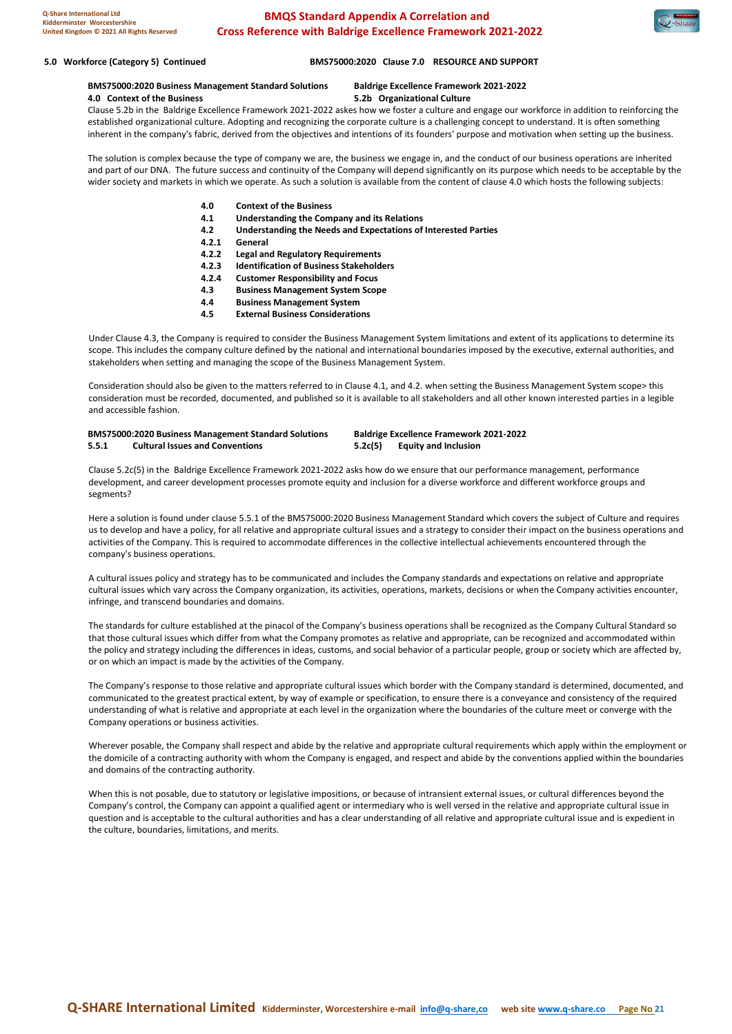

#### **5.0 Workforce (Category 5) Continued BMS75000:2020 Clause 7.0 RESOURCE AND SUPPORT**

**BMS75000:2020 Business Management Standard Solutions Baldrige Excellence Framework 2021-2022 4.0 Context of the Business 5.2b Organizational Culture**

Clause 5.2b in the Baldrige Excellence Framework 2021-2022 askes how we foster a culture and engage our workforce in addition to reinforcing the established organizational culture. Adopting and recognizing the corporate culture is a challenging concept to understand. It is often something inherent in the company's fabric, derived from the objectives and intentions of its founders' purpose and motivation when setting up the business.

The solution is complex because the type of company we are, the business we engage in, and the conduct of our business operations are inherited and part of our DNA. The future success and continuity of the Company will depend significantly on its purpose which needs to be acceptable by the wider society and markets in which we operate. As such a solution is available from the content of clause 4.0 which hosts the following subjects:

- **4.0 Context of the Business**
- **4.1 Understanding the Company and its Relations**
- **4.2 Understanding the Needs and Expectations of Interested Parties**
- **4.2.1 General**
- **4.2.2 Legal and Regulatory Requirements**
- **4.2.3 Identification of Business Stakeholders**
- **4.2.4 Customer Responsibility and Focus**
- **4.3 Business Management System Scope**
- **4.4 Business Management System**
- **4.5 External Business Considerations**

Under Clause 4.3, the Company is required to consider the Business Management System limitations and extent of its applications to determine its scope. This includes the company culture defined by the national and international boundaries imposed by the executive, external authorities, and stakeholders when setting and managing the scope of the Business Management System.

Consideration should also be given to the matters referred to in Clause 4.1, and 4.2. when setting the Business Management System scope> this consideration must be recorded, documented, and published so it is available to all stakeholders and all other known interested parties in a legible and accessible fashion.

#### **BMS75000:2020 Business Management Standard Solutions Baldrige Excellence Framework 2021-2022 5.5.1 Cultural Issues and Conventions 5.2c(5) Equity and Inclusion**

Clause 5.2c(5) in the Baldrige Excellence Framework 2021-2022 asks how do we ensure that our performance management, performance development, and career development processes promote equity and inclusion for a diverse workforce and different workforce groups and segments?

Here a solution is found under clause 5.5.1 of the BMS75000:2020 Business Management Standard which covers the subject of Culture and requires us to develop and have a policy, for all relative and appropriate cultural issues and a strategy to consider their impact on the business operations and activities of the Company. This is required to accommodate differences in the collective intellectual achievements encountered through the company's business operations.

A cultural issues policy and strategy has to be communicated and includes the Company standards and expectations on relative and appropriate cultural issues which vary across the Company organization, its activities, operations, markets, decisions or when the Company activities encounter, infringe, and transcend boundaries and domains.

The standards for culture established at the pinacol of the Company's business operations shall be recognized as the Company Cultural Standard so that those cultural issues which differ from what the Company promotes as relative and appropriate, can be recognized and accommodated within the policy and strategy including the differences in ideas, customs, and social behavior of a particular people, group or society which are affected by, or on which an impact is made by the activities of the Company.

The Company's response to those relative and appropriate cultural issues which border with the Company standard is determined, documented, and communicated to the greatest practical extent, by way of example or specification, to ensure there is a conveyance and consistency of the required understanding of what is relative and appropriate at each level in the organization where the boundaries of the culture meet or converge with the Company operations or business activities.

Wherever posable, the Company shall respect and abide by the relative and appropriate cultural requirements which apply within the employment or the domicile of a contracting authority with whom the Company is engaged, and respect and abide by the conventions applied within the boundaries and domains of the contracting authority.

When this is not posable, due to statutory or legislative impositions, or because of intransient external issues, or cultural differences beyond the Company's control, the Company can appoint a qualified agent or intermediary who is well versed in the relative and appropriate cultural issue in question and is acceptable to the cultural authorities and has a clear understanding of all relative and appropriate cultural issue and is expedient in the culture, boundaries, limitations, and merits.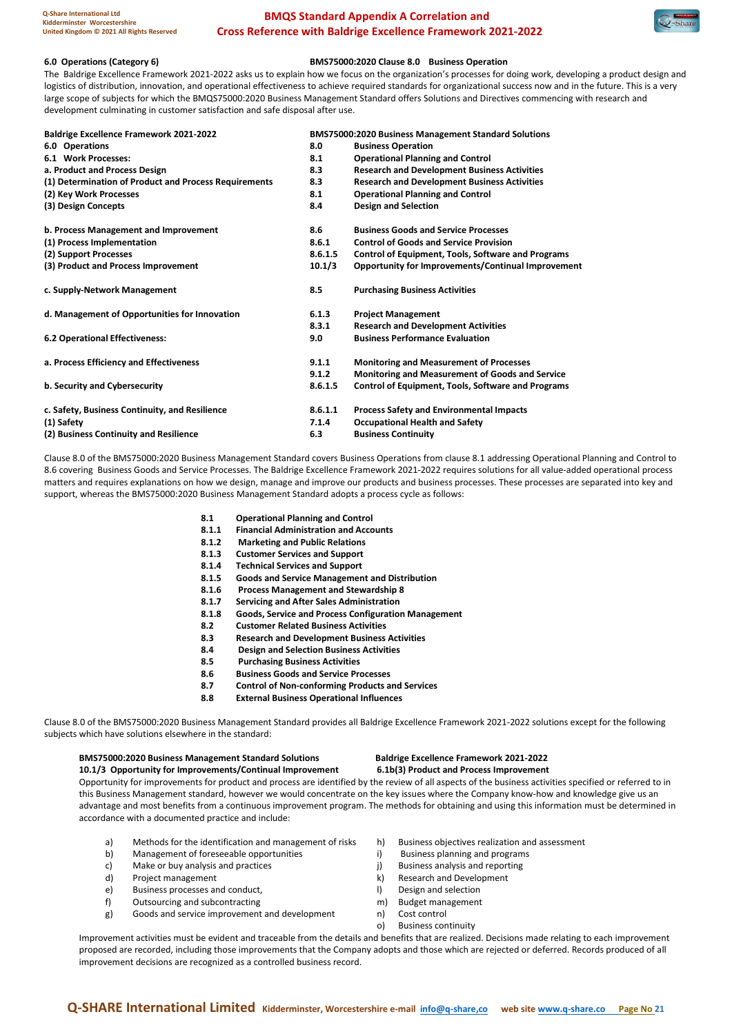#### **6.0 Operations (Category 6) BMS75000:2020 Clause 8.0 Business Operation**

The Baldrige Excellence Framework 2021-2022 asks us to explain how we focus on the organization's processes for doing work, developing a product design and logistics of distribution, innovation, and operational effectiveness to achieve required standards for organizational success now and in the future. This is a very large scope of subjects for which the BMQS75000:2020 Business Management Standard offers Solutions and Directives commencing with research and development culminating in customer satisfaction and safe disposal after use.

| <b>Baldrige Excellence Framework 2021-2022</b>        |         | <b>BMS75000:2020 Business Management Standard Solutions</b> |
|-------------------------------------------------------|---------|-------------------------------------------------------------|
| 6.0 Operations                                        | 8.0     | <b>Business Operation</b>                                   |
| 6.1 Work Processes:                                   | 8.1     | <b>Operational Planning and Control</b>                     |
| a. Product and Process Design                         | 8.3     | <b>Research and Development Business Activities</b>         |
| (1) Determination of Product and Process Requirements | 8.3     | <b>Research and Development Business Activities</b>         |
| (2) Key Work Processes                                | 8.1     | <b>Operational Planning and Control</b>                     |
| (3) Design Concepts                                   | 8.4     | <b>Design and Selection</b>                                 |
| b. Process Management and Improvement                 | 8.6     | <b>Business Goods and Service Processes</b>                 |
| (1) Process Implementation                            | 8.6.1   | <b>Control of Goods and Service Provision</b>               |
| (2) Support Processes                                 | 8.6.1.5 | <b>Control of Equipment, Tools, Software and Programs</b>   |
| (3) Product and Process Improvement                   | 10.1/3  | Opportunity for Improvements/Continual Improvement          |
| c. Supply-Network Management                          | 8.5     | <b>Purchasing Business Activities</b>                       |
| d. Management of Opportunities for Innovation         | 6.1.3   | <b>Project Management</b>                                   |
|                                                       | 8.3.1   | <b>Research and Development Activities</b>                  |
| 6.2 Operational Effectiveness:                        | 9.0     | <b>Business Performance Evaluation</b>                      |
| a. Process Efficiency and Effectiveness               | 9.1.1   | <b>Monitoring and Measurement of Processes</b>              |
|                                                       | 9.1.2   | <b>Monitoring and Measurement of Goods and Service</b>      |
| b. Security and Cybersecurity                         | 8.6.1.5 | <b>Control of Equipment, Tools, Software and Programs</b>   |
| c. Safety, Business Continuity, and Resilience        | 8.6.1.1 | <b>Process Safety and Environmental Impacts</b>             |
| (1) Safety                                            | 7.1.4   | <b>Occupational Health and Safety</b>                       |
| (2) Business Continuity and Resilience                | 6.3     | <b>Business Continuity</b>                                  |

Clause 8.0 of the BMS75000:2020 Business Management Standard covers Business Operations from clause 8.1 addressing Operational Planning and Control to 8.6 covering Business Goods and Service Processes. The Baldrige Excellence Framework 2021-2022 requires solutions for all value-added operational process matters and requires explanations on how we design, manage and improve our products and business processes. These processes are separated into key and support, whereas the BMS75000:2020 Business Management Standard adopts a process cycle as follows:

- **8.1 Operational Planning and Control**
- **8.1.1 Financial Administration and Accounts**
- **8.1.2 Marketing and Public Relations**
- **8.1.3 Customer Services and Support**
- **8.1.4 Technical Services and Support**
- 
- **8.1.5 Goods and Service Management and Distribution 8.1.6 Process Management and Stewardship 8**
- 
- **8.1.7 Servicing and After Sales Administration 8.1.8 Goods, Service and Process Configuration Management**
- **8.2 Customer Related Business Activities**
- **8.3 Research and Development Business Activities**
- **8.4 Design and Selection Business Activities**
- **8.5 Purchasing Business Activities**
- **8.6 Business Goods and Service Processes**
- **8.7 Control of Non-conforming Products and Services**
- **8.8 External Business Operational Influences**

Clause 8.0 of the BMS75000:2020 Business Management Standard provides all Baldrige Excellence Framework 2021-2022 solutions except for the following subjects which have solutions elsewhere in the standard:

#### **BMS75000:2020 Business Management Standard Solutions Baldrige Excellence Framework 2021-2022**

**10.1/3 Opportunity for Improvements/Continual Improvement 6.1b(3) Product and Process Improvement** Opportunity for improvements for product and process are identified by the review of all aspects of the business activities specified or referred to in this Business Management standard, however we would concentrate on the key issues where the Company know-how and knowledge give us an advantage and most benefits from a continuous improvement program. The methods for obtaining and using this information must be determined in accordance with a documented practice and include:

- a) Methods for the identification and management of risks h) Business objectives realization and assessment
- b) Management of foreseeable opportunities i) Business planning and programs
- 
- 
- e) Business processes and conduct. (a) a selection between  $\vert$  Design and selection
- f) Outsourcing and subcontracting m m) Budget management
- g) Goods and service improvement and development n) Cost control
- 
- 
- c) Make or buy analysis and practices in the set of the surfact same provided by Make or buy analysis and reporting
- d) Project management k) Research and Development
	-
	-
	-
	- o) Business continuity

Improvement activities must be evident and traceable from the details and benefits that are realized. Decisions made relating to each improvement proposed are recorded, including those improvements that the Company adopts and those which are rejected or deferred. Records produced of all improvement decisions are recognized as a controlled business record.

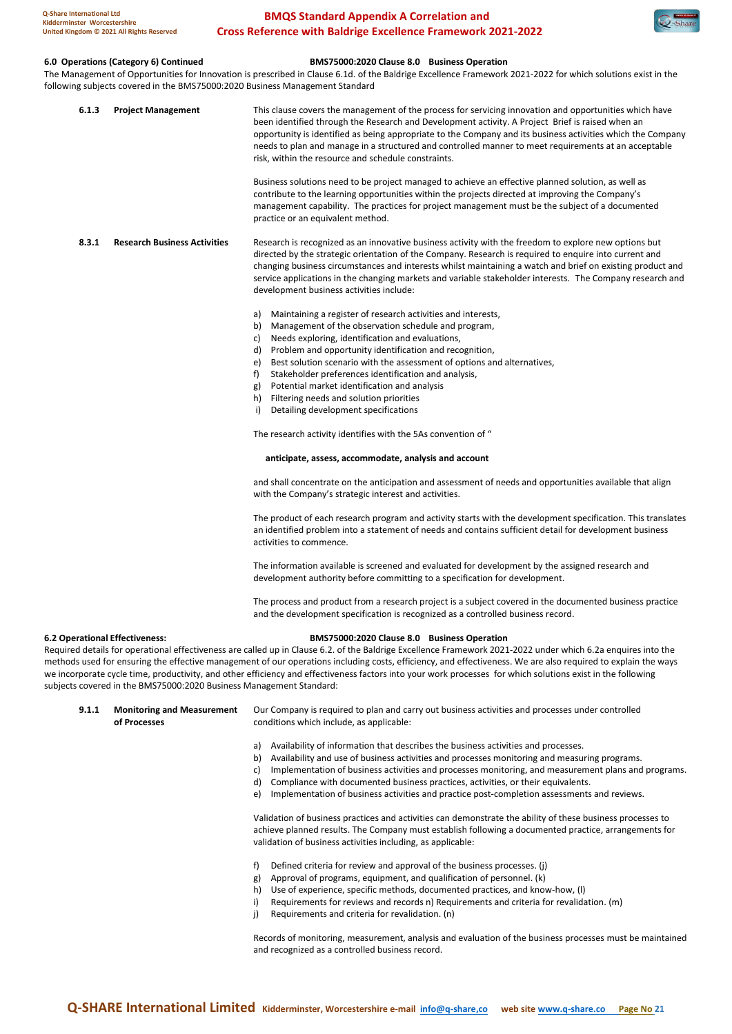### **6.0 Operations (Category 6) Continued BMS75000:2020 Clause 8.0 Business Operation**

The Management of Opportunities for Innovation is prescribed in Clause 6.1d. of the Baldrige Excellence Framework 2021-2022 for which solutions exist in the following subjects covered in the BMS75000:2020 Business Management Standard

| 6.1.3                                 | <b>Project Management</b>           | This clause covers the management of the process for servicing innovation and opportunities which have<br>been identified through the Research and Development activity. A Project Brief is raised when an<br>opportunity is identified as being appropriate to the Company and its business activities which the Company<br>needs to plan and manage in a structured and controlled manner to meet requirements at an acceptable<br>risk, within the resource and schedule constraints.                                                                       |
|---------------------------------------|-------------------------------------|----------------------------------------------------------------------------------------------------------------------------------------------------------------------------------------------------------------------------------------------------------------------------------------------------------------------------------------------------------------------------------------------------------------------------------------------------------------------------------------------------------------------------------------------------------------|
|                                       |                                     | Business solutions need to be project managed to achieve an effective planned solution, as well as<br>contribute to the learning opportunities within the projects directed at improving the Company's<br>management capability. The practices for project management must be the subject of a documented<br>practice or an equivalent method.                                                                                                                                                                                                                 |
| 8.3.1                                 | <b>Research Business Activities</b> | Research is recognized as an innovative business activity with the freedom to explore new options but<br>directed by the strategic orientation of the Company. Research is required to enquire into current and<br>changing business circumstances and interests whilst maintaining a watch and brief on existing product and<br>service applications in the changing markets and variable stakeholder interests. The Company research and<br>development business activities include:                                                                         |
|                                       |                                     | Maintaining a register of research activities and interests,<br>a)<br>Management of the observation schedule and program,<br>b)<br>Needs exploring, identification and evaluations,<br>C)<br>Problem and opportunity identification and recognition,<br>d)<br>Best solution scenario with the assessment of options and alternatives,<br>e)<br>f)<br>Stakeholder preferences identification and analysis,<br>Potential market identification and analysis<br>g)<br>Filtering needs and solution priorities<br>h)<br>i)<br>Detailing development specifications |
|                                       |                                     | The research activity identifies with the 5As convention of "                                                                                                                                                                                                                                                                                                                                                                                                                                                                                                  |
|                                       |                                     | anticipate, assess, accommodate, analysis and account                                                                                                                                                                                                                                                                                                                                                                                                                                                                                                          |
|                                       |                                     | and shall concentrate on the anticipation and assessment of needs and opportunities available that align<br>with the Company's strategic interest and activities.                                                                                                                                                                                                                                                                                                                                                                                              |
|                                       |                                     | The product of each research program and activity starts with the development specification. This translates<br>an identified problem into a statement of needs and contains sufficient detail for development business<br>activities to commence.                                                                                                                                                                                                                                                                                                             |
|                                       |                                     | The information available is screened and evaluated for development by the assigned research and<br>development authority before committing to a specification for development.                                                                                                                                                                                                                                                                                                                                                                                |
|                                       |                                     | The process and product from a research project is a subject covered in the documented business practice<br>and the development specification is recognized as a controlled business record.                                                                                                                                                                                                                                                                                                                                                                   |
| <b>6.2 Operational Effectiveness:</b> |                                     | BMS75000:2020 Clause 8.0 Business Operation                                                                                                                                                                                                                                                                                                                                                                                                                                                                                                                    |

Required details for operational effectiveness are called up in Clause 6.2. of the Baldrige Excellence Framework 2021-2022 under which 6.2a enquires into the methods used for ensuring the effective management of our operations including costs, efficiency, and effectiveness. We are also required to explain the ways we incorporate cycle time, productivity, and other efficiency and effectiveness factors into your work processes for which solutions exist in the following subjects covered in the BMS75000:2020 Business Management Standard:

**9.1.1 Monitoring and Measurement** Our Company is required to plan and carry out business activities and processes under controlled **of Processes** conditions which include, as applicable:

- a) Availability of information that describes the business activities and processes.
- b) Availability and use of business activities and processes monitoring and measuring programs.
- c) Implementation of business activities and processes monitoring, and measurement plans and programs.
- d) Compliance with documented business practices, activities, or their equivalents.
- e) Implementation of business activities and practice post-completion assessments and reviews.

Validation of business practices and activities can demonstrate the ability of these business processes to achieve planned results. The Company must establish following a documented practice, arrangements for validation of business activities including, as applicable:

- f) Defined criteria for review and approval of the business processes. (j)
- g) Approval of programs, equipment, and qualification of personnel. (k)
- h) Use of experience, specific methods, documented practices, and know-how, (l)
- i) Requirements for reviews and records n) Requirements and criteria for revalidation. (m)
- j) Requirements and criteria for revalidation. (n)

Records of monitoring, measurement, analysis and evaluation of the business processes must be maintained and recognized as a controlled business record.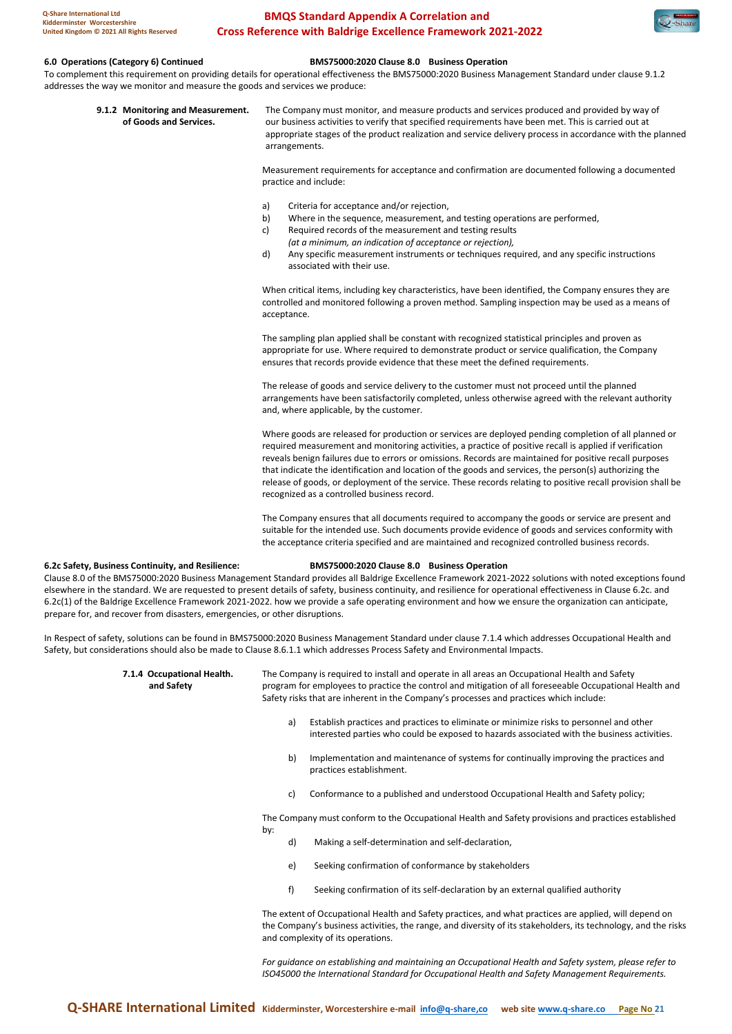### **6.0 Operations (Category 6) Continued BMS75000:2020 Clause 8.0 Business Operation**

To complement this requirement on providing details for operational effectiveness the BMS75000:2020 Business Management Standard under clause 9.1.2 addresses the way we monitor and measure the goods and services we produce:

**9.1.2 Monitoring and Measurement.** The Company must monitor, and measure products and services produced and provided by way of **Goods and Services.** our business activities to verify that specified requirements have been **of Goods and Services.** our business activities to verify that specified requirements have been met. This is carried out at appropriate stages of the product realization and service delivery process in accordance with the planned arrangements.

> Measurement requirements for acceptance and confirmation are documented following a documented practice and include:

- a) Criteria for acceptance and/or rejection,
- b) Where in the sequence, measurement, and testing operations are performed,
- c) Required records of the measurement and testing results
- *(at a minimum, an indication of acceptance or rejection),*  d) Any specific measurement instruments or techniques required, and any specific instructions associated with their use.

When critical items, including key characteristics, have been identified, the Company ensures they are controlled and monitored following a proven method. Sampling inspection may be used as a means of acceptance.

The sampling plan applied shall be constant with recognized statistical principles and proven as appropriate for use. Where required to demonstrate product or service qualification, the Company ensures that records provide evidence that these meet the defined requirements.

The release of goods and service delivery to the customer must not proceed until the planned arrangements have been satisfactorily completed, unless otherwise agreed with the relevant authority and, where applicable, by the customer.

Where goods are released for production or services are deployed pending completion of all planned or required measurement and monitoring activities, a practice of positive recall is applied if verification reveals benign failures due to errors or omissions. Records are maintained for positive recall purposes that indicate the identification and location of the goods and services, the person(s) authorizing the release of goods, or deployment of the service. These records relating to positive recall provision shall be recognized as a controlled business record.

The Company ensures that all documents required to accompany the goods or service are present and suitable for the intended use. Such documents provide evidence of goods and services conformity with the acceptance criteria specified and are maintained and recognized controlled business records.

#### **6.2c Safety, Business Continuity, and Resilience: BMS75000:2020 Clause 8.0 Business Operation**

Clause 8.0 of the BMS75000:2020 Business Management Standard provides all Baldrige Excellence Framework 2021-2022 solutions with noted exceptions found elsewhere in the standard. We are requested to present details of safety, business continuity, and resilience for operational effectiveness in Clause 6.2c. and 6.2c(1) of the Baldrige Excellence Framework 2021-2022. how we provide a safe operating environment and how we ensure the organization can anticipate, prepare for, and recover from disasters, emergencies, or other disruptions.

In Respect of safety, solutions can be found in BMS75000:2020 Business Management Standard under clause 7.1.4 which addresses Occupational Health and Safety, but considerations should also be made to Clause 8.6.1.1 which addresses Process Safety and Environmental Impacts.

**7.1.4 Occupational Health.** The Company is required to install and operate in all areas an Occupational Health and Safety **and Safety** program for employees to practice the control and mitigation of all foreseeable Occupational Health and Safety risks that are inherent in the Company's processes and practices which include:

- a) Establish practices and practices to eliminate or minimize risks to personnel and other interested parties who could be exposed to hazards associated with the business activities.
- b) Implementation and maintenance of systems for continually improving the practices and practices establishment.
- c) Conformance to a published and understood Occupational Health and Safety policy;

The Company must conform to the Occupational Health and Safety provisions and practices established by:

- d) Making a self-determination and self-declaration,
- e) Seeking confirmation of conformance by stakeholders
- f) Seeking confirmation of its self-declaration by an external qualified authority

The extent of Occupational Health and Safety practices, and what practices are applied, will depend on the Company's business activities, the range, and diversity of its stakeholders, its technology, and the risks and complexity of its operations.

*For guidance on establishing and maintaining an Occupational Health and Safety system, please refer to ISO45000 the International Standard for Occupational Health and Safety Management Requirements.*

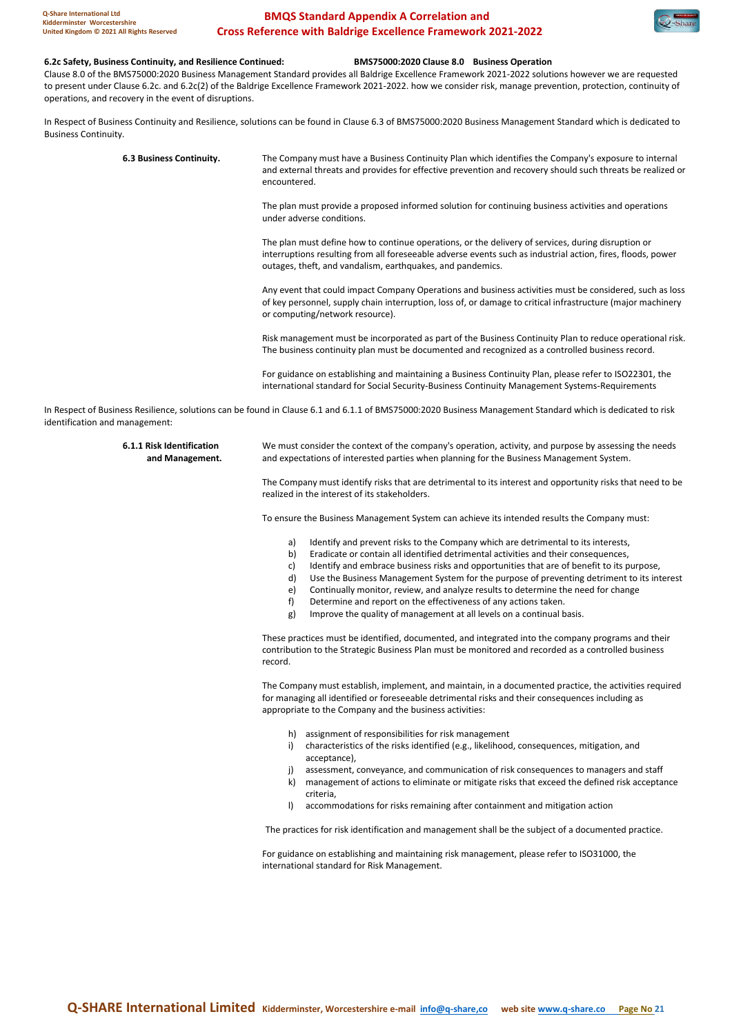#### **6.2c Safety, Business Continuity, and Resilience Continued: BMS75000:2020 Clause 8.0 Business Operation**

Clause 8.0 of the BMS75000:2020 Business Management Standard provides all Baldrige Excellence Framework 2021-2022 solutions however we are requested to present under Clause 6.2c. and 6.2c(2) of the Baldrige Excellence Framework 2021-2022. how we consider risk, manage prevention, protection, continuity of operations, and recovery in the event of disruptions.

In Respect of Business Continuity and Resilience, solutions can be found in Clause 6.3 of BMS75000:2020 Business Management Standard which is dedicated to Business Continuity.

| 6.3 Business Continuity. | The Company must have a Business Continuity Plan which identifies the Company's exposure to internal<br>and external threats and provides for effective prevention and recovery should such threats be realized or<br>encountered.                                              |
|--------------------------|---------------------------------------------------------------------------------------------------------------------------------------------------------------------------------------------------------------------------------------------------------------------------------|
|                          | The plan must provide a proposed informed solution for continuing business activities and operations<br>under adverse conditions.                                                                                                                                               |
|                          | The plan must define how to continue operations, or the delivery of services, during disruption or<br>interruptions resulting from all foreseeable adverse events such as industrial action, fires, floods, power<br>outages, theft, and vandalism, earthquakes, and pandemics. |
|                          | Any event that could impact Company Operations and business activities must be considered, such as loss<br>of key personnel, supply chain interruption, loss of, or damage to critical infrastructure (major machinery<br>or computing/network resource).                       |
|                          | Risk management must be incorporated as part of the Business Continuity Plan to reduce operational risk.<br>The business continuity plan must be documented and recognized as a controlled business record.                                                                     |
|                          |                                                                                                                                                                                                                                                                                 |

For guidance on establishing and maintaining a Business Continuity Plan, please refer to ISO22301, the international standard for Social Security-Business Continuity Management Systems-Requirements

In Respect of Business Resilience, solutions can be found in Clause 6.1 and 6.1.1 of BMS75000:2020 Business Management Standard which is dedicated to risk identification and management:

#### **6.1.1 Risk Identification** We must consider the context of the company's operation, activity, and purpose by assessing the needs  **and Management.** and expectations of interested parties when planning for the Business Management System.

The Company must identify risks that are detrimental to its interest and opportunity risks that need to be realized in the interest of its stakeholders.

To ensure the Business Management System can achieve its intended results the Company must:

- a) Identify and prevent risks to the Company which are detrimental to its interests,
- b) Eradicate or contain all identified detrimental activities and their consequences,
- c) Identify and embrace business risks and opportunities that are of benefit to its purpose,
- d) Use the Business Management System for the purpose of preventing detriment to its interest
- e) Continually monitor, review, and analyze results to determine the need for change
- 
- f) Determine and report on the effectiveness of any actions taken.<br>
g) Improve the quality of management at all levels on a continual b Improve the quality of management at all levels on a continual basis.

These practices must be identified, documented, and integrated into the company programs and their contribution to the Strategic Business Plan must be monitored and recorded as a controlled business record.

The Company must establish, implement, and maintain, in a documented practice, the activities required for managing all identified or foreseeable detrimental risks and their consequences including as appropriate to the Company and the business activities:

- h) assignment of responsibilities for risk management
- i) characteristics of the risks identified (e.g., likelihood, consequences, mitigation, and acceptance),
- j) assessment, conveyance, and communication of risk consequences to managers and staff k) management of actions to eliminate or mitigate risks that exceed the defined risk acceptance
- criteria,
- l) accommodations for risks remaining after containment and mitigation action

The practices for risk identification and management shall be the subject of a documented practice.

For guidance on establishing and maintaining risk management, please refer to ISO31000, the international standard for Risk Management.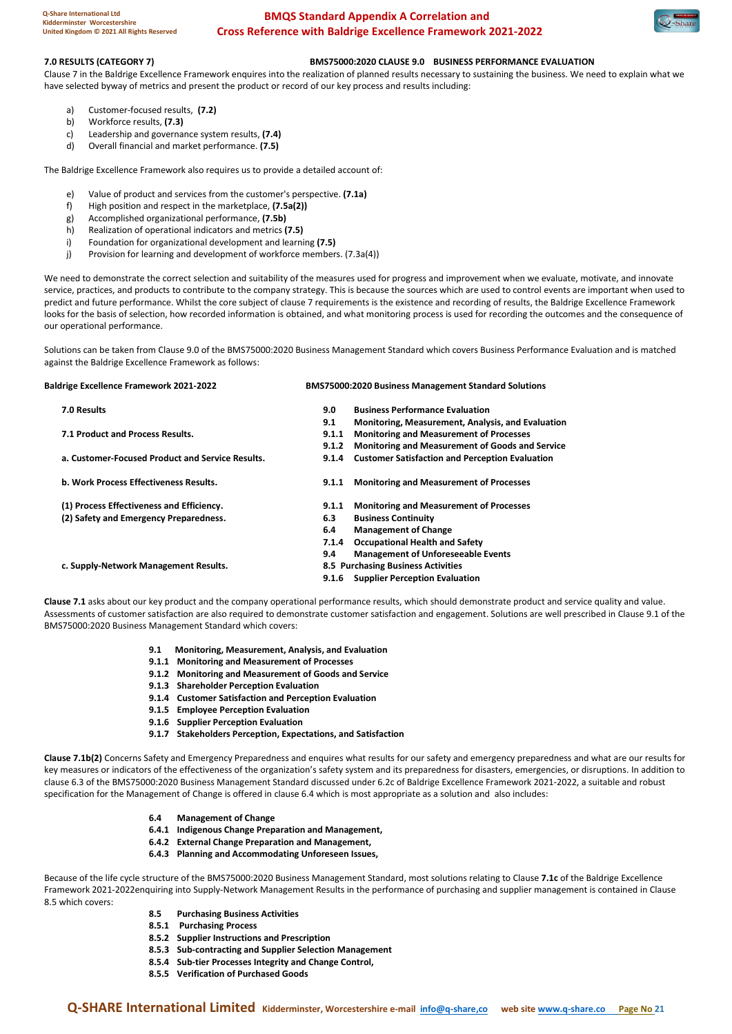

#### **7.0 RESULTS (CATEGORY 7) BMS75000:2020 CLAUSE 9.0 BUSINESS PERFORMANCE EVALUATION**

Clause 7 in the Baldrige Excellence Framework enquires into the realization of planned results necessary to sustaining the business. We need to explain what we have selected byway of metrics and present the product or record of our key process and results including:

- a) Customer-focused results, **(7.2)**
- b) Workforce results, **(7.3)**
- c) Leadership and governance system results, **(7.4)**
- d) Overall financial and market performance. **(7.5)**

The Baldrige Excellence Framework also requires us to provide a detailed account of:

- e) Value of product and services from the customer's perspective. **(7.1a)**
- f) High position and respect in the marketplace, **(7.5a(2))**
- g) Accomplished organizational performance, **(7.5b)**
- h) Realization of operational indicators and metrics **(7.5)**
- i) Foundation for organizational development and learning **(7.5)**
- j) Provision for learning and development of workforce members. (7.3a(4))

We need to demonstrate the correct selection and suitability of the measures used for progress and improvement when we evaluate, motivate, and innovate service, practices, and products to contribute to the company strategy. This is because the sources which are used to control events are important when used to predict and future performance. Whilst the core subject of clause 7 requirements is the existence and recording of results, the Baldrige Excellence Framework looks for the basis of selection, how recorded information is obtained, and what monitoring process is used for recording the outcomes and the consequence of our operational performance.

Solutions can be taken from Clause 9.0 of the BMS75000:2020 Business Management Standard which covers Business Performance Evaluation and is matched against the Baldrige Excellence Framework as follows:

| <b>Baldrige Excellence Framework 2021-2022</b>   |       | <b>BMS75000:2020 Business Management Standard Solutions</b> |  |  |  |
|--------------------------------------------------|-------|-------------------------------------------------------------|--|--|--|
| 7.0 Results                                      | 9.0   | <b>Business Performance Evaluation</b>                      |  |  |  |
|                                                  | 9.1   | Monitoring, Measurement, Analysis, and Evaluation           |  |  |  |
| 7.1 Product and Process Results.                 | 9.1.1 | <b>Monitoring and Measurement of Processes</b>              |  |  |  |
|                                                  | 9.1.2 | Monitoring and Measurement of Goods and Service             |  |  |  |
| a. Customer-Focused Product and Service Results. | 9.1.4 | <b>Customer Satisfaction and Perception Evaluation</b>      |  |  |  |
| b. Work Process Effectiveness Results.           | 9.1.1 | <b>Monitoring and Measurement of Processes</b>              |  |  |  |
| (1) Process Effectiveness and Efficiency.        | 9.1.1 | <b>Monitoring and Measurement of Processes</b>              |  |  |  |
| (2) Safety and Emergency Preparedness.           | 6.3   | <b>Business Continuity</b>                                  |  |  |  |
|                                                  | 6.4   | <b>Management of Change</b>                                 |  |  |  |
|                                                  | 7.1.4 | <b>Occupational Health and Safety</b>                       |  |  |  |
|                                                  | 9.4   | <b>Management of Unforeseeable Events</b>                   |  |  |  |
| c. Supply-Network Management Results.            |       | 8.5 Purchasing Business Activities                          |  |  |  |
|                                                  |       | 9.1.6 Supplier Perception Evaluation                        |  |  |  |

**Clause 7.1** asks about our key product and the company operational performance results, which should demonstrate product and service quality and value. Assessments of customer satisfaction are also required to demonstrate customer satisfaction and engagement. Solutions are well prescribed in Clause 9.1 of the BMS75000:2020 Business Management Standard which covers:

- **9.1 Monitoring, Measurement, Analysis, and Evaluation**
- **9.1.1 Monitoring and Measurement of Processes**
- **9.1.2 Monitoring and Measurement of Goods and Service**
- **9.1.3 Shareholder Perception Evaluation**
- **9.1.4 Customer Satisfaction and Perception Evaluation**
- **9.1.5 Employee Perception Evaluation**
- **9.1.6 Supplier Perception Evaluation**
- **9.1.7 Stakeholders Perception, Expectations, and Satisfaction**

**Clause 7.1b(2)** Concerns Safety and Emergency Preparedness and enquires what results for our safety and emergency preparedness and what are our results for key measures or indicators of the effectiveness of the organization's safety system and its preparedness for disasters, emergencies, or disruptions. In addition to clause 6.3 of the BMS75000:2020 Business Management Standard discussed under 6.2c of Baldrige Excellence Framework 2021-2022, a suitable and robust specification for the Management of Change is offered in clause 6.4 which is most appropriate as a solution and also includes:

- **6.4 Management of Change**
- **6.4.1 Indigenous Change Preparation and Management,**
- **6.4.2 External Change Preparation and Management,**
- **6.4.3 Planning and Accommodating Unforeseen Issues,**

Because of the life cycle structure of the BMS75000:2020 Business Management Standard, most solutions relating to Clause **7.1c** of the Baldrige Excellence Framework 2021-2022enquiring into Supply-Network Management Results in the performance of purchasing and supplier management is contained in Clause 8.5 which covers:

- **8.5 Purchasing Business Activities**
- **8.5.1 Purchasing Process**
- **8.5.2 Supplier Instructions and Prescription**
- **8.5.3 Sub-contracting and Supplier Selection Management**
- **8.5.4 Sub-tier Processes Integrity and Change Control,**
- **8.5.5 Verification of Purchased Goods**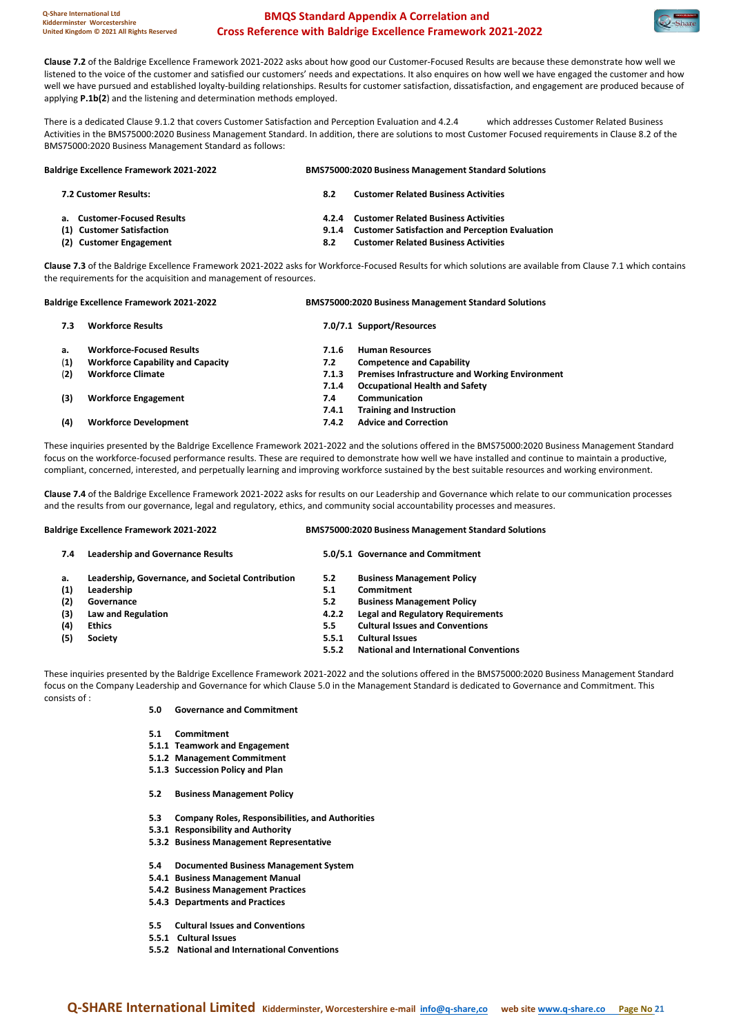

**Clause 7.2** of the Baldrige Excellence Framework 2021-2022 asks about how good our Customer-Focused Results are because these demonstrate how well we listened to the voice of the customer and satisfied our customers' needs and expectations. It also enquires on how well we have engaged the customer and how well we have pursued and established loyalty-building relationships. Results for customer satisfaction, dissatisfaction, and engagement are produced because of applying **P.1b(2**) and the listening and determination methods employed.

There is a dedicated Clause 9.1.2 that covers Customer Satisfaction and Perception Evaluation and 4.2.4 which addresses Customer Related Business Activities in the BMS75000:2020 Business Management Standard. In addition, there are solutions to most Customer Focused requirements in Clause 8.2 of the BMS75000:2020 Business Management Standard as follows:

**Baldrige Excellence Framework 2021-2022 BMS75000:2020 Business Management Standard Solutions 7.2 Customer Results: 8.2 Customer Related Business Activities a. Customer-Focused Results 4.2.4 Customer Related Business Activities (1) Customer Satisfaction 9.1.4 Customer Satisfaction and Perception Evaluation (2) Customer Engagement 8.2 Customer Related Business Activities**

**Clause 7.3** of the Baldrige Excellence Framework 2021-2022 asks for Workforce-Focused Results for which solutions are available from Clause 7.1 which contains the requirements for the acquisition and management of resources.

|     | <b>Baldrige Excellence Framework 2021-2022</b> |       | <b>BMS75000:2020 Business Management Standard Solutions</b> |  |  |
|-----|------------------------------------------------|-------|-------------------------------------------------------------|--|--|
| 7.3 | <b>Workforce Results</b>                       |       | 7.0/7.1 Support/Resources                                   |  |  |
| a.  | <b>Workforce-Focused Results</b>               | 7.1.6 | <b>Human Resources</b>                                      |  |  |
| (1) | <b>Workforce Capability and Capacity</b>       | 7.2   | <b>Competence and Capability</b>                            |  |  |
| (2) | <b>Workforce Climate</b>                       | 7.1.3 | <b>Premises Infrastructure and Working Environment</b>      |  |  |
|     |                                                | 7.1.4 | <b>Occupational Health and Safety</b>                       |  |  |
| (3) | <b>Workforce Engagement</b>                    | 7.4   | Communication                                               |  |  |
|     |                                                | 7.4.1 | <b>Training and Instruction</b>                             |  |  |
| (4) | <b>Workforce Development</b>                   | 7.4.2 | <b>Advice and Correction</b>                                |  |  |
|     |                                                |       |                                                             |  |  |

These inquiries presented by the Baldrige Excellence Framework 2021-2022 and the solutions offered in the BMS75000:2020 Business Management Standard focus on the workforce-focused performance results. These are required to demonstrate how well we have installed and continue to maintain a productive, compliant, concerned, interested, and perpetually learning and improving workforce sustained by the best suitable resources and working environment.

**Clause 7.4** of the Baldrige Excellence Framework 2021-2022 asks for results on our Leadership and Governance which relate to our communication processes and the results from our governance, legal and regulatory, ethics, and community social accountability processes and measures.

| <b>Baldrige Excellence Framework 2021-2022</b> |                                                   |       | <b>BMS75000:2020 Business Management Standard Solutions</b> |  |  |
|------------------------------------------------|---------------------------------------------------|-------|-------------------------------------------------------------|--|--|
| 7.4                                            | <b>Leadership and Governance Results</b>          |       | 5.0/5.1 Governance and Commitment                           |  |  |
| a.                                             | Leadership, Governance, and Societal Contribution | 5.2   | <b>Business Management Policy</b>                           |  |  |
| (1)                                            | Leadership                                        | 5.1   | Commitment                                                  |  |  |
| (2)                                            | Governance                                        | 5.2   | <b>Business Management Policy</b>                           |  |  |
| (3)                                            | Law and Regulation                                | 4.2.2 | <b>Legal and Regulatory Requirements</b>                    |  |  |
| (4)                                            | Ethics                                            | 5.5   | <b>Cultural Issues and Conventions</b>                      |  |  |
| (5)                                            | <b>Society</b>                                    | 5.5.1 | <b>Cultural Issues</b>                                      |  |  |
|                                                |                                                   | 5.5.2 | <b>National and International Conventions</b>               |  |  |
|                                                |                                                   |       |                                                             |  |  |
|                                                |                                                   |       |                                                             |  |  |

These inquiries presented by the Baldrige Excellence Framework 2021-2022 and the solutions offered in the BMS75000:2020 Business Management Standard focus on the Company Leadership and Governance for which Clause 5.0 in the Management Standard is dedicated to Governance and Commitment. This consists of :

- **5.0 Governance and Commitment**
- **5.1 Commitment**
- **5.1.1 Teamwork and Engagement**
- **5.1.2 Management Commitment**
- **5.1.3 Succession Policy and Plan**
- **5.2 Business Management Policy**
- **5.3 Company Roles, Responsibilities, and Authorities**
- **5.3.1 Responsibility and Authority**
- **5.3.2 Business Management Representative**
- **5.4 Documented Business Management System**
- **5.4.1 Business Management Manual**
- **5.4.2 Business Management Practices**
- **5.4.3 Departments and Practices**
- **5.5 Cultural Issues and Conventions**
- **5.5.1 Cultural Issues**
- **5.5.2 National and International Conventions**